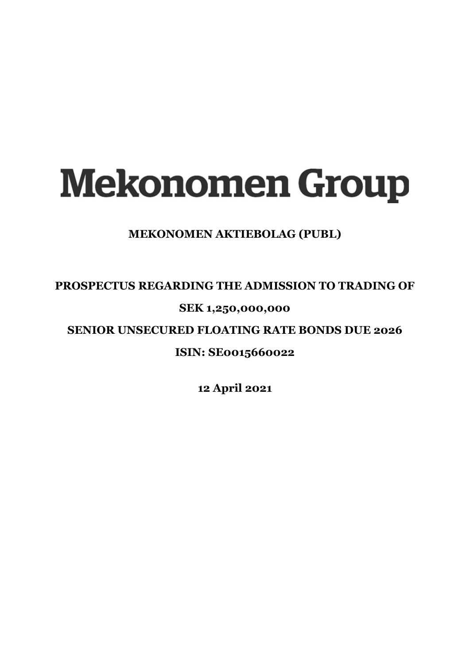# **Mekonomen Group**

# **MEKONOMEN AKTIEBOLAG (PUBL)**

# **PROSPECTUS REGARDING THE ADMISSION TO TRADING OF**

# **SEK 1,250,000,000**

**SENIOR UNSECURED FLOATING RATE BONDS DUE 2026** 

# **ISIN: SE0015660022**

**12 April 2021**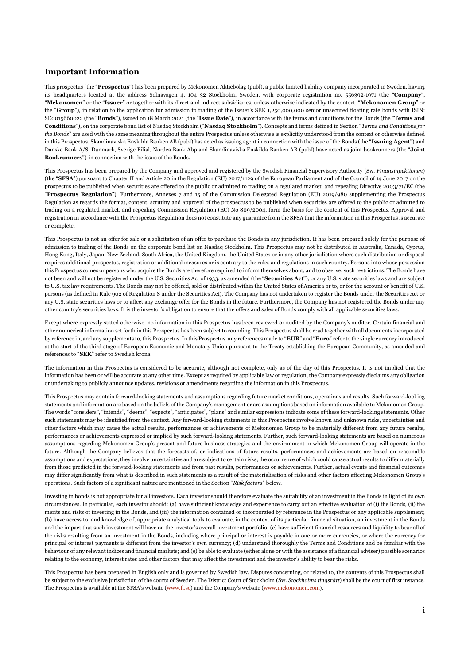#### **Important Information**

This prospectus (the "**Prospectus**") has been prepared by Mekonomen Aktiebolag (publ), a public limited liability company incorporated in Sweden, having its headquarters located at the address Solnavägen 4, 104 32 Stockholm, Sweden, with corporate registration no. 556392-1971 (the "**Company**", "**Mekonomen**" or the "**Issuer**" or together with its direct and indirect subsidiaries, unless otherwise indicated by the context, "**Mekonomen Group**" or the "**Group**"), in relation to the application for admission to trading of the Issuer's SEK 1,250,000,000 senior unsecured floating rate bonds with ISIN: SE0015660022 (the "**Bonds**"), issued on 18 March 2021 (the "**Issue Date**"), in accordance with the terms and conditions for the Bonds (the "**Terms and Conditions**"), on the corporate bond list of Nasdaq Stockholm ("**Nasdaq Stockholm**"). Concepts and terms defined in Section "*Terms and Conditions for the Bonds*" are used with the same meaning throughout the entire Prospectus unless otherwise is explicitly understood from the context or otherwise defined in this Prospectus. Skandinaviska Enskilda Banken AB (publ) has acted as issuing agent in connection with the issue of the Bonds (the "**Issuing Agent**") and Danske Bank A/S, Danmark, Sverige Filial, Nordea Bank Abp and Skandinaviska Enskilda Banken AB (publ) have acted as joint bookrunners (the "**Joint Bookrunners**") in connection with the issue of the Bonds.

This Prospectus has been prepared by the Company and approved and registered by the Swedish Financial Supervisory Authority (Sw. *Finansinpektionen*) (the "**SFSA**") pursuant to Chapter II and Article 20 in the Regulation (EU) 2017/1129 of the European Parliament and of the Council of 14 June 2017 on the prospectus to be published when securities are offered to the public or admitted to trading on a regulated market, and repealing Directive 2003/71/EC (the "**Prospectus Regulation**"). Furthermore, Annexes 7 and 15 of the Commission Delegated Regulation (EU) 2019/980 supplementing the Prospectus Regulation as regards the format, content, scrutiny and approval of the prospectus to be published when securities are offered to the public or admitted to trading on a regulated market, and repealing Commission Regulation (EC) No 809/2004, form the basis for the content of this Prospectus. Approval and registration in accordance with the Prospectus Regulation does not constitute any guarantee from the SFSA that the information in this Prospectus is accurate or complete.

This Prospectus is not an offer for sale or a solicitation of an offer to purchase the Bonds in any jurisdiction. It has been prepared solely for the purpose of admission to trading of the Bonds on the corporate bond list on Nasdaq Stockholm. This Prospectus may not be distributed in Australia, Canada, Cyprus, Hong Kong, Italy, Japan, New Zeeland, South Africa, the United Kingdom, the United States or in any other jurisdiction where such distribution or disposal requires additional prospectus, registration or additional measures or is contrary to the rules and regulations in such country. Persons into whose possession this Prospectus comes or persons who acquire the Bonds are therefore required to inform themselves about, and to observe, such restrictions. The Bonds have not been and will not be registered under the U.S. Securities Act of 1933, as amended (the "**Securities Act**"), or any U.S. state securities laws and are subject to U.S. tax law requirements. The Bonds may not be offered, sold or distributed within the United States of America or to, or for the account or benefit of U.S. persons (as defined in Rule 902 of Regulation S under the Securities Act). The Company has not undertaken to register the Bonds under the Securities Act or any U.S. state securities laws or to affect any exchange offer for the Bonds in the future. Furthermore, the Company has not registered the Bonds under any other country's securities laws. It is the investor's obligation to ensure that the offers and sales of Bonds comply with all applicable securities laws.

Except where expressly stated otherwise, no information in this Prospectus has been reviewed or audited by the Company's auditor. Certain financial and other numerical information set forth in this Prospectus has been subject to rounding. This Prospectus shall be read together with all documents incorporated by reference in, and any supplements to, this Prospectus. In this Prospectus, any references made to "**EUR**" and "**Euro**" refer to the single currency introduced at the start of the third stage of European Economic and Monetary Union pursuant to the Treaty establishing the European Community, as amended and references to "**SEK**" refer to Swedish krona.

The information in this Prospectus is considered to be accurate, although not complete, only as of the day of this Prospectus. It is not implied that the information has been or will be accurate at any other time. Except as required by applicable law or regulation, the Company expressly disclaims any obligation or undertaking to publicly announce updates, revisions or amendments regarding the information in this Prospectus.

This Prospectus may contain forward-looking statements and assumptions regarding future market conditions, operations and results. Such forward-looking statements and information are based on the beliefs of the Company's management or are assumptions based on information available to Mekonomen Group. The words "considers", "intends", "deems", "expects", "anticipates", "plans" and similar expressions indicate some of these forward-looking statements. Other such statements may be identified from the context. Any forward-looking statements in this Prospectus involve known and unknown risks, uncertainties and other factors which may cause the actual results, performances or achievements of Mekonomen Group to be materially different from any future results, performances or achievements expressed or implied by such forward-looking statements. Further, such forward-looking statements are based on numerous assumptions regarding Mekonomen Group's present and future business strategies and the environment in which Mekonomen Group will operate in the future. Although the Company believes that the forecasts of, or indications of future results, performances and achievements are based on reasonable assumptions and expectations, they involve uncertainties and are subject to certain risks, the occurrence of which could cause actual results to differ materially from those predicted in the forward-looking statements and from past results, performances or achievements. Further, actual events and financial outcomes may differ significantly from what is described in such statements as a result of the materialisation of risks and other factors affecting Mekonomen Group's operations. Such factors of a significant nature are mentioned in the Section "*Risk factors*" below.

Investing in bonds is not appropriate for all investors. Each investor should therefore evaluate the suitability of an investment in the Bonds in light of its own circumstances. In particular, each investor should: (a) have sufficient knowledge and experience to carry out an effective evaluation of (i) the Bonds, (ii) the merits and risks of investing in the Bonds, and (iii) the information contained or incorporated by reference in the Prospectus or any applicable supplement; (b) have access to, and knowledge of, appropriate analytical tools to evaluate, in the context of its particular financial situation, an investment in the Bonds and the impact that such investment will have on the investor's overall investment portfolio; (c) have sufficient financial resources and liquidity to bear all of the risks resulting from an investment in the Bonds, including where principal or interest is payable in one or more currencies, or where the currency for principal or interest payments is different from the investor's own currency; (d) understand thoroughly the Terms and Conditions and be familiar with the behaviour of any relevant indices and financial markets; and (e) be able to evaluate (either alone or with the assistance of a financial adviser) possible scenarios relating to the economy, interest rates and other factors that may affect the investment and the investor's ability to bear the risks.

This Prospectus has been prepared in English only and is governed by Swedish law. Disputes concerning, or related to, the contents of this Prospectus shall be subject to the exclusive jurisdiction of the courts of Sweden. The District Court of Stockholm (Sw. *Stockholms tingsrätt*) shall be the court of first instance. The Prospectus is available at the SFSA's website [\(www.fi.se\)](http://www.fi.se/) and the Company's website [\(www.mekonomen.com\).](http://www.mekonomen.com/)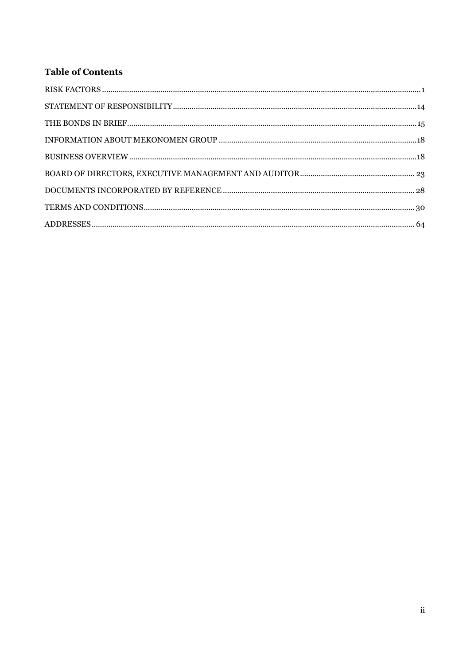# **Table of Contents**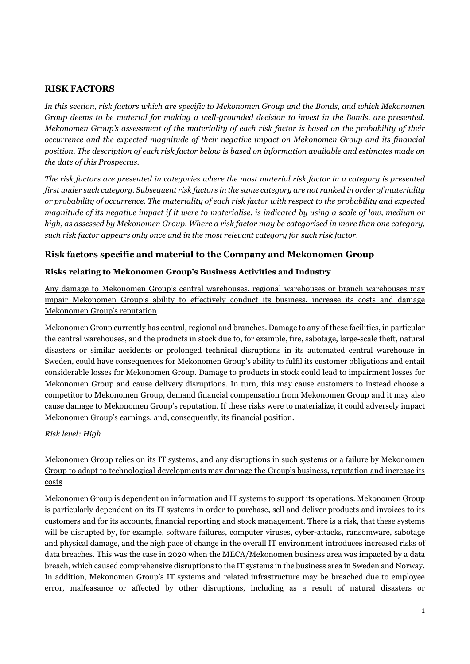# <span id="page-3-0"></span>**RISK FACTORS**

*In this section, risk factors which are specific to Mekonomen Group and the Bonds, and which Mekonomen Group deems to be material for making a well-grounded decision to invest in the Bonds, are presented. Mekonomen Group's assessment of the materiality of each risk factor is based on the probability of their occurrence and the expected magnitude of their negative impact on Mekonomen Group and its financial position. The description of each risk factor below is based on information available and estimates made on the date of this Prospectus.* 

*The risk factors are presented in categories where the most material risk factor in a category is presented first under such category. Subsequent risk factors in the same category are not ranked in order of materiality or probability of occurrence. The materiality of each risk factor with respect to the probability and expected magnitude of its negative impact if it were to materialise, is indicated by using a scale of low, medium or high, as assessed by Mekonomen Group. Where a risk factor may be categorised in more than one category, such risk factor appears only once and in the most relevant category for such risk factor.* 

# **Risk factors specific and material to the Company and Mekonomen Group**

# **Risks relating to Mekonomen Group's Business Activities and Industry**

Any damage to Mekonomen Group's central warehouses, regional warehouses or branch warehouses may impair Mekonomen Group's ability to effectively conduct its business, increase its costs and damage Mekonomen Group's reputation

Mekonomen Group currently has central, regional and branches. Damage to any of these facilities, in particular the central warehouses, and the products in stock due to, for example, fire, sabotage, large-scale theft, natural disasters or similar accidents or prolonged technical disruptions in its automated central warehouse in Sweden, could have consequences for Mekonomen Group's ability to fulfil its customer obligations and entail considerable losses for Mekonomen Group. Damage to products in stock could lead to impairment losses for Mekonomen Group and cause delivery disruptions. In turn, this may cause customers to instead choose a competitor to Mekonomen Group, demand financial compensation from Mekonomen Group and it may also cause damage to Mekonomen Group's reputation. If these risks were to materialize, it could adversely impact Mekonomen Group's earnings, and, consequently, its financial position.

*Risk level: High* 

Mekonomen Group relies on its IT systems, and any disruptions in such systems or a failure by Mekonomen Group to adapt to technological developments may damage the Group's business, reputation and increase its costs

Mekonomen Group is dependent on information and IT systems to support its operations. Mekonomen Group is particularly dependent on its IT systems in order to purchase, sell and deliver products and invoices to its customers and for its accounts, financial reporting and stock management. There is a risk, that these systems will be disrupted by, for example, software failures, computer viruses, cyber-attacks, ransomware, sabotage and physical damage, and the high pace of change in the overall IT environment introduces increased risks of data breaches. This was the case in 2020 when the MECA/Mekonomen business area was impacted by a data breach, which caused comprehensive disruptions to the IT systems in the business area in Sweden and Norway. In addition, Mekonomen Group's IT systems and related infrastructure may be breached due to employee error, malfeasance or affected by other disruptions, including as a result of natural disasters or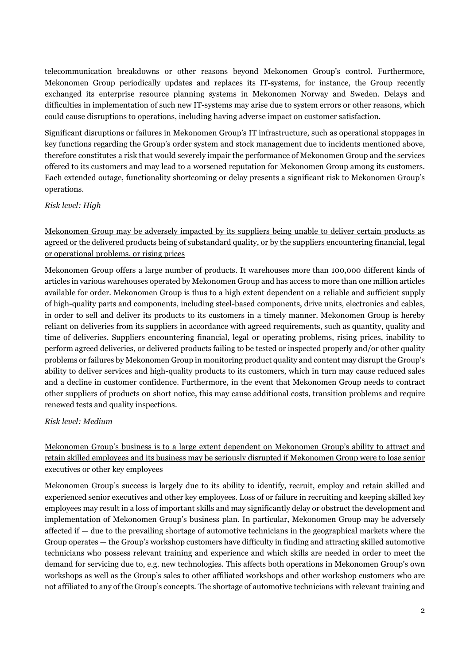telecommunication breakdowns or other reasons beyond Mekonomen Group's control. Furthermore, Mekonomen Group periodically updates and replaces its IT-systems, for instance, the Group recently exchanged its enterprise resource planning systems in Mekonomen Norway and Sweden. Delays and difficulties in implementation of such new IT-systems may arise due to system errors or other reasons, which could cause disruptions to operations, including having adverse impact on customer satisfaction.

Significant disruptions or failures in Mekonomen Group's IT infrastructure, such as operational stoppages in key functions regarding the Group's order system and stock management due to incidents mentioned above, therefore constitutes a risk that would severely impair the performance of Mekonomen Group and the services offered to its customers and may lead to a worsened reputation for Mekonomen Group among its customers. Each extended outage, functionality shortcoming or delay presents a significant risk to Mekonomen Group's operations.

# *Risk level: High*

Mekonomen Group may be adversely impacted by its suppliers being unable to deliver certain products as agreed or the delivered products being of substandard quality, or by the suppliers encountering financial, legal or operational problems, or rising prices

Mekonomen Group offers a large number of products. It warehouses more than 100,000 different kinds of articles in various warehouses operated by Mekonomen Group and has access to more than one million articles available for order. Mekonomen Group is thus to a high extent dependent on a reliable and sufficient supply of high-quality parts and components, including steel-based components, drive units, electronics and cables, in order to sell and deliver its products to its customers in a timely manner. Mekonomen Group is hereby reliant on deliveries from its suppliers in accordance with agreed requirements, such as quantity, quality and time of deliveries. Suppliers encountering financial, legal or operating problems, rising prices, inability to perform agreed deliveries, or delivered products failing to be tested or inspected properly and/or other quality problems or failures by Mekonomen Group in monitoring product quality and content may disrupt the Group's ability to deliver services and high-quality products to its customers, which in turn may cause reduced sales and a decline in customer confidence. Furthermore, in the event that Mekonomen Group needs to contract other suppliers of products on short notice, this may cause additional costs, transition problems and require renewed tests and quality inspections.

#### *Risk level: Medium*

Mekonomen Group's business is to a large extent dependent on Mekonomen Group's ability to attract and retain skilled employees and its business may be seriously disrupted if Mekonomen Group were to lose senior executives or other key employees

Mekonomen Group's success is largely due to its ability to identify, recruit, employ and retain skilled and experienced senior executives and other key employees. Loss of or failure in recruiting and keeping skilled key employees may result in a loss of important skills and may significantly delay or obstruct the development and implementation of Mekonomen Group's business plan. In particular, Mekonomen Group may be adversely affected if — due to the prevailing shortage of automotive technicians in the geographical markets where the Group operates — the Group's workshop customers have difficulty in finding and attracting skilled automotive technicians who possess relevant training and experience and which skills are needed in order to meet the demand for servicing due to, e.g. new technologies. This affects both operations in Mekonomen Group's own workshops as well as the Group's sales to other affiliated workshops and other workshop customers who are not affiliated to any of the Group's concepts. The shortage of automotive technicians with relevant training and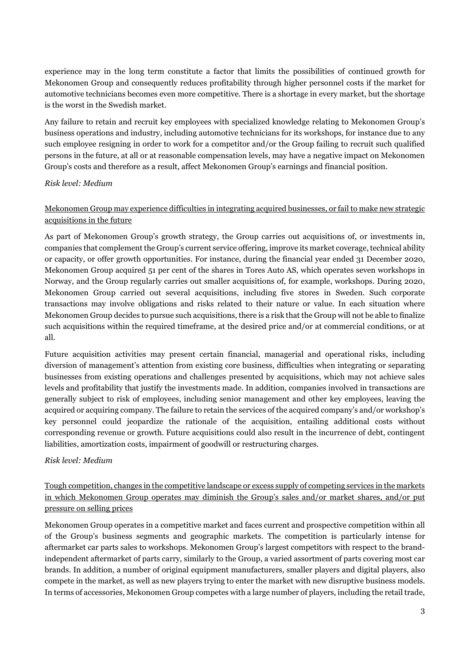experience may in the long term constitute a factor that limits the possibilities of continued growth for Mekonomen Group and consequently reduces profitability through higher personnel costs if the market for automotive technicians becomes even more competitive. There is a shortage in every market, but the shortage is the worst in the Swedish market.

Any failure to retain and recruit key employees with specialized knowledge relating to Mekonomen Group's business operations and industry, including automotive technicians for its workshops, for instance due to any such employee resigning in order to work for a competitor and/or the Group failing to recruit such qualified persons in the future, at all or at reasonable compensation levels, may have a negative impact on Mekonomen Group's costs and therefore as a result, affect Mekonomen Group's earnings and financial position.

# *Risk level: Medium*

# Mekonomen Group may experience difficulties in integrating acquired businesses, or fail to make new strategic acquisitions in the future

As part of Mekonomen Group's growth strategy, the Group carries out acquisitions of, or investments in, companies that complement the Group's current service offering, improve its market coverage, technical ability or capacity, or offer growth opportunities. For instance, during the financial year ended 31 December 2020, Mekonomen Group acquired 51 per cent of the shares in Tores Auto AS, which operates seven workshops in Norway, and the Group regularly carries out smaller acquisitions of, for example, workshops. During 2020, Mekonomen Group carried out several acquisitions, including five stores in Sweden. Such corporate transactions may involve obligations and risks related to their nature or value. In each situation where Mekonomen Group decides to pursue such acquisitions, there is a risk that the Group will not be able to finalize such acquisitions within the required timeframe, at the desired price and/or at commercial conditions, or at all.

Future acquisition activities may present certain financial, managerial and operational risks, including diversion of management's attention from existing core business, difficulties when integrating or separating businesses from existing operations and challenges presented by acquisitions, which may not achieve sales levels and profitability that justify the investments made. In addition, companies involved in transactions are generally subject to risk of employees, including senior management and other key employees, leaving the acquired or acquiring company. The failure to retain the services of the acquired company's and/or workshop's key personnel could jeopardize the rationale of the acquisition, entailing additional costs without corresponding revenue or growth. Future acquisitions could also result in the incurrence of debt, contingent liabilities, amortization costs, impairment of goodwill or restructuring charges.

# *Risk level: Medium*

Tough competition, changes in the competitive landscape or excess supply of competing services in the markets in which Mekonomen Group operates may diminish the Group's sales and/or market shares, and/or put pressure on selling prices

Mekonomen Group operates in a competitive market and faces current and prospective competition within all of the Group's business segments and geographic markets. The competition is particularly intense for aftermarket car parts sales to workshops. Mekonomen Group's largest competitors with respect to the brandindependent aftermarket of parts carry, similarly to the Group, a varied assortment of parts covering most car brands. In addition, a number of original equipment manufacturers, smaller players and digital players, also compete in the market, as well as new players trying to enter the market with new disruptive business models. In terms of accessories, Mekonomen Group competes with a large number of players, including the retail trade,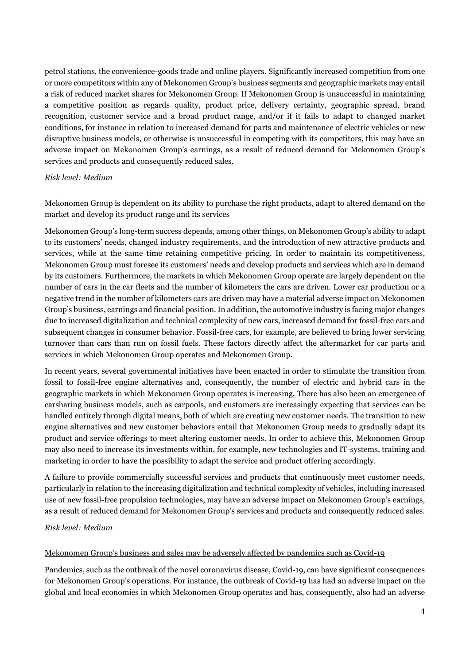petrol stations, the convenience-goods trade and online players. Significantly increased competition from one or more competitors within any of Mekonomen Group's business segments and geographic markets may entail a risk of reduced market shares for Mekonomen Group. If Mekonomen Group is unsuccessful in maintaining a competitive position as regards quality, product price, delivery certainty, geographic spread, brand recognition, customer service and a broad product range, and/or if it fails to adapt to changed market conditions, for instance in relation to increased demand for parts and maintenance of electric vehicles or new disruptive business models, or otherwise is unsuccessful in competing with its competitors, this may have an adverse impact on Mekonomen Group's earnings, as a result of reduced demand for Mekonomen Group's services and products and consequently reduced sales.

# *Risk level: Medium*

# Mekonomen Group is dependent on its ability to purchase the right products, adapt to altered demand on the market and develop its product range and its services

Mekonomen Group's long-term success depends, among other things, on Mekonomen Group's ability to adapt to its customers' needs, changed industry requirements, and the introduction of new attractive products and services, while at the same time retaining competitive pricing. In order to maintain its competitiveness, Mekonomen Group must foresee its customers' needs and develop products and services which are in demand by its customers. Furthermore, the markets in which Mekonomen Group operate are largely dependent on the number of cars in the car fleets and the number of kilometers the cars are driven. Lower car production or a negative trend in the number of kilometers cars are driven may have a material adverse impact on Mekonomen Group's business, earnings and financial position. In addition, the automotive industry is facing major changes due to increased digitalization and technical complexity of new cars, increased demand for fossil-free cars and subsequent changes in consumer behavior. Fossil-free cars, for example, are believed to bring lower servicing turnover than cars than run on fossil fuels. These factors directly affect the aftermarket for car parts and services in which Mekonomen Group operates and Mekonomen Group.

In recent years, several governmental initiatives have been enacted in order to stimulate the transition from fossil to fossil-free engine alternatives and, consequently, the number of electric and hybrid cars in the geographic markets in which Mekonomen Group operates is increasing. There has also been an emergence of carsharing business models, such as carpools, and customers are increasingly expecting that services can be handled entirely through digital means, both of which are creating new customer needs. The transition to new engine alternatives and new customer behaviors entail that Mekonomen Group needs to gradually adapt its product and service offerings to meet altering customer needs. In order to achieve this, Mekonomen Group may also need to increase its investments within, for example, new technologies and IT-systems, training and marketing in order to have the possibility to adapt the service and product offering accordingly.

A failure to provide commercially successful services and products that continuously meet customer needs, particularly in relation to the increasing digitalization and technical complexity of vehicles, including increased use of new fossil-free propulsion technologies, may have an adverse impact on Mekonomen Group's earnings, as a result of reduced demand for Mekonomen Group's services and products and consequently reduced sales.

#### *Risk level: Medium*

#### Mekonomen Group's business and sales may be adversely affected by pandemics such as Covid-19

Pandemics, such as the outbreak of the novel coronavirus disease, Covid-19, can have significant consequences for Mekonomen Group's operations. For instance, the outbreak of Covid-19 has had an adverse impact on the global and local economies in which Mekonomen Group operates and has, consequently, also had an adverse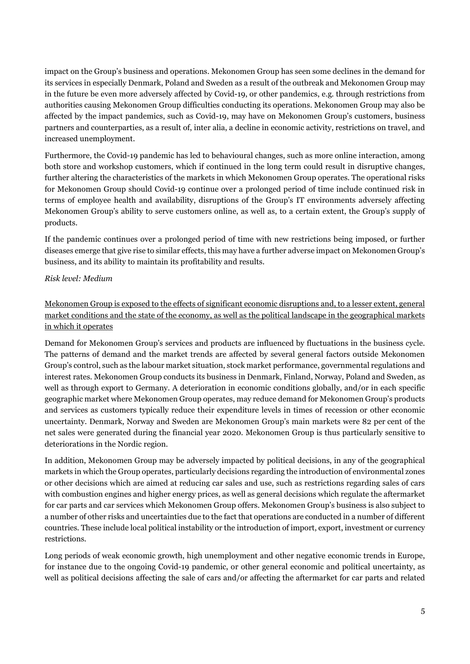impact on the Group's business and operations. Mekonomen Group has seen some declines in the demand for its services in especially Denmark, Poland and Sweden as a result of the outbreak and Mekonomen Group may in the future be even more adversely affected by Covid-19, or other pandemics, e.g. through restrictions from authorities causing Mekonomen Group difficulties conducting its operations. Mekonomen Group may also be affected by the impact pandemics, such as Covid-19, may have on Mekonomen Group's customers, business partners and counterparties, as a result of, inter alia, a decline in economic activity, restrictions on travel, and increased unemployment.

Furthermore, the Covid-19 pandemic has led to behavioural changes, such as more online interaction, among both store and workshop customers, which if continued in the long term could result in disruptive changes, further altering the characteristics of the markets in which Mekonomen Group operates. The operational risks for Mekonomen Group should Covid-19 continue over a prolonged period of time include continued risk in terms of employee health and availability, disruptions of the Group's IT environments adversely affecting Mekonomen Group's ability to serve customers online, as well as, to a certain extent, the Group's supply of products.

If the pandemic continues over a prolonged period of time with new restrictions being imposed, or further diseases emerge that give rise to similar effects, this may have a further adverse impact on Mekonomen Group's business, and its ability to maintain its profitability and results.

# *Risk level: Medium*

# Mekonomen Group is exposed to the effects of significant economic disruptions and, to a lesser extent, general market conditions and the state of the economy, as well as the political landscape in the geographical markets in which it operates

Demand for Mekonomen Group's services and products are influenced by fluctuations in the business cycle. The patterns of demand and the market trends are affected by several general factors outside Mekonomen Group's control, such as the labour market situation, stock market performance, governmental regulations and interest rates. Mekonomen Group conducts its business in Denmark, Finland, Norway, Poland and Sweden, as well as through export to Germany. A deterioration in economic conditions globally, and/or in each specific geographic market where Mekonomen Group operates, may reduce demand for Mekonomen Group's products and services as customers typically reduce their expenditure levels in times of recession or other economic uncertainty. Denmark, Norway and Sweden are Mekonomen Group's main markets were 82 per cent of the net sales were generated during the financial year 2020. Mekonomen Group is thus particularly sensitive to deteriorations in the Nordic region.

In addition, Mekonomen Group may be adversely impacted by political decisions, in any of the geographical markets in which the Group operates, particularly decisions regarding the introduction of environmental zones or other decisions which are aimed at reducing car sales and use, such as restrictions regarding sales of cars with combustion engines and higher energy prices, as well as general decisions which regulate the aftermarket for car parts and car services which Mekonomen Group offers. Mekonomen Group's business is also subject to a number of other risks and uncertainties due to the fact that operations are conducted in a number of different countries. These include local political instability or the introduction of import, export, investment or currency restrictions.

Long periods of weak economic growth, high unemployment and other negative economic trends in Europe, for instance due to the ongoing Covid-19 pandemic, or other general economic and political uncertainty, as well as political decisions affecting the sale of cars and/or affecting the aftermarket for car parts and related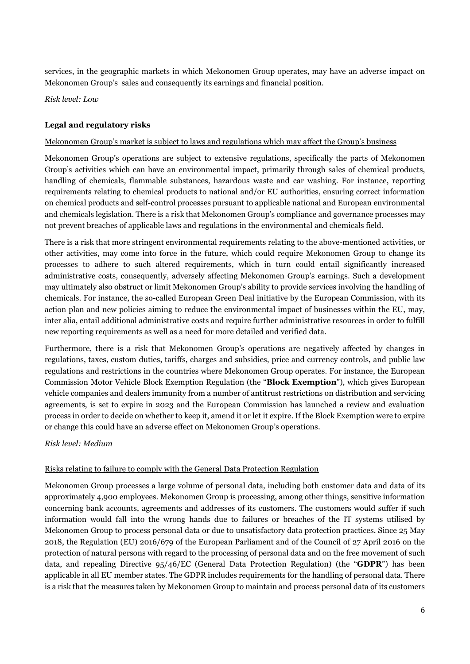services, in the geographic markets in which Mekonomen Group operates, may have an adverse impact on Mekonomen Group's sales and consequently its earnings and financial position.

*Risk level: Low* 

# **Legal and regulatory risks**

#### Mekonomen Group's market is subject to laws and regulations which may affect the Group's business

Mekonomen Group's operations are subject to extensive regulations, specifically the parts of Mekonomen Group's activities which can have an environmental impact, primarily through sales of chemical products, handling of chemicals, flammable substances, hazardous waste and car washing. For instance, reporting requirements relating to chemical products to national and/or EU authorities, ensuring correct information on chemical products and self-control processes pursuant to applicable national and European environmental and chemicals legislation. There is a risk that Mekonomen Group's compliance and governance processes may not prevent breaches of applicable laws and regulations in the environmental and chemicals field.

There is a risk that more stringent environmental requirements relating to the above-mentioned activities, or other activities, may come into force in the future, which could require Mekonomen Group to change its processes to adhere to such altered requirements, which in turn could entail significantly increased administrative costs, consequently, adversely affecting Mekonomen Group's earnings. Such a development may ultimately also obstruct or limit Mekonomen Group's ability to provide services involving the handling of chemicals. For instance, the so-called European Green Deal initiative by the European Commission, with its action plan and new policies aiming to reduce the environmental impact of businesses within the EU, may, inter alia, entail additional administrative costs and require further administrative resources in order to fulfill new reporting requirements as well as a need for more detailed and verified data.

Furthermore, there is a risk that Mekonomen Group's operations are negatively affected by changes in regulations, taxes, custom duties, tariffs, charges and subsidies, price and currency controls, and public law regulations and restrictions in the countries where Mekonomen Group operates. For instance, the European Commission Motor Vehicle Block Exemption Regulation (the "**Block Exemption**"), which gives European vehicle companies and dealers immunity from a number of antitrust restrictions on distribution and servicing agreements, is set to expire in 2023 and the European Commission has launched a review and evaluation process in order to decide on whether to keep it, amend it or let it expire. If the Block Exemption were to expire or change this could have an adverse effect on Mekonomen Group's operations.

*Risk level: Medium* 

#### Risks relating to failure to comply with the General Data Protection Regulation

Mekonomen Group processes a large volume of personal data, including both customer data and data of its approximately 4,900 employees. Mekonomen Group is processing, among other things, sensitive information concerning bank accounts, agreements and addresses of its customers. The customers would suffer if such information would fall into the wrong hands due to failures or breaches of the IT systems utilised by Mekonomen Group to process personal data or due to unsatisfactory data protection practices. Since 25 May 2018, the Regulation (EU) 2016/679 of the European Parliament and of the Council of 27 April 2016 on the protection of natural persons with regard to the processing of personal data and on the free movement of such data, and repealing Directive 95/46/EC (General Data Protection Regulation) (the "**GDPR**") has been applicable in all EU member states. The GDPR includes requirements for the handling of personal data. There is a risk that the measures taken by Mekonomen Group to maintain and process personal data of its customers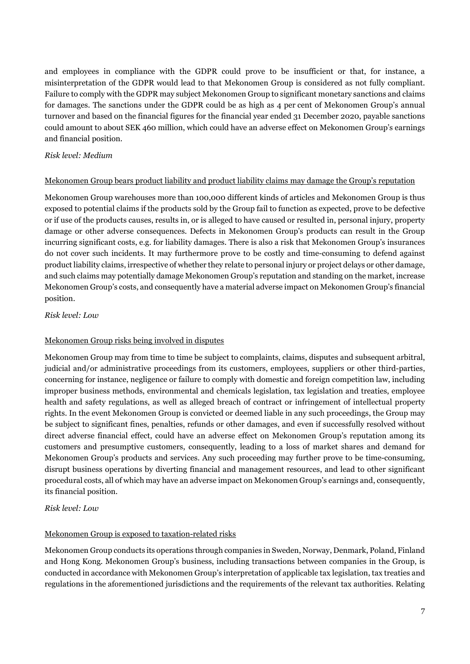and employees in compliance with the GDPR could prove to be insufficient or that, for instance, a misinterpretation of the GDPR would lead to that Mekonomen Group is considered as not fully compliant. Failure to comply with the GDPR may subject Mekonomen Group to significant monetary sanctions and claims for damages. The sanctions under the GDPR could be as high as 4 per cent of Mekonomen Group's annual turnover and based on the financial figures for the financial year ended 31 December 2020, payable sanctions could amount to about SEK 460 million, which could have an adverse effect on Mekonomen Group's earnings and financial position.

# *Risk level: Medium*

# Mekonomen Group bears product liability and product liability claims may damage the Group's reputation

Mekonomen Group warehouses more than 100,000 different kinds of articles and Mekonomen Group is thus exposed to potential claims if the products sold by the Group fail to function as expected, prove to be defective or if use of the products causes, results in, or is alleged to have caused or resulted in, personal injury, property damage or other adverse consequences. Defects in Mekonomen Group's products can result in the Group incurring significant costs, e.g. for liability damages. There is also a risk that Mekonomen Group's insurances do not cover such incidents. It may furthermore prove to be costly and time-consuming to defend against product liability claims, irrespective of whether they relate to personal injury or project delays or other damage, and such claims may potentially damage Mekonomen Group's reputation and standing on the market, increase Mekonomen Group's costs, and consequently have a material adverse impact on Mekonomen Group's financial position.

# *Risk level: Low*

#### Mekonomen Group risks being involved in disputes

Mekonomen Group may from time to time be subject to complaints, claims, disputes and subsequent arbitral, judicial and/or administrative proceedings from its customers, employees, suppliers or other third-parties, concerning for instance, negligence or failure to comply with domestic and foreign competition law, including improper business methods, environmental and chemicals legislation, tax legislation and treaties, employee health and safety regulations, as well as alleged breach of contract or infringement of intellectual property rights. In the event Mekonomen Group is convicted or deemed liable in any such proceedings, the Group may be subject to significant fines, penalties, refunds or other damages, and even if successfully resolved without direct adverse financial effect, could have an adverse effect on Mekonomen Group's reputation among its customers and presumptive customers, consequently, leading to a loss of market shares and demand for Mekonomen Group's products and services. Any such proceeding may further prove to be time-consuming, disrupt business operations by diverting financial and management resources, and lead to other significant procedural costs, all of which may have an adverse impact on Mekonomen Group's earnings and, consequently, its financial position.

# *Risk level: Low*

# Mekonomen Group is exposed to taxation-related risks

Mekonomen Group conducts its operations through companies in Sweden, Norway, Denmark, Poland, Finland and Hong Kong. Mekonomen Group's business, including transactions between companies in the Group, is conducted in accordance with Mekonomen Group's interpretation of applicable tax legislation, tax treaties and regulations in the aforementioned jurisdictions and the requirements of the relevant tax authorities. Relating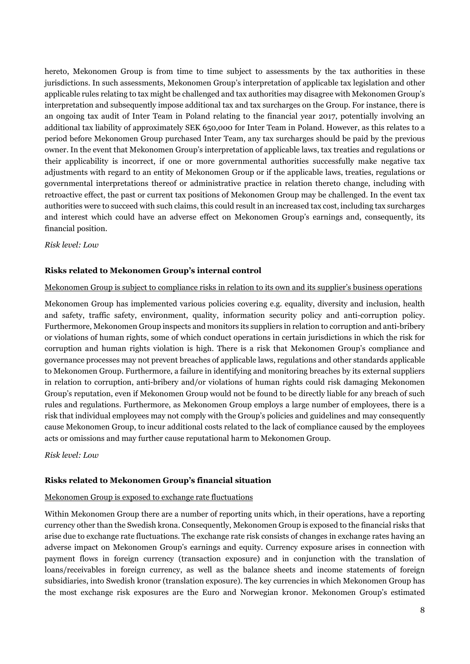hereto, Mekonomen Group is from time to time subject to assessments by the tax authorities in these jurisdictions. In such assessments, Mekonomen Group's interpretation of applicable tax legislation and other applicable rules relating to tax might be challenged and tax authorities may disagree with Mekonomen Group's interpretation and subsequently impose additional tax and tax surcharges on the Group. For instance, there is an ongoing tax audit of Inter Team in Poland relating to the financial year 2017, potentially involving an additional tax liability of approximately SEK 650,000 for Inter Team in Poland. However, as this relates to a period before Mekonomen Group purchased Inter Team, any tax surcharges should be paid by the previous owner. In the event that Mekonomen Group's interpretation of applicable laws, tax treaties and regulations or their applicability is incorrect, if one or more governmental authorities successfully make negative tax adjustments with regard to an entity of Mekonomen Group or if the applicable laws, treaties, regulations or governmental interpretations thereof or administrative practice in relation thereto change, including with retroactive effect, the past or current tax positions of Mekonomen Group may be challenged. In the event tax authorities were to succeed with such claims, this could result in an increased tax cost, including tax surcharges and interest which could have an adverse effect on Mekonomen Group's earnings and, consequently, its financial position.

#### *Risk level: Low*

#### **Risks related to Mekonomen Group's internal control**

#### Mekonomen Group is subject to compliance risks in relation to its own and its supplier's business operations

Mekonomen Group has implemented various policies covering e.g. equality, diversity and inclusion, health and safety, traffic safety, environment, quality, information security policy and anti-corruption policy. Furthermore, Mekonomen Group inspects and monitors its suppliers in relation to corruption and anti-bribery or violations of human rights, some of which conduct operations in certain jurisdictions in which the risk for corruption and human rights violation is high. There is a risk that Mekonomen Group's compliance and governance processes may not prevent breaches of applicable laws, regulations and other standards applicable to Mekonomen Group. Furthermore, a failure in identifying and monitoring breaches by its external suppliers in relation to corruption, anti-bribery and/or violations of human rights could risk damaging Mekonomen Group's reputation, even if Mekonomen Group would not be found to be directly liable for any breach of such rules and regulations. Furthermore, as Mekonomen Group employs a large number of employees, there is a risk that individual employees may not comply with the Group's policies and guidelines and may consequently cause Mekonomen Group, to incur additional costs related to the lack of compliance caused by the employees acts or omissions and may further cause reputational harm to Mekonomen Group.

*Risk level: Low* 

#### **Risks related to Mekonomen Group's financial situation**

#### Mekonomen Group is exposed to exchange rate fluctuations

Within Mekonomen Group there are a number of reporting units which, in their operations, have a reporting currency other than the Swedish krona. Consequently, Mekonomen Group is exposed to the financial risks that arise due to exchange rate fluctuations. The exchange rate risk consists of changes in exchange rates having an adverse impact on Mekonomen Group's earnings and equity. Currency exposure arises in connection with payment flows in foreign currency (transaction exposure) and in conjunction with the translation of loans/receivables in foreign currency, as well as the balance sheets and income statements of foreign subsidiaries, into Swedish kronor (translation exposure). The key currencies in which Mekonomen Group has the most exchange risk exposures are the Euro and Norwegian kronor. Mekonomen Group's estimated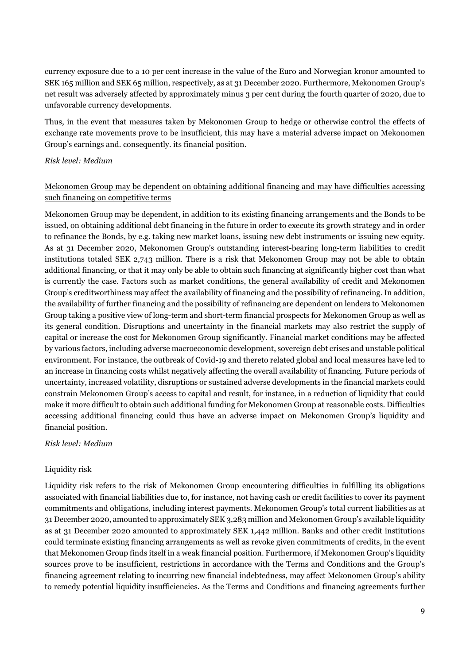currency exposure due to a 10 per cent increase in the value of the Euro and Norwegian kronor amounted to SEK 165 million and SEK 65 million, respectively, as at 31 December 2020. Furthermore, Mekonomen Group's net result was adversely affected by approximately minus 3 per cent during the fourth quarter of 2020, due to unfavorable currency developments.

Thus, in the event that measures taken by Mekonomen Group to hedge or otherwise control the effects of exchange rate movements prove to be insufficient, this may have a material adverse impact on Mekonomen Group's earnings and. consequently. its financial position.

#### *Risk level: Medium*

# Mekonomen Group may be dependent on obtaining additional financing and may have difficulties accessing such financing on competitive terms

Mekonomen Group may be dependent, in addition to its existing financing arrangements and the Bonds to be issued, on obtaining additional debt financing in the future in order to execute its growth strategy and in order to refinance the Bonds, by e.g. taking new market loans, issuing new debt instruments or issuing new equity. As at 31 December 2020, Mekonomen Group's outstanding interest-bearing long-term liabilities to credit institutions totaled SEK 2,743 million. There is a risk that Mekonomen Group may not be able to obtain additional financing, or that it may only be able to obtain such financing at significantly higher cost than what is currently the case. Factors such as market conditions, the general availability of credit and Mekonomen Group's creditworthiness may affect the availability of financing and the possibility of refinancing. In addition, the availability of further financing and the possibility of refinancing are dependent on lenders to Mekonomen Group taking a positive view of long-term and short-term financial prospects for Mekonomen Group as well as its general condition. Disruptions and uncertainty in the financial markets may also restrict the supply of capital or increase the cost for Mekonomen Group significantly. Financial market conditions may be affected by various factors, including adverse macroeconomic development, sovereign debt crises and unstable political environment. For instance, the outbreak of Covid-19 and thereto related global and local measures have led to an increase in financing costs whilst negatively affecting the overall availability of financing. Future periods of uncertainty, increased volatility, disruptions or sustained adverse developments in the financial markets could constrain Mekonomen Group's access to capital and result, for instance, in a reduction of liquidity that could make it more difficult to obtain such additional funding for Mekonomen Group at reasonable costs. Difficulties accessing additional financing could thus have an adverse impact on Mekonomen Group's liquidity and financial position.

#### *Risk level: Medium*

#### Liquidity risk

Liquidity risk refers to the risk of Mekonomen Group encountering difficulties in fulfilling its obligations associated with financial liabilities due to, for instance, not having cash or credit facilities to cover its payment commitments and obligations, including interest payments. Mekonomen Group's total current liabilities as at 31 December 2020, amounted to approximately SEK 3,283 million and Mekonomen Group's available liquidity as at 31 December 2020 amounted to approximately SEK 1,442 million. Banks and other credit institutions could terminate existing financing arrangements as well as revoke given commitments of credits, in the event that Mekonomen Group finds itself in a weak financial position. Furthermore, if Mekonomen Group's liquidity sources prove to be insufficient, restrictions in accordance with the Terms and Conditions and the Group's financing agreement relating to incurring new financial indebtedness, may affect Mekonomen Group's ability to remedy potential liquidity insufficiencies. As the Terms and Conditions and financing agreements further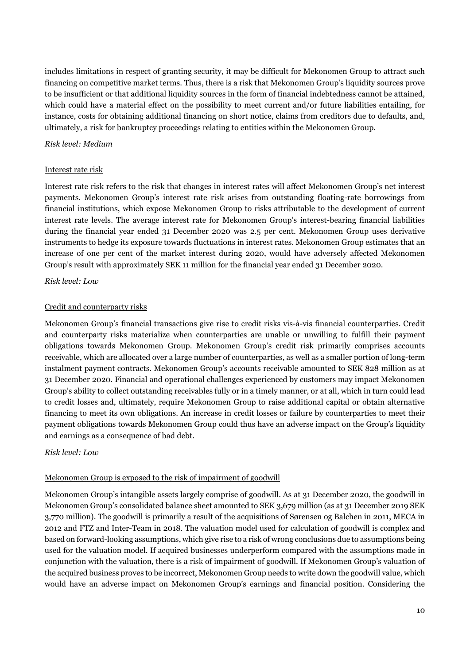includes limitations in respect of granting security, it may be difficult for Mekonomen Group to attract such financing on competitive market terms. Thus, there is a risk that Mekonomen Group's liquidity sources prove to be insufficient or that additional liquidity sources in the form of financial indebtedness cannot be attained, which could have a material effect on the possibility to meet current and/or future liabilities entailing, for instance, costs for obtaining additional financing on short notice, claims from creditors due to defaults, and, ultimately, a risk for bankruptcy proceedings relating to entities within the Mekonomen Group.

#### *Risk level: Medium*

# Interest rate risk

Interest rate risk refers to the risk that changes in interest rates will affect Mekonomen Group's net interest payments. Mekonomen Group's interest rate risk arises from outstanding floating-rate borrowings from financial institutions, which expose Mekonomen Group to risks attributable to the development of current interest rate levels. The average interest rate for Mekonomen Group's interest-bearing financial liabilities during the financial year ended 31 December 2020 was 2.5 per cent. Mekonomen Group uses derivative instruments to hedge its exposure towards fluctuations in interest rates. Mekonomen Group estimates that an increase of one per cent of the market interest during 2020, would have adversely affected Mekonomen Group's result with approximately SEK 11 million for the financial year ended 31 December 2020.

# *Risk level: Low*

# Credit and counterparty risks

Mekonomen Group's financial transactions give rise to credit risks vis-à-vis financial counterparties. Credit and counterparty risks materialize when counterparties are unable or unwilling to fulfill their payment obligations towards Mekonomen Group. Mekonomen Group's credit risk primarily comprises accounts receivable, which are allocated over a large number of counterparties, as well as a smaller portion of long-term instalment payment contracts. Mekonomen Group's accounts receivable amounted to SEK 828 million as at 31 December 2020. Financial and operational challenges experienced by customers may impact Mekonomen Group's ability to collect outstanding receivables fully or in a timely manner, or at all, which in turn could lead to credit losses and, ultimately, require Mekonomen Group to raise additional capital or obtain alternative financing to meet its own obligations. An increase in credit losses or failure by counterparties to meet their payment obligations towards Mekonomen Group could thus have an adverse impact on the Group's liquidity and earnings as a consequence of bad debt.

#### *Risk level: Low*

#### Mekonomen Group is exposed to the risk of impairment of goodwill

Mekonomen Group's intangible assets largely comprise of goodwill. As at 31 December 2020, the goodwill in Mekonomen Group's consolidated balance sheet amounted to SEK 3,679 million (as at 31 December 2019 SEK 3,770 million). The goodwill is primarily a result of the acquisitions of Sørensen og Balchen in 2011, MECA in 2012 and FTZ and Inter-Team in 2018. The valuation model used for calculation of goodwill is complex and based on forward-looking assumptions, which give rise to a risk of wrong conclusions due to assumptions being used for the valuation model. If acquired businesses underperform compared with the assumptions made in conjunction with the valuation, there is a risk of impairment of goodwill. If Mekonomen Group's valuation of the acquired business proves to be incorrect, Mekonomen Group needs to write down the goodwill value, which would have an adverse impact on Mekonomen Group's earnings and financial position. Considering the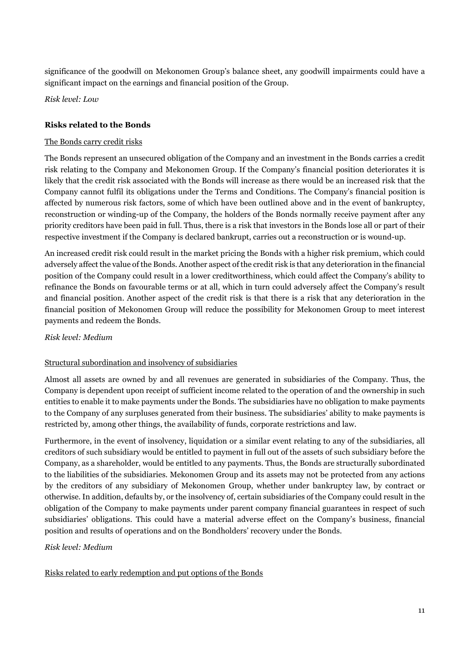significance of the goodwill on Mekonomen Group's balance sheet, any goodwill impairments could have a significant impact on the earnings and financial position of the Group.

*Risk level: Low* 

# **Risks related to the Bonds**

#### The Bonds carry credit risks

The Bonds represent an unsecured obligation of the Company and an investment in the Bonds carries a credit risk relating to the Company and Mekonomen Group. If the Company's financial position deteriorates it is likely that the credit risk associated with the Bonds will increase as there would be an increased risk that the Company cannot fulfil its obligations under the Terms and Conditions. The Company's financial position is affected by numerous risk factors, some of which have been outlined above and in the event of bankruptcy, reconstruction or winding-up of the Company, the holders of the Bonds normally receive payment after any priority creditors have been paid in full. Thus, there is a risk that investors in the Bonds lose all or part of their respective investment if the Company is declared bankrupt, carries out a reconstruction or is wound-up.

An increased credit risk could result in the market pricing the Bonds with a higher risk premium, which could adversely affect the value of the Bonds. Another aspect of the credit risk is that any deterioration in the financial position of the Company could result in a lower creditworthiness, which could affect the Company's ability to refinance the Bonds on favourable terms or at all, which in turn could adversely affect the Company's result and financial position. Another aspect of the credit risk is that there is a risk that any deterioration in the financial position of Mekonomen Group will reduce the possibility for Mekonomen Group to meet interest payments and redeem the Bonds.

#### *Risk level: Medium*

#### Structural subordination and insolvency of subsidiaries

Almost all assets are owned by and all revenues are generated in subsidiaries of the Company. Thus, the Company is dependent upon receipt of sufficient income related to the operation of and the ownership in such entities to enable it to make payments under the Bonds. The subsidiaries have no obligation to make payments to the Company of any surpluses generated from their business. The subsidiaries' ability to make payments is restricted by, among other things, the availability of funds, corporate restrictions and law.

Furthermore, in the event of insolvency, liquidation or a similar event relating to any of the subsidiaries, all creditors of such subsidiary would be entitled to payment in full out of the assets of such subsidiary before the Company, as a shareholder, would be entitled to any payments. Thus, the Bonds are structurally subordinated to the liabilities of the subsidiaries. Mekonomen Group and its assets may not be protected from any actions by the creditors of any subsidiary of Mekonomen Group, whether under bankruptcy law, by contract or otherwise. In addition, defaults by, or the insolvency of, certain subsidiaries of the Company could result in the obligation of the Company to make payments under parent company financial guarantees in respect of such subsidiaries' obligations. This could have a material adverse effect on the Company's business, financial position and results of operations and on the Bondholders' recovery under the Bonds.

#### *Risk level: Medium*

# Risks related to early redemption and put options of the Bonds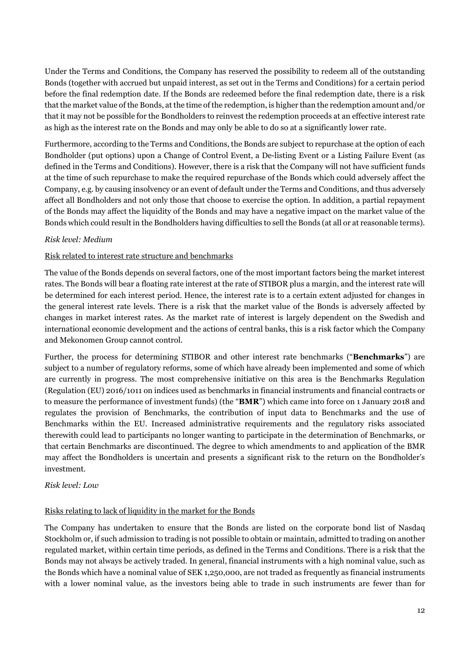Under the Terms and Conditions, the Company has reserved the possibility to redeem all of the outstanding Bonds (together with accrued but unpaid interest, as set out in the Terms and Conditions) for a certain period before the final redemption date. If the Bonds are redeemed before the final redemption date, there is a risk that the market value of the Bonds, at the time of the redemption, is higher than the redemption amount and/or that it may not be possible for the Bondholders to reinvest the redemption proceeds at an effective interest rate as high as the interest rate on the Bonds and may only be able to do so at a significantly lower rate.

Furthermore, according to the Terms and Conditions, the Bonds are subject to repurchase at the option of each Bondholder (put options) upon a Change of Control Event, a De-listing Event or a Listing Failure Event (as defined in the Terms and Conditions). However, there is a risk that the Company will not have sufficient funds at the time of such repurchase to make the required repurchase of the Bonds which could adversely affect the Company, e.g. by causing insolvency or an event of default under the Terms and Conditions, and thus adversely affect all Bondholders and not only those that choose to exercise the option. In addition, a partial repayment of the Bonds may affect the liquidity of the Bonds and may have a negative impact on the market value of the Bonds which could result in the Bondholders having difficulties to sell the Bonds (at all or at reasonable terms).

# *Risk level: Medium*

# Risk related to interest rate structure and benchmarks

The value of the Bonds depends on several factors, one of the most important factors being the market interest rates. The Bonds will bear a floating rate interest at the rate of STIBOR plus a margin, and the interest rate will be determined for each interest period. Hence, the interest rate is to a certain extent adjusted for changes in the general interest rate levels. There is a risk that the market value of the Bonds is adversely affected by changes in market interest rates. As the market rate of interest is largely dependent on the Swedish and international economic development and the actions of central banks, this is a risk factor which the Company and Mekonomen Group cannot control.

Further, the process for determining STIBOR and other interest rate benchmarks ("**Benchmarks**") are subject to a number of regulatory reforms, some of which have already been implemented and some of which are currently in progress. The most comprehensive initiative on this area is the Benchmarks Regulation (Regulation (EU) 2016/1011 on indices used as benchmarks in financial instruments and financial contracts or to measure the performance of investment funds) (the "**BMR**") which came into force on 1 January 2018 and regulates the provision of Benchmarks, the contribution of input data to Benchmarks and the use of Benchmarks within the EU. Increased administrative requirements and the regulatory risks associated therewith could lead to participants no longer wanting to participate in the determination of Benchmarks, or that certain Benchmarks are discontinued. The degree to which amendments to and application of the BMR may affect the Bondholders is uncertain and presents a significant risk to the return on the Bondholder's investment.

#### *Risk level: Low*

#### Risks relating to lack of liquidity in the market for the Bonds

The Company has undertaken to ensure that the Bonds are listed on the corporate bond list of Nasdaq Stockholm or, if such admission to trading is not possible to obtain or maintain, admitted to trading on another regulated market, within certain time periods, as defined in the Terms and Conditions. There is a risk that the Bonds may not always be actively traded. In general, financial instruments with a high nominal value, such as the Bonds which have a nominal value of SEK 1,250,000, are not traded as frequently as financial instruments with a lower nominal value, as the investors being able to trade in such instruments are fewer than for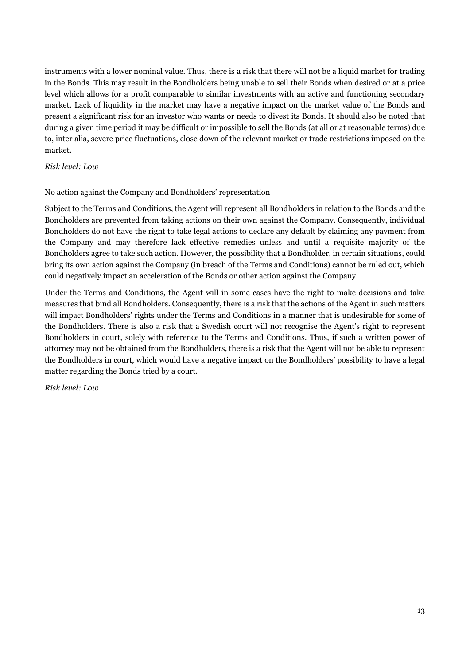instruments with a lower nominal value. Thus, there is a risk that there will not be a liquid market for trading in the Bonds. This may result in the Bondholders being unable to sell their Bonds when desired or at a price level which allows for a profit comparable to similar investments with an active and functioning secondary market. Lack of liquidity in the market may have a negative impact on the market value of the Bonds and present a significant risk for an investor who wants or needs to divest its Bonds. It should also be noted that during a given time period it may be difficult or impossible to sell the Bonds (at all or at reasonable terms) due to, inter alia, severe price fluctuations, close down of the relevant market or trade restrictions imposed on the market.

# *Risk level: Low*

# No action against the Company and Bondholders' representation

Subject to the Terms and Conditions, the Agent will represent all Bondholders in relation to the Bonds and the Bondholders are prevented from taking actions on their own against the Company. Consequently, individual Bondholders do not have the right to take legal actions to declare any default by claiming any payment from the Company and may therefore lack effective remedies unless and until a requisite majority of the Bondholders agree to take such action. However, the possibility that a Bondholder, in certain situations, could bring its own action against the Company (in breach of the Terms and Conditions) cannot be ruled out, which could negatively impact an acceleration of the Bonds or other action against the Company.

Under the Terms and Conditions, the Agent will in some cases have the right to make decisions and take measures that bind all Bondholders. Consequently, there is a risk that the actions of the Agent in such matters will impact Bondholders' rights under the Terms and Conditions in a manner that is undesirable for some of the Bondholders. There is also a risk that a Swedish court will not recognise the Agent's right to represent Bondholders in court, solely with reference to the Terms and Conditions. Thus, if such a written power of attorney may not be obtained from the Bondholders, there is a risk that the Agent will not be able to represent the Bondholders in court, which would have a negative impact on the Bondholders' possibility to have a legal matter regarding the Bonds tried by a court.

*Risk level: Low*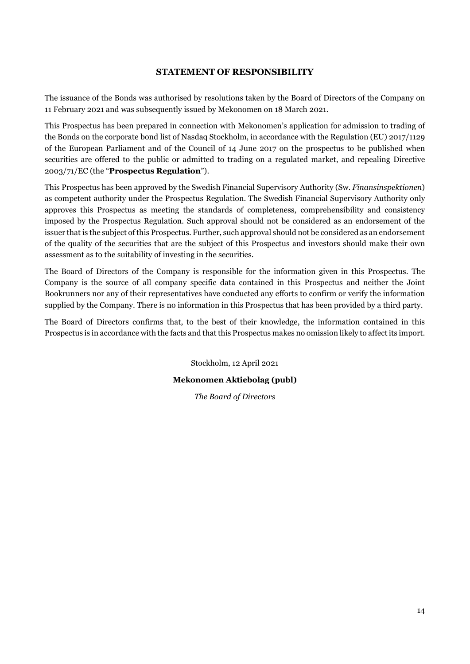# **STATEMENT OF RESPONSIBILITY**

<span id="page-16-0"></span>The issuance of the Bonds was authorised by resolutions taken by the Board of Directors of the Company on 11 February 2021 and was subsequently issued by Mekonomen on 18 March 2021.

This Prospectus has been prepared in connection with Mekonomen's application for admission to trading of the Bonds on the corporate bond list of Nasdaq Stockholm, in accordance with the Regulation (EU) 2017/1129 of the European Parliament and of the Council of 14 June 2017 on the prospectus to be published when securities are offered to the public or admitted to trading on a regulated market, and repealing Directive 2003/71/EC (the "**Prospectus Regulation**").

This Prospectus has been approved by the Swedish Financial Supervisory Authority (Sw. *Finansinspektionen*) as competent authority under the Prospectus Regulation. The Swedish Financial Supervisory Authority only approves this Prospectus as meeting the standards of completeness, comprehensibility and consistency imposed by the Prospectus Regulation. Such approval should not be considered as an endorsement of the issuer that is the subject of this Prospectus. Further, such approval should not be considered as an endorsement of the quality of the securities that are the subject of this Prospectus and investors should make their own assessment as to the suitability of investing in the securities.

The Board of Directors of the Company is responsible for the information given in this Prospectus. The Company is the source of all company specific data contained in this Prospectus and neither the Joint Bookrunners nor any of their representatives have conducted any efforts to confirm or verify the information supplied by the Company. There is no information in this Prospectus that has been provided by a third party.

The Board of Directors confirms that, to the best of their knowledge, the information contained in this Prospectus is in accordance with the facts and that this Prospectus makes no omission likely to affect its import.

Stockholm, 12 April 2021

#### **Mekonomen Aktiebolag (publ)**

*The Board of Directors*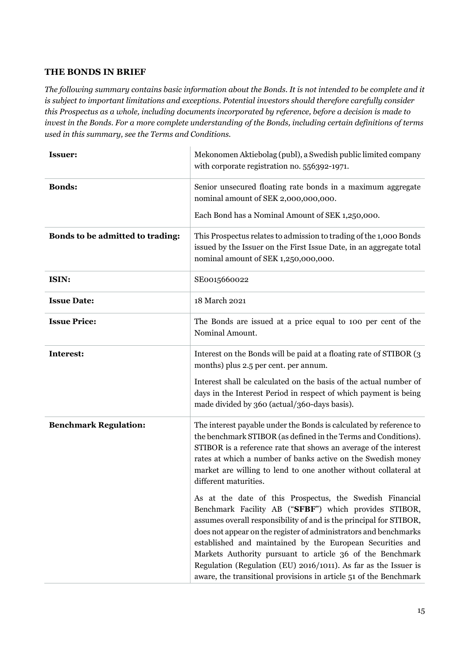# <span id="page-17-0"></span>**THE BONDS IN BRIEF**

*The following summary contains basic information about the Bonds. It is not intended to be complete and it is subject to important limitations and exceptions. Potential investors should therefore carefully consider this Prospectus as a whole, including documents incorporated by reference, before a decision is made to invest in the Bonds. For a more complete understanding of the Bonds, including certain definitions of terms used in this summary, see the Terms and Conditions.* 

<span id="page-17-1"></span>

| <b>Issuer:</b>                   | Mekonomen Aktiebolag (publ), a Swedish public limited company<br>with corporate registration no. 556392-1971.                                                                                                                                                                                                                                                                                                                                                                                                                 |
|----------------------------------|-------------------------------------------------------------------------------------------------------------------------------------------------------------------------------------------------------------------------------------------------------------------------------------------------------------------------------------------------------------------------------------------------------------------------------------------------------------------------------------------------------------------------------|
| <b>Bonds:</b>                    | Senior unsecured floating rate bonds in a maximum aggregate<br>nominal amount of SEK 2,000,000,000.                                                                                                                                                                                                                                                                                                                                                                                                                           |
|                                  | Each Bond has a Nominal Amount of SEK 1,250,000.                                                                                                                                                                                                                                                                                                                                                                                                                                                                              |
| Bonds to be admitted to trading: | This Prospectus relates to admission to trading of the 1,000 Bonds<br>issued by the Issuer on the First Issue Date, in an aggregate total<br>nominal amount of SEK 1,250,000,000.                                                                                                                                                                                                                                                                                                                                             |
| ISIN:                            | SE0015660022                                                                                                                                                                                                                                                                                                                                                                                                                                                                                                                  |
| <b>Issue Date:</b>               | 18 March 2021                                                                                                                                                                                                                                                                                                                                                                                                                                                                                                                 |
| <b>Issue Price:</b>              | The Bonds are issued at a price equal to 100 per cent of the<br>Nominal Amount.                                                                                                                                                                                                                                                                                                                                                                                                                                               |
| Interest:                        | Interest on the Bonds will be paid at a floating rate of STIBOR (3)<br>months) plus 2.5 per cent. per annum.                                                                                                                                                                                                                                                                                                                                                                                                                  |
|                                  | Interest shall be calculated on the basis of the actual number of<br>days in the Interest Period in respect of which payment is being<br>made divided by 360 (actual/360-days basis).                                                                                                                                                                                                                                                                                                                                         |
| <b>Benchmark Regulation:</b>     | The interest payable under the Bonds is calculated by reference to<br>the benchmark STIBOR (as defined in the Terms and Conditions).<br>STIBOR is a reference rate that shows an average of the interest<br>rates at which a number of banks active on the Swedish money<br>market are willing to lend to one another without collateral at<br>different maturities.                                                                                                                                                          |
|                                  | As at the date of this Prospectus, the Swedish Financial<br>Benchmark Facility AB ("SFBF") which provides STIBOR,<br>assumes overall responsibility of and is the principal for STIBOR,<br>does not appear on the register of administrators and benchmarks<br>established and maintained by the European Securities and<br>Markets Authority pursuant to article 36 of the Benchmark<br>Regulation (Regulation (EU) 2016/1011). As far as the Issuer is<br>aware, the transitional provisions in article 51 of the Benchmark |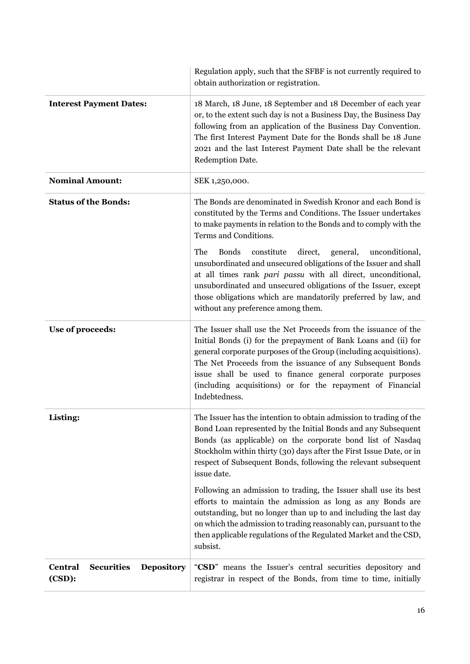|                                                                    | Regulation apply, such that the SFBF is not currently required to<br>obtain authorization or registration.                                                                                                                                                                                                                                                                                                       |
|--------------------------------------------------------------------|------------------------------------------------------------------------------------------------------------------------------------------------------------------------------------------------------------------------------------------------------------------------------------------------------------------------------------------------------------------------------------------------------------------|
| <b>Interest Payment Dates:</b>                                     | 18 March, 18 June, 18 September and 18 December of each year<br>or, to the extent such day is not a Business Day, the Business Day<br>following from an application of the Business Day Convention.<br>The first Interest Payment Date for the Bonds shall be 18 June<br>2021 and the last Interest Payment Date shall be the relevant<br>Redemption Date.                                                       |
| <b>Nominal Amount:</b>                                             | SEK 1,250,000.                                                                                                                                                                                                                                                                                                                                                                                                   |
| <b>Status of the Bonds:</b>                                        | The Bonds are denominated in Swedish Kronor and each Bond is<br>constituted by the Terms and Conditions. The Issuer undertakes<br>to make payments in relation to the Bonds and to comply with the<br>Terms and Conditions.                                                                                                                                                                                      |
|                                                                    | constitute<br>The<br><b>Bonds</b><br>direct,<br>general,<br>unconditional,<br>unsubordinated and unsecured obligations of the Issuer and shall<br>at all times rank pari passu with all direct, unconditional,<br>unsubordinated and unsecured obligations of the Issuer, except<br>those obligations which are mandatorily preferred by law, and<br>without any preference among them.                          |
| Use of proceeds:                                                   | The Issuer shall use the Net Proceeds from the issuance of the<br>Initial Bonds (i) for the prepayment of Bank Loans and (ii) for<br>general corporate purposes of the Group (including acquisitions).<br>The Net Proceeds from the issuance of any Subsequent Bonds<br>issue shall be used to finance general corporate purposes<br>(including acquisitions) or for the repayment of Financial<br>Indebtedness. |
| Listing:                                                           | The Issuer has the intention to obtain admission to trading of the<br>Bond Loan represented by the Initial Bonds and any Subsequent<br>Bonds (as applicable) on the corporate bond list of Nasdaq<br>Stockholm within thirty (30) days after the First Issue Date, or in<br>respect of Subsequent Bonds, following the relevant subsequent<br>issue date.                                                        |
|                                                                    | Following an admission to trading, the Issuer shall use its best<br>efforts to maintain the admission as long as any Bonds are<br>outstanding, but no longer than up to and including the last day<br>on which the admission to trading reasonably can, pursuant to the<br>then applicable regulations of the Regulated Market and the CSD,<br>subsist.                                                          |
| <b>Central</b><br><b>Securities</b><br><b>Depository</b><br>(CSD): | "CSD" means the Issuer's central securities depository and<br>registrar in respect of the Bonds, from time to time, initially                                                                                                                                                                                                                                                                                    |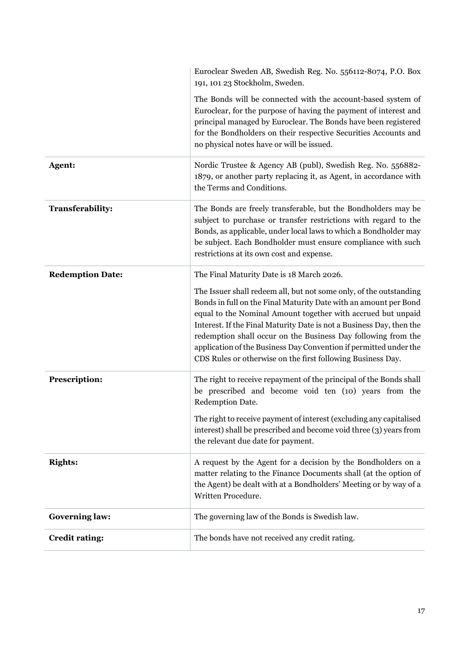|                         | Euroclear Sweden AB, Swedish Reg. No. 556112-8074, P.O. Box<br>191, 101 23 Stockholm, Sweden.                                                                                                                                                                                                                                                                                                                                                                                       |
|-------------------------|-------------------------------------------------------------------------------------------------------------------------------------------------------------------------------------------------------------------------------------------------------------------------------------------------------------------------------------------------------------------------------------------------------------------------------------------------------------------------------------|
|                         | The Bonds will be connected with the account-based system of<br>Euroclear, for the purpose of having the payment of interest and<br>principal managed by Euroclear. The Bonds have been registered<br>for the Bondholders on their respective Securities Accounts and<br>no physical notes have or will be issued.                                                                                                                                                                  |
| Agent:                  | Nordic Trustee & Agency AB (publ), Swedish Reg. No. 556882-<br>1879, or another party replacing it, as Agent, in accordance with<br>the Terms and Conditions.                                                                                                                                                                                                                                                                                                                       |
| <b>Transferability:</b> | The Bonds are freely transferable, but the Bondholders may be<br>subject to purchase or transfer restrictions with regard to the<br>Bonds, as applicable, under local laws to which a Bondholder may<br>be subject. Each Bondholder must ensure compliance with such<br>restrictions at its own cost and expense.                                                                                                                                                                   |
| <b>Redemption Date:</b> | The Final Maturity Date is 18 March 2026.                                                                                                                                                                                                                                                                                                                                                                                                                                           |
|                         | The Issuer shall redeem all, but not some only, of the outstanding<br>Bonds in full on the Final Maturity Date with an amount per Bond<br>equal to the Nominal Amount together with accrued but unpaid<br>Interest. If the Final Maturity Date is not a Business Day, then the<br>redemption shall occur on the Business Day following from the<br>application of the Business Day Convention if permitted under the<br>CDS Rules or otherwise on the first following Business Day. |
| <b>Prescription:</b>    | The right to receive repayment of the principal of the Bonds shall<br>be prescribed and become void ten (10) years from the<br>Redemption Date.                                                                                                                                                                                                                                                                                                                                     |
|                         | The right to receive payment of interest (excluding any capitalised<br>interest) shall be prescribed and become void three (3) years from<br>the relevant due date for payment.                                                                                                                                                                                                                                                                                                     |
| <b>Rights:</b>          | A request by the Agent for a decision by the Bondholders on a<br>matter relating to the Finance Documents shall (at the option of<br>the Agent) be dealt with at a Bondholders' Meeting or by way of a<br>Written Procedure.                                                                                                                                                                                                                                                        |
| <b>Governing law:</b>   | The governing law of the Bonds is Swedish law.                                                                                                                                                                                                                                                                                                                                                                                                                                      |
| <b>Credit rating:</b>   | The bonds have not received any credit rating.                                                                                                                                                                                                                                                                                                                                                                                                                                      |
|                         |                                                                                                                                                                                                                                                                                                                                                                                                                                                                                     |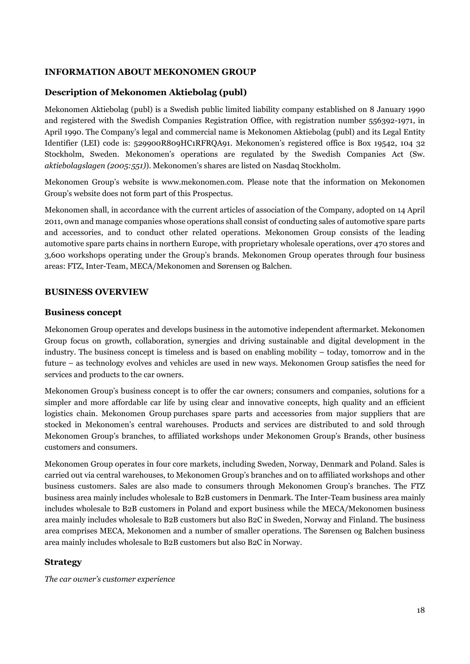# <span id="page-20-0"></span>**INFORMATION ABOUT MEKONOMEN GROUP**

# **Description of Mekonomen Aktiebolag (publ)**

Mekonomen Aktiebolag (publ) is a Swedish public limited liability company established on 8 January 1990 and registered with the Swedish Companies Registration Office, with registration number 556392-1971, in April 1990. The Company's legal and commercial name is Mekonomen Aktiebolag (publ) and its Legal Entity Identifier (LEI) code is: 529900R809HC1RFRQA91. Mekonomen's registered office is Box 19542, 104 32 Stockholm, Sweden. Mekonomen's operations are regulated by the Swedish Companies Act (Sw. *aktiebolagslagen (2005:551)*). Mekonomen's shares are listed on Nasdaq Stockholm.

Mekonomen Group's website is www.mekonomen.com. Please note that the information on Mekonomen Group's website does not form part of this Prospectus.

Mekonomen shall, in accordance with the current articles of association of the Company, adopted on 14 April 2011, own and manage companies whose operations shall consist of conducting sales of automotive spare parts and accessories, and to conduct other related operations. Mekonomen Group consists of the leading automotive spare parts chains in northern Europe, with proprietary wholesale operations, over 470 stores and 3,600 workshops operating under the Group's brands. Mekonomen Group operates through four business areas: FTZ, Inter-Team, MECA/Mekonomen and Sørensen og Balchen.

#### <span id="page-20-1"></span>**BUSINESS OVERVIEW**

#### **Business concept**

Mekonomen Group operates and develops business in the automotive independent aftermarket. Mekonomen Group focus on growth, collaboration, synergies and driving sustainable and digital development in the industry. The business concept is timeless and is based on enabling mobility – today, tomorrow and in the future – as technology evolves and vehicles are used in new ways. Mekonomen Group satisfies the need for services and products to the car owners.

Mekonomen Group's business concept is to offer the car owners; consumers and companies, solutions for a simpler and more affordable car life by using clear and innovative concepts, high quality and an efficient logistics chain. Mekonomen Group purchases spare parts and accessories from major suppliers that are stocked in Mekonomen's central warehouses. Products and services are distributed to and sold through Mekonomen Group's branches, to affiliated workshops under Mekonomen Group's Brands, other business customers and consumers.

Mekonomen Group operates in four core markets, including Sweden, Norway, Denmark and Poland. Sales is carried out via central warehouses, to Mekonomen Group's branches and on to affiliated workshops and other business customers. Sales are also made to consumers through Mekonomen Group's branches. The FTZ business area mainly includes wholesale to B2B customers in Denmark. The Inter-Team business area mainly includes wholesale to B2B customers in Poland and export business while the MECA/Mekonomen business area mainly includes wholesale to B2B customers but also B2C in Sweden, Norway and Finland. The business area comprises MECA, Mekonomen and a number of smaller operations. The Sørensen og Balchen business area mainly includes wholesale to B2B customers but also B2C in Norway.

#### **Strategy**

*The car owner's customer experience*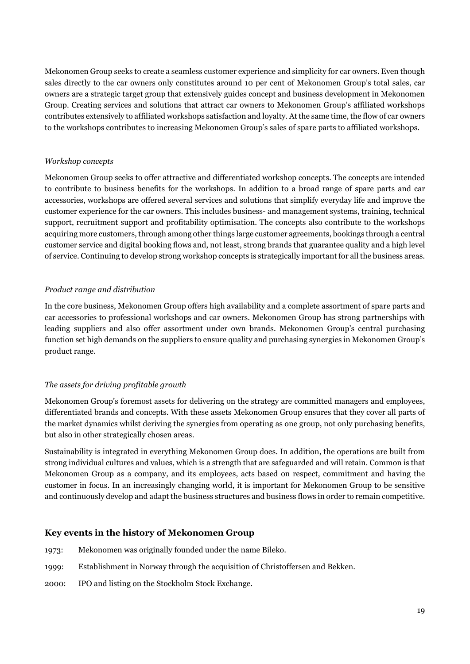Mekonomen Group seeks to create a seamless customer experience and simplicity for car owners. Even though sales directly to the car owners only constitutes around 10 per cent of Mekonomen Group's total sales, car owners are a strategic target group that extensively guides concept and business development in Mekonomen Group. Creating services and solutions that attract car owners to Mekonomen Group's affiliated workshops contributes extensively to affiliated workshops satisfaction and loyalty. At the same time, the flow of car owners to the workshops contributes to increasing Mekonomen Group's sales of spare parts to affiliated workshops.

# *Workshop concepts*

Mekonomen Group seeks to offer attractive and differentiated workshop concepts. The concepts are intended to contribute to business benefits for the workshops. In addition to a broad range of spare parts and car accessories, workshops are offered several services and solutions that simplify everyday life and improve the customer experience for the car owners. This includes business- and management systems, training, technical support, recruitment support and profitability optimisation. The concepts also contribute to the workshops acquiring more customers, through among other things large customer agreements, bookings through a central customer service and digital booking flows and, not least, strong brands that guarantee quality and a high level of service. Continuing to develop strong workshop concepts is strategically important for all the business areas.

# *Product range and distribution*

In the core business, Mekonomen Group offers high availability and a complete assortment of spare parts and car accessories to professional workshops and car owners. Mekonomen Group has strong partnerships with leading suppliers and also offer assortment under own brands. Mekonomen Group's central purchasing function set high demands on the suppliers to ensure quality and purchasing synergies in Mekonomen Group's product range.

# *The assets for driving profitable growth*

Mekonomen Group's foremost assets for delivering on the strategy are committed managers and employees, differentiated brands and concepts. With these assets Mekonomen Group ensures that they cover all parts of the market dynamics whilst deriving the synergies from operating as one group, not only purchasing benefits, but also in other strategically chosen areas.

Sustainability is integrated in everything Mekonomen Group does. In addition, the operations are built from strong individual cultures and values, which is a strength that are safeguarded and will retain. Common is that Mekonomen Group as a company, and its employees, acts based on respect, commitment and having the customer in focus. In an increasingly changing world, it is important for Mekonomen Group to be sensitive and continuously develop and adapt the business structures and business flows in order to remain competitive.

# **Key events in the history of Mekonomen Group**

- 1973: Mekonomen was originally founded under the name Bileko.
- 1999: Establishment in Norway through the acquisition of Christoffersen and Bekken.
- 2000: IPO and listing on the Stockholm Stock Exchange.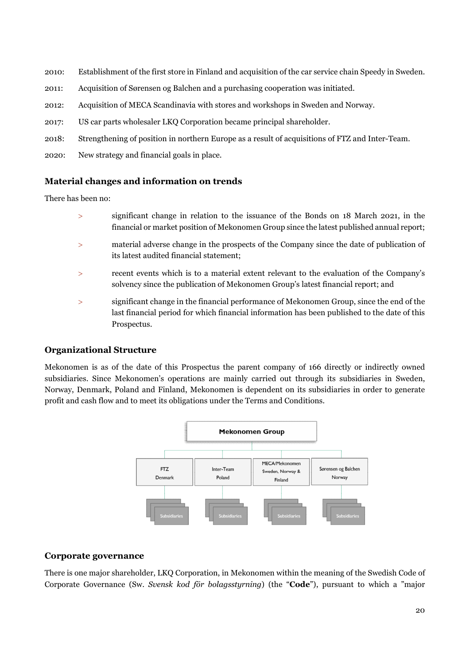- 2010: Establishment of the first store in Finland and acquisition of the car service chain Speedy in Sweden.
- 2011: Acquisition of Sørensen og Balchen and a purchasing cooperation was initiated.
- 2012: Acquisition of MECA Scandinavia with stores and workshops in Sweden and Norway.
- 2017: US car parts wholesaler LKQ Corporation became principal shareholder.
- 2018: Strengthening of position in northern Europe as a result of acquisitions of FTZ and Inter-Team.
- 2020: New strategy and financial goals in place.

# **Material changes and information on trends**

There has been no:

- significant change in relation to the issuance of the Bonds on 18 March 2021, in the financial or market position of Mekonomen Group since the latest published annual report;
- material adverse change in the prospects of the Company since the date of publication of its latest audited financial statement;
- recent events which is to a material extent relevant to the evaluation of the Company's solvency since the publication of Mekonomen Group's latest financial report; and
- significant change in the financial performance of Mekonomen Group, since the end of the last financial period for which financial information has been published to the date of this Prospectus.

# **Organizational Structure**

Mekonomen is as of the date of this Prospectus the parent company of 166 directly or indirectly owned subsidiaries. Since Mekonomen's operations are mainly carried out through its subsidiaries in Sweden, Norway, Denmark, Poland and Finland, Mekonomen is dependent on its subsidiaries in order to generate profit and cash flow and to meet its obligations under the Terms and Conditions.



# **Corporate governance**

There is one major shareholder, LKQ Corporation, in Mekonomen within the meaning of the Swedish Code of Corporate Governance (Sw. *Svensk kod för bolagsstyrning*) (the "**Code**"), pursuant to which a "major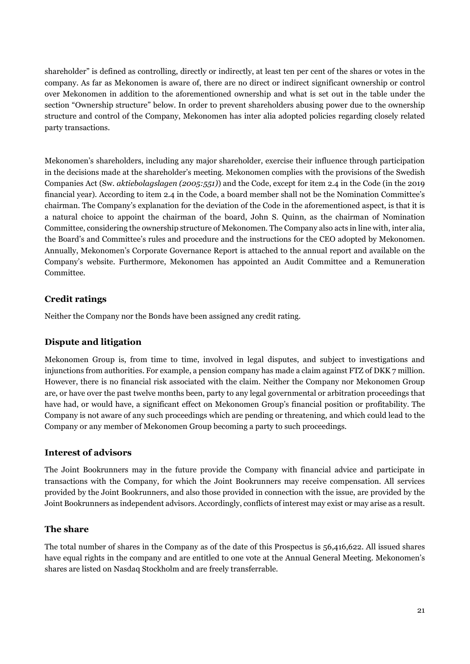shareholder" is defined as controlling, directly or indirectly, at least ten per cent of the shares or votes in the company. As far as Mekonomen is aware of, there are no direct or indirect significant ownership or control over Mekonomen in addition to the aforementioned ownership and what is set out in the table under the section "Ownership structure" below. In order to prevent shareholders abusing power due to the ownership structure and control of the Company, Mekonomen has inter alia adopted policies regarding closely related party transactions.

Mekonomen's shareholders, including any major shareholder, exercise their influence through participation in the decisions made at the shareholder's meeting. Mekonomen complies with the provisions of the Swedish Companies Act (Sw. *aktiebolagslagen (2005:551)*) and the Code, except for item 2.4 in the Code (in the 2019 financial year). According to item 2.4 in the Code, a board member shall not be the Nomination Committee's chairman. The Company's explanation for the deviation of the Code in the aforementioned aspect, is that it is a natural choice to appoint the chairman of the board, John S. Quinn, as the chairman of Nomination Committee, considering the ownership structure of Mekonomen. The Company also acts in line with, inter alia, the Board's and Committee's rules and procedure and the instructions for the CEO adopted by Mekonomen. Annually, Mekonomen's Corporate Governance Report is attached to the annual report and available on the Company's website. Furthermore, Mekonomen has appointed an Audit Committee and a Remuneration Committee.

# **Credit ratings**

Neither the Company nor the Bonds have been assigned any credit rating.

# **Dispute and litigation**

Mekonomen Group is, from time to time, involved in legal disputes, and subject to investigations and injunctions from authorities. For example, a pension company has made a claim against FTZ of DKK 7 million. However, there is no financial risk associated with the claim. Neither the Company nor Mekonomen Group are, or have over the past twelve months been, party to any legal governmental or arbitration proceedings that have had, or would have, a significant effect on Mekonomen Group's financial position or profitability. The Company is not aware of any such proceedings which are pending or threatening, and which could lead to the Company or any member of Mekonomen Group becoming a party to such proceedings.

#### **Interest of advisors**

The Joint Bookrunners may in the future provide the Company with financial advice and participate in transactions with the Company, for which the Joint Bookrunners may receive compensation. All services provided by the Joint Bookrunners, and also those provided in connection with the issue, are provided by the Joint Bookrunners as independent advisors. Accordingly, conflicts of interest may exist or may arise as a result.

#### **The share**

The total number of shares in the Company as of the date of this Prospectus is 56,416,622. All issued shares have equal rights in the company and are entitled to one vote at the Annual General Meeting. Mekonomen's shares are listed on Nasdaq Stockholm and are freely transferrable.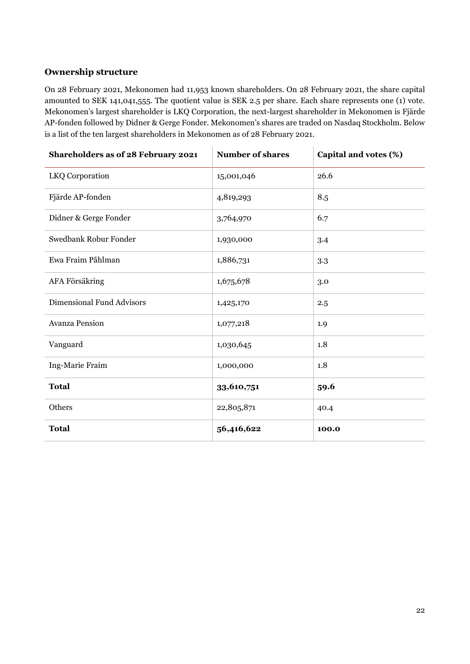# **Ownership structure**

On 28 February 2021, Mekonomen had 11,953 known shareholders. On 28 February 2021, the share capital amounted to SEK 141,041,555. The quotient value is SEK 2.5 per share. Each share represents one (1) vote. Mekonomen's largest shareholder is LKQ Corporation, the next-largest shareholder in Mekonomen is Fjärde AP-fonden followed by Didner & Gerge Fonder. Mekonomen's shares are traded on Nasdaq Stockholm. Below is a list of the ten largest shareholders in Mekonomen as of 28 February 2021.

| Shareholders as of 28 February 2021 | <b>Number of shares</b> | Capital and votes (%) |
|-------------------------------------|-------------------------|-----------------------|
| LKQ Corporation                     | 15,001,046              | 26.6                  |
| Fjärde AP-fonden                    | 4,819,293               | 8.5                   |
| Didner & Gerge Fonder               | 3,764,970               | 6.7                   |
| Swedbank Robur Fonder               | 1,930,000               | 3.4                   |
| Ewa Fraim Påhlman                   | 1,886,731               | 3.3                   |
| AFA Försäkring                      | 1,675,678               | 3.0                   |
| <b>Dimensional Fund Advisors</b>    | 1,425,170               | 2.5                   |
| <b>Avanza Pension</b>               | 1,077,218               | 1.9                   |
| Vanguard                            | 1,030,645               | 1.8                   |
| Ing-Marie Fraim                     | 1,000,000               | 1.8                   |
| <b>Total</b>                        | 33,610,751              | 59.6                  |
| Others                              | 22,805,871              | 40.4                  |
| <b>Total</b>                        | 56,416,622              | 100.0                 |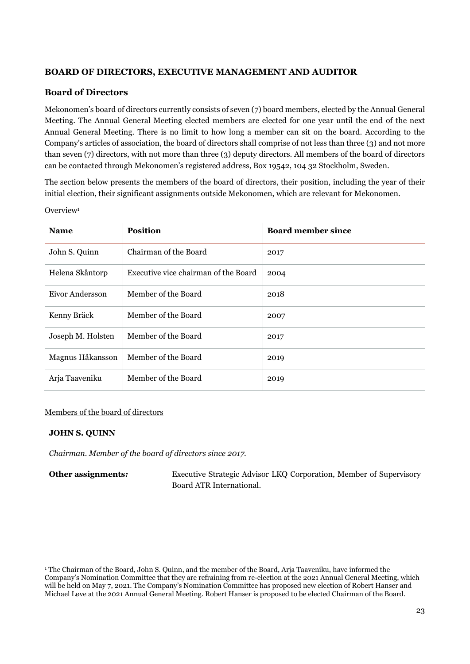# <span id="page-25-0"></span>**BOARD OF DIRECTORS, EXECUTIVE MANAGEMENT AND AUDITOR**

# **Board of Directors**

Mekonomen's board of directors currently consists of seven (7) board members, elected by the Annual General Meeting. The Annual General Meeting elected members are elected for one year until the end of the next Annual General Meeting. There is no limit to how long a member can sit on the board. According to the Company's articles of association, the board of directors shall comprise of not less than three (3) and not more than seven (7) directors, with not more than three (3) deputy directors. All members of the board of directors can be contacted through Mekonomen's registered address, Box 19542, 104 32 Stockholm, Sweden.

The section below presents the members of the board of directors, their position, including the year of their initial election, their significant assignments outside Mekonomen, which are relevant for Mekonomen.

| <b>Name</b>       | <b>Position</b>                      | <b>Board member since</b> |
|-------------------|--------------------------------------|---------------------------|
| John S. Quinn     | Chairman of the Board                | 2017                      |
| Helena Skåntorp   | Executive vice chairman of the Board | 2004                      |
| Eivor Andersson   | Member of the Board                  | 2018                      |
| Kenny Bräck       | Member of the Board                  | 2007                      |
| Joseph M. Holsten | Member of the Board                  | 2017                      |
| Magnus Håkansson  | Member of the Board                  | 2019                      |
| Arja Taaveniku    | Member of the Board                  | 2019                      |

Overview<sup>1</sup>

#### Members of the board of directors

#### **JOHN S. QUINN**

*Chairman. Member of the board of directors since 2017.*

**Other assignments:** Executive Strategic Advisor LKQ Corporation, Member of Supervisory Board ATR International.

<sup>1</sup> The Chairman of the Board, John S. Quinn, and the member of the Board, Arja Taaveniku, have informed the Company's Nomination Committee that they are refraining from re-election at the 2021 Annual General Meeting, which will be held on May 7, 2021. The Company's Nomination Committee has proposed new election of Robert Hanser and Michael Løve at the 2021 Annual General Meeting. Robert Hanser is proposed to be elected Chairman of the Board.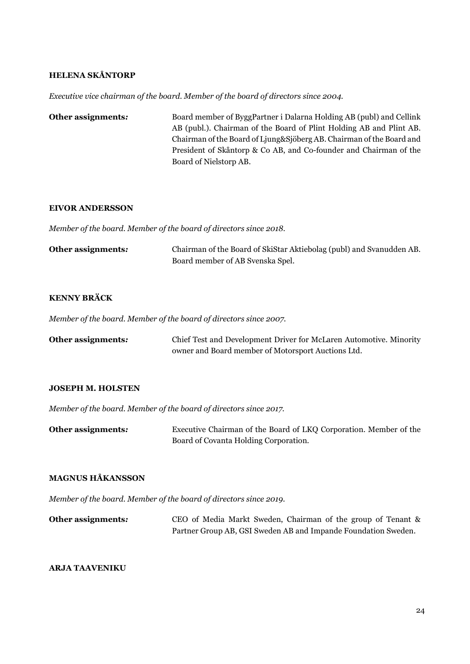#### **HELENA SKÅNTORP**

*Executive vice chairman of the board. Member of the board of directors since 2004.*

**Other assignments:** Board member of ByggPartner i Dalarna Holding AB (publ) and Cellink AB (publ.). Chairman of the Board of Plint Holding AB and Plint AB. Chairman of the Board of Ljung&Sjöberg AB. Chairman of the Board and President of Skåntorp & Co AB, and Co-founder and Chairman of the Board of Nielstorp AB.

#### **EIVOR ANDERSSON**

*Member of the board. Member of the board of directors since 2018.*

| Other assignments: | Chairman of the Board of SkiStar Aktiebolag (publ) and Svanudden AB. |
|--------------------|----------------------------------------------------------------------|
|                    | Board member of AB Svenska Spel.                                     |

# **KENNY BRÄCK**

*Member of the board. Member of the board of directors since 2007.*

| Other assignments: | Chief Test and Development Driver for McLaren Automotive. Minority |
|--------------------|--------------------------------------------------------------------|
|                    | owner and Board member of Motorsport Auctions Ltd.                 |

#### **JOSEPH M. HOLSTEN**

*Member of the board. Member of the board of directors since 2017.* 

**Other assignments:** Executive Chairman of the Board of LKQ Corporation. Member of the Board of Covanta Holding Corporation.

#### **MAGNUS HÅKANSSON**

*Member of the board. Member of the board of directors since 2019.* 

| Other assignments: | CEO of Media Markt Sweden, Chairman of the group of Tenant &   |
|--------------------|----------------------------------------------------------------|
|                    | Partner Group AB, GSI Sweden AB and Impande Foundation Sweden. |

#### **ARJA TAAVENIKU**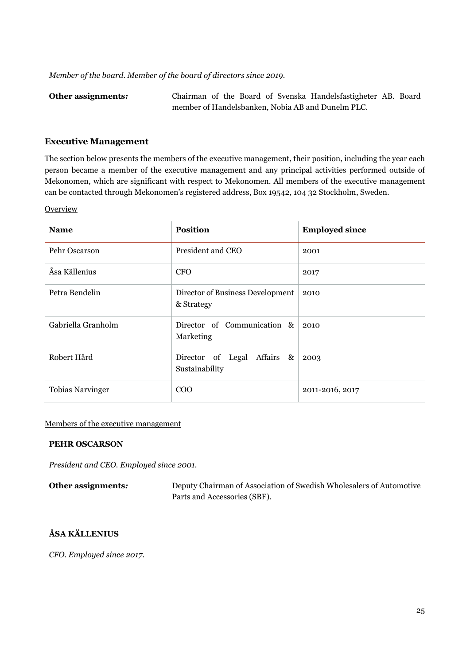*Member of the board. Member of the board of directors since 2019.* 

**Other assignments***:* Chairman of the Board of Svenska Handelsfastigheter AB. Board member of Handelsbanken, Nobia AB and Dunelm PLC.

#### **Executive Management**

The section below presents the members of the executive management, their position, including the year each person became a member of the executive management and any principal activities performed outside of Mekonomen, which are significant with respect to Mekonomen. All members of the executive management can be contacted through Mekonomen's registered address, Box 19542, 104 32 Stockholm, Sweden.

**Overview** 

| <b>Name</b>             | <b>Position</b>                                | <b>Employed since</b> |
|-------------------------|------------------------------------------------|-----------------------|
| Pehr Oscarson           | President and CEO                              | 2001                  |
| Åsa Källenius           | <b>CFO</b>                                     | 2017                  |
| Petra Bendelin          | Director of Business Development<br>& Strategy | 2010                  |
| Gabriella Granholm      | Director of Communication &<br>Marketing       | 2010                  |
| Robert Hård             | Director of Legal Affairs &<br>Sustainability  | 2003                  |
| <b>Tobias Narvinger</b> | $\rm{COO}$                                     | 2011-2016, 2017       |

#### Members of the executive management

#### **PEHR OSCARSON**

*President and CEO. Employed since 2001.*

| Other assignments: | Deputy Chairman of Association of Swedish Wholesalers of Automotive |
|--------------------|---------------------------------------------------------------------|
|                    | Parts and Accessories (SBF).                                        |

#### **ÅSA KÄLLENIUS**

*CFO. Employed since 2017.*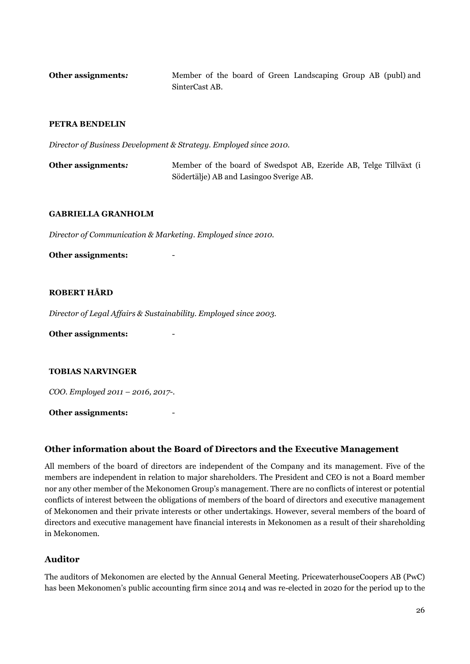**Other assignments***:* Member of the board of Green Landscaping Group AB (publ) and SinterCast AB.

#### **PETRA BENDELIN**

*Director of Business Development & Strategy. Employed since 2010.*

**Other assignments***:* Member of the board of Swedspot AB, Ezeride AB, Telge Tillväxt (i Södertälje) AB and Lasingoo Sverige AB.

#### **GABRIELLA GRANHOLM**

*Director of Communication & Marketing. Employed since 2010.*

#### **Other assignments:** -

#### **ROBERT HÅRD**

*Director of Legal Affairs & Sustainability. Employed since 2003.*

**Other assignments:** -

#### **TOBIAS NARVINGER**

*COO. Employed 2011 – 2016, 2017-.*

**Other assignments:** -

#### **Other information about the Board of Directors and the Executive Management**

All members of the board of directors are independent of the Company and its management. Five of the members are independent in relation to major shareholders. The President and CEO is not a Board member nor any other member of the Mekonomen Group's management. There are no conflicts of interest or potential conflicts of interest between the obligations of members of the board of directors and executive management of Mekonomen and their private interests or other undertakings. However, several members of the board of directors and executive management have financial interests in Mekonomen as a result of their shareholding in Mekonomen.

#### **Auditor**

The auditors of Mekonomen are elected by the Annual General Meeting. PricewaterhouseCoopers AB (PwC) has been Mekonomen's public accounting firm since 2014 and was re-elected in 2020 for the period up to the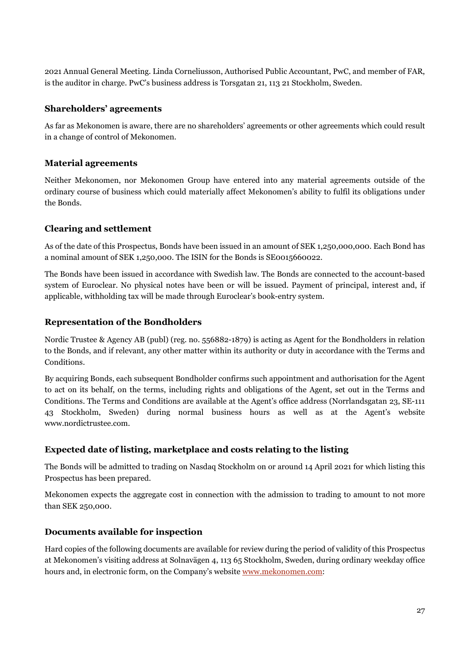2021 Annual General Meeting. Linda Corneliusson, Authorised Public Accountant, PwC, and member of FAR, is the auditor in charge. PwC's business address is Torsgatan 21, 113 21 Stockholm, Sweden.

# **Shareholders' agreements**

As far as Mekonomen is aware, there are no shareholders' agreements or other agreements which could result in a change of control of Mekonomen.

# **Material agreements**

Neither Mekonomen, nor Mekonomen Group have entered into any material agreements outside of the ordinary course of business which could materially affect Mekonomen's ability to fulfil its obligations under the Bonds.

# **Clearing and settlement**

As of the date of this Prospectus, Bonds have been issued in an amount of SEK 1,250,000,000. Each Bond has a nominal amount of SEK 1,250,000. The ISIN for the Bonds is SE0015660022.

The Bonds have been issued in accordance with Swedish law. The Bonds are connected to the account-based system of Euroclear. No physical notes have been or will be issued. Payment of principal, interest and, if applicable, withholding tax will be made through Euroclear's book-entry system.

# **Representation of the Bondholders**

Nordic Trustee & Agency AB (publ) (reg. no. 556882-1879) is acting as Agent for the Bondholders in relation to the Bonds, and if relevant, any other matter within its authority or duty in accordance with the Terms and Conditions.

By acquiring Bonds, each subsequent Bondholder confirms such appointment and authorisation for the Agent to act on its behalf, on the terms, including rights and obligations of the Agent, set out in the Terms and Conditions. The Terms and Conditions are available at the Agent's office address (Norrlandsgatan 23, SE-111 43 Stockholm, Sweden) during normal business hours as well as at the Agent's website www.nordictrustee.com.

# **Expected date of listing, marketplace and costs relating to the listing**

The Bonds will be admitted to trading on Nasdaq Stockholm on or around 14 April 2021 for which listing this Prospectus has been prepared.

Mekonomen expects the aggregate cost in connection with the admission to trading to amount to not more than SEK 250,000.

#### **Documents available for inspection**

Hard copies of the following documents are available for review during the period of validity of this Prospectus at Mekonomen's visiting address at Solnavägen 4, 113 65 Stockholm, Sweden, during ordinary weekday office hours and, in electronic form, on the Company's website [www.mekonomen.com:](http://www.mekonomen.com/)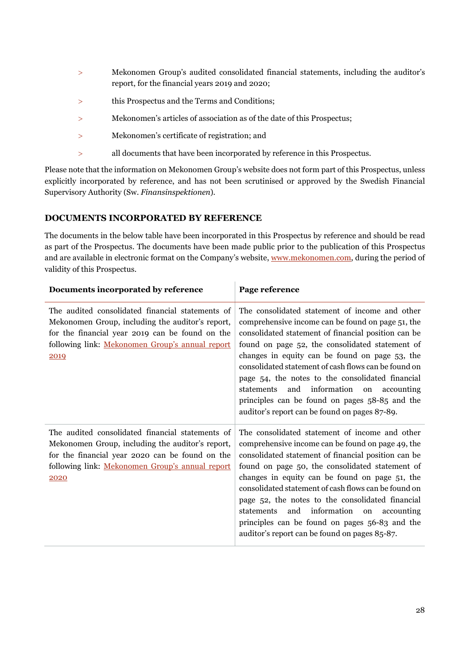- Mekonomen Group's audited consolidated financial statements, including the auditor's report, for the financial years 2019 and 2020;
- this Prospectus and the Terms and Conditions;
- Mekonomen's articles of association as of the date of this Prospectus;
- Mekonomen's certificate of registration; and
- all documents that have been incorporated by reference in this Prospectus.

Please note that the information on Mekonomen Group's website does not form part of this Prospectus, unless explicitly incorporated by reference, and has not been scrutinised or approved by the Swedish Financial Supervisory Authority (Sw. *Finansinspektionen*).

# <span id="page-30-0"></span>**DOCUMENTS INCORPORATED BY REFERENCE**

The documents in the below table have been incorporated in this Prospectus by reference and should be read as part of the Prospectus. The documents have been made public prior to the publication of this Prospectus and are available in electronic format on the Company's website[, www.mekonomen.com,](http://www.mekonomen.com/) during the period of validity of this Prospectus.

| Documents incorporated by reference                                                                                                                                                                                | Page reference                                                                                                                                                                                                                                                                                                                                                                                                                                                                                                                      |
|--------------------------------------------------------------------------------------------------------------------------------------------------------------------------------------------------------------------|-------------------------------------------------------------------------------------------------------------------------------------------------------------------------------------------------------------------------------------------------------------------------------------------------------------------------------------------------------------------------------------------------------------------------------------------------------------------------------------------------------------------------------------|
| The audited consolidated financial statements of<br>Mekonomen Group, including the auditor's report,<br>for the financial year 2019 can be found on the<br>following link: Mekonomen Group's annual report<br>2019 | The consolidated statement of income and other<br>comprehensive income can be found on page 51, the<br>consolidated statement of financial position can be<br>found on page 52, the consolidated statement of<br>changes in equity can be found on page 53, the<br>consolidated statement of cash flows can be found on<br>page 54, the notes to the consolidated financial<br>and information<br>statements<br>on<br>accounting<br>principles can be found on pages 58-85 and the<br>auditor's report can be found on pages 87-89. |
| The audited consolidated financial statements of<br>Mekonomen Group, including the auditor's report,<br>for the financial year 2020 can be found on the<br>following link: Mekonomen Group's annual report<br>2020 | The consolidated statement of income and other<br>comprehensive income can be found on page 49, the<br>consolidated statement of financial position can be<br>found on page 50, the consolidated statement of<br>changes in equity can be found on page 51, the<br>consolidated statement of cash flows can be found on<br>page 52, the notes to the consolidated financial<br>and information<br>statements<br>on<br>accounting<br>principles can be found on pages 56-83 and the<br>auditor's report can be found on pages 85-87. |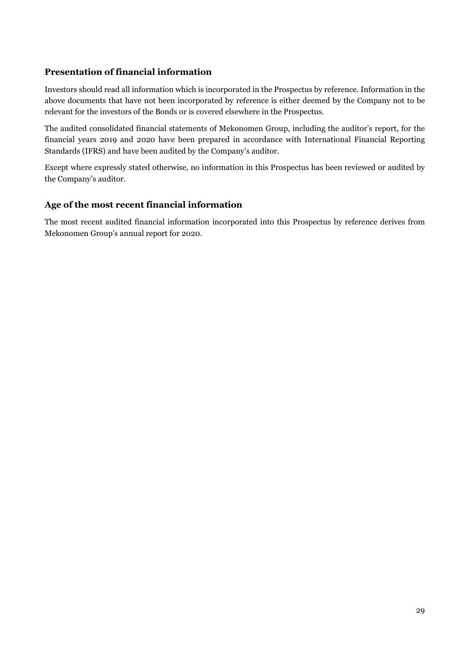# **Presentation of financial information**

Investors should read all information which is incorporated in the Prospectus by reference. Information in the above documents that have not been incorporated by reference is either deemed by the Company not to be relevant for the investors of the Bonds or is covered elsewhere in the Prospectus.

The audited consolidated financial statements of Mekonomen Group, including the auditor's report, for the financial years 2019 and 2020 have been prepared in accordance with International Financial Reporting Standards (IFRS) and have been audited by the Company's auditor.

Except where expressly stated otherwise, no information in this Prospectus has been reviewed or audited by the Company's auditor.

# **Age of the most recent financial information**

The most recent audited financial information incorporated into this Prospectus by reference derives from Mekonomen Group's annual report for 2020.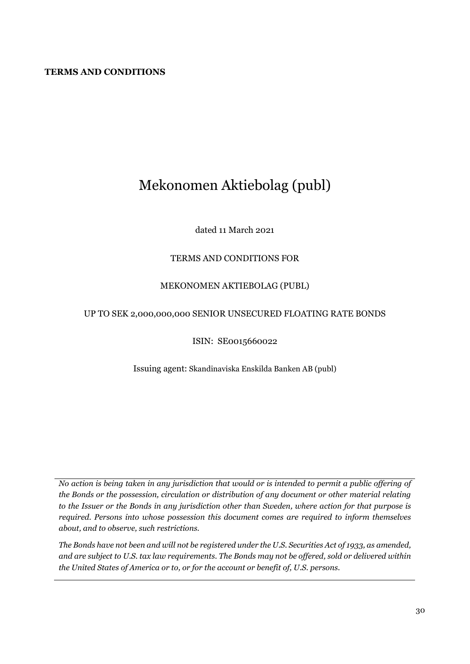# <span id="page-32-0"></span>**TERMS AND CONDITIONS**

# Mekonomen Aktiebolag (publ)

# dated 11 March 2021

# TERMS AND CONDITIONS FOR

#### MEKONOMEN AKTIEBOLAG (PUBL)

#### UP TO SEK 2,000,000,000 SENIOR UNSECURED FLOATING RATE BONDS

#### ISIN: SE0015660022

Issuing agent: Skandinaviska Enskilda Banken AB (publ)

*No action is being taken in any jurisdiction that would or is intended to permit a public offering of the Bonds or the possession, circulation or distribution of any document or other material relating to the Issuer or the Bonds in any jurisdiction other than Sweden, where action for that purpose is required. Persons into whose possession this document comes are required to inform themselves about, and to observe, such restrictions.* 

*The Bonds have not been and will not be registered under the U.S. Securities Act of 1933, as amended, and are subject to U.S. tax law requirements. The Bonds may not be offered, sold or delivered within the United States of America or to, or for the account or benefit of, U.S. persons.*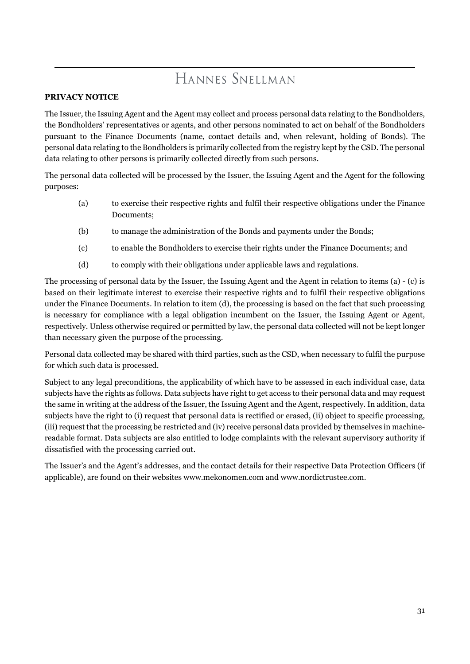# HANNES SNELLMAN

# **PRIVACY NOTICE**

The Issuer, the Issuing Agent and the Agent may collect and process personal data relating to the Bondholders, the Bondholders' representatives or agents, and other persons nominated to act on behalf of the Bondholders pursuant to the Finance Documents (name, contact details and, when relevant, holding of Bonds). The personal data relating to the Bondholders is primarily collected from the registry kept by the CSD. The personal data relating to other persons is primarily collected directly from such persons.

The personal data collected will be processed by the Issuer, the Issuing Agent and the Agent for the following purposes:

- (a) to exercise their respective rights and fulfil their respective obligations under the Finance Documents;
- (b) to manage the administration of the Bonds and payments under the Bonds;
- (c) to enable the Bondholders to exercise their rights under the Finance Documents; and
- (d) to comply with their obligations under applicable laws and regulations.

The processing of personal data by the Issuer, the Issuing Agent and the Agent in relation to items (a) - (c) is based on their legitimate interest to exercise their respective rights and to fulfil their respective obligations under the Finance Documents. In relation to item (d), the processing is based on the fact that such processing is necessary for compliance with a legal obligation incumbent on the Issuer, the Issuing Agent or Agent, respectively. Unless otherwise required or permitted by law, the personal data collected will not be kept longer than necessary given the purpose of the processing.

Personal data collected may be shared with third parties, such as the CSD, when necessary to fulfil the purpose for which such data is processed.

Subject to any legal preconditions, the applicability of which have to be assessed in each individual case, data subjects have the rights as follows. Data subjects have right to get access to their personal data and may request the same in writing at the address of the Issuer, the Issuing Agent and the Agent, respectively. In addition, data subjects have the right to (i) request that personal data is rectified or erased, (ii) object to specific processing, (iii) request that the processing be restricted and (iv) receive personal data provided by themselves in machinereadable format. Data subjects are also entitled to lodge complaints with the relevant supervisory authority if dissatisfied with the processing carried out.

The Issuer's and the Agent's addresses, and the contact details for their respective Data Protection Officers (if applicable), are found on their websites www.mekonomen.com and www.nordictrustee.com.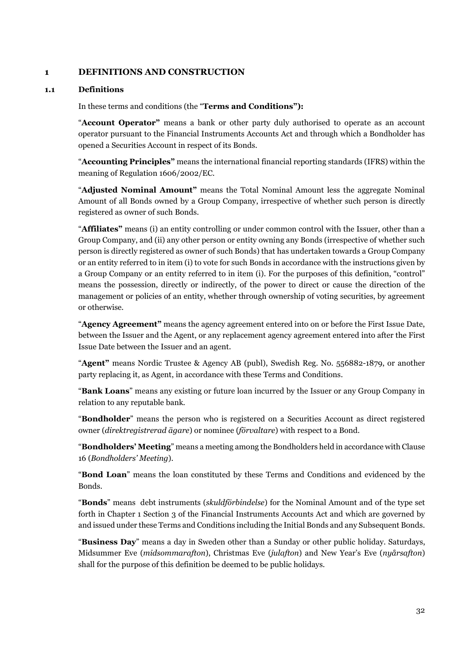# **1 DEFINITIONS AND CONSTRUCTION**

#### **1.1 Definitions**

In these terms and conditions (the "**Terms and Conditions"):** 

"**Account Operator"** means a bank or other party duly authorised to operate as an account operator pursuant to the Financial Instruments Accounts Act and through which a Bondholder has opened a Securities Account in respect of its Bonds.

"**Accounting Principles"** means the international financial reporting standards (IFRS) within the meaning of Regulation 1606/2002/EC.

"**Adjusted Nominal Amount"** means the Total Nominal Amount less the aggregate Nominal Amount of all Bonds owned by a Group Company, irrespective of whether such person is directly registered as owner of such Bonds.

"**Affiliates"** means (i) an entity controlling or under common control with the Issuer, other than a Group Company, and (ii) any other person or entity owning any Bonds (irrespective of whether such person is directly registered as owner of such Bonds) that has undertaken towards a Group Company or an entity referred to in item (i) to vote for such Bonds in accordance with the instructions given by a Group Company or an entity referred to in item (i). For the purposes of this definition, "control" means the possession, directly or indirectly, of the power to direct or cause the direction of the management or policies of an entity, whether through ownership of voting securities, by agreement or otherwise.

"**Agency Agreement"** means the agency agreement entered into on or before the First Issue Date, between the Issuer and the Agent, or any replacement agency agreement entered into after the First Issue Date between the Issuer and an agent.

"**Agent"** means Nordic Trustee & Agency AB (publ), Swedish Reg. No. 556882-1879, or another party replacing it, as Agent, in accordance with these Terms and Conditions.

"**Bank Loans**" means any existing or future loan incurred by the Issuer or any Group Company in relation to any reputable bank.

"**Bondholder**" means the person who is registered on a Securities Account as direct registered owner (*direktregistrerad ägare*) or nominee (*förvaltare*) with respect to a Bond.

"**Bondholders' Meeting**" means a meeting among the Bondholders held in accordance with Clause [16](#page-56-0) (*Bondholders' Meeting*).

"**Bond Loan**" means the loan constituted by these Terms and Conditions and evidenced by the Bonds.

"**Bonds**" means debt instruments (*skuldförbindelse*) for the Nominal Amount and of the type set forth in Chapter 1 Section 3 of the Financial Instruments Accounts Act and which are governed by and issued under these Terms and Conditions including the Initial Bonds and any Subsequent Bonds.

"**Business Day**" means a day in Sweden other than a Sunday or other public holiday. Saturdays, Midsummer Eve (*midsommarafton*), Christmas Eve (*julafton*) and New Year's Eve (*nyårsafton*) shall for the purpose of this definition be deemed to be public holidays.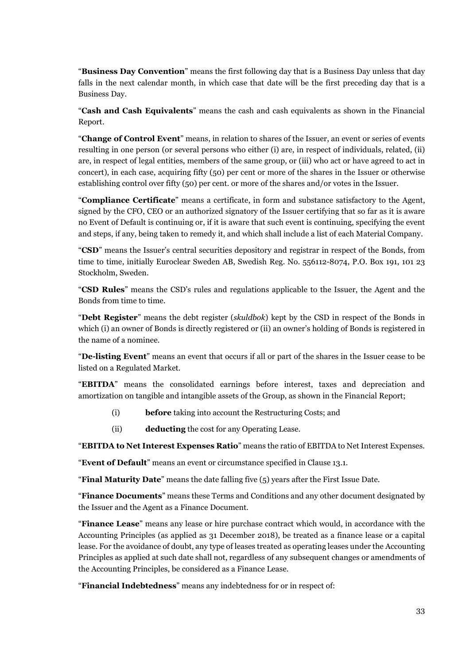"**Business Day Convention**" means the first following day that is a Business Day unless that day falls in the next calendar month, in which case that date will be the first preceding day that is a Business Day.

"**Cash and Cash Equivalents**" means the cash and cash equivalents as shown in the Financial Report.

"**Change of Control Event**" means, in relation to shares of the Issuer, an event or series of events resulting in one person (or several persons who either (i) are, in respect of individuals, related, (ii) are, in respect of legal entities, members of the same group, or (iii) who act or have agreed to act in concert), in each case, acquiring fifty (50) per cent or more of the shares in the Issuer or otherwise establishing control over fifty (50) per cent. or more of the shares and/or votes in the Issuer.

"**Compliance Certificate**" means a certificate, in form and substance satisfactory to the Agent, signed by the CFO, CEO or an authorized signatory of the Issuer certifying that so far as it is aware no Event of Default is continuing or, if it is aware that such event is continuing, specifying the event and steps, if any, being taken to remedy it, and which shall include a list of each Material Company.

"**CSD**" means the Issuer's central securities depository and registrar in respect of the Bonds, from time to time, initially Euroclear Sweden AB, Swedish Reg. No. 556112-8074, P.O. Box 191, 101 23 Stockholm, Sweden.

"**CSD Rules**" means the CSD's rules and regulations applicable to the Issuer, the Agent and the Bonds from time to time.

"**Debt Register**" means the debt register (*skuldbok*) kept by the CSD in respect of the Bonds in which (i) an owner of Bonds is directly registered or (ii) an owner's holding of Bonds is registered in the name of a nominee.

"**De-listing Event**" means an event that occurs if all or part of the shares in the Issuer cease to be listed on a Regulated Market.

"**EBITDA**" means the consolidated earnings before interest, taxes and depreciation and amortization on tangible and intangible assets of the Group, as shown in the Financial Report;

- (i) **before** taking into account the Restructuring Costs; and
- (ii) **deducting** the cost for any Operating Lease.

"**EBITDA to Net Interest Expenses Ratio**" means the ratio of EBITDA to Net Interest Expenses.

"**Event of Default**" means an event or circumstance specified in Clause [13.1.](#page-51-0)

"**Final Maturity Date**" means the date falling five (5) years after the First Issue Date.

"**Finance Documents**" means these Terms and Conditions and any other document designated by the Issuer and the Agent as a Finance Document.

"**Finance Lease**" means any lease or hire purchase contract which would, in accordance with the Accounting Principles (as applied as 31 December 2018), be treated as a finance lease or a capital lease. For the avoidance of doubt, any type of leases treated as operating leases under the Accounting Principles as applied at such date shall not, regardless of any subsequent changes or amendments of the Accounting Principles, be considered as a Finance Lease.

"**Financial Indebtedness**" means any indebtedness for or in respect of: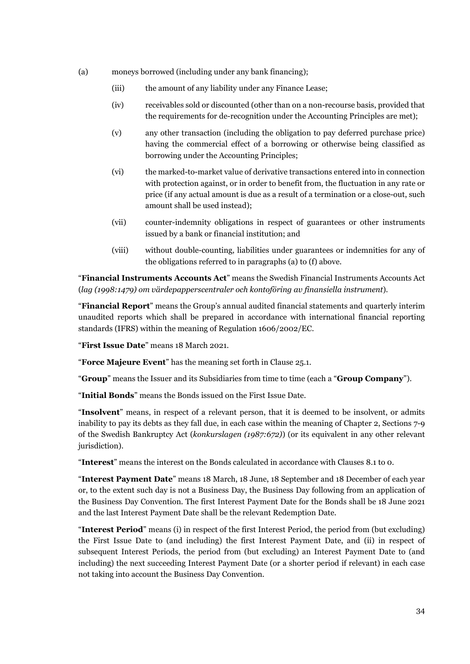- (a) moneys borrowed (including under any bank financing);
	- (iii) the amount of any liability under any Finance Lease;
	- (iv) receivables sold or discounted (other than on a non-recourse basis, provided that the requirements for de-recognition under the Accounting Principles are met);
	- (v) any other transaction (including the obligation to pay deferred purchase price) having the commercial effect of a borrowing or otherwise being classified as borrowing under the Accounting Principles;
	- (vi) the marked-to-market value of derivative transactions entered into in connection with protection against, or in order to benefit from, the fluctuation in any rate or price (if any actual amount is due as a result of a termination or a close-out, such amount shall be used instead);
	- (vii) counter-indemnity obligations in respect of guarantees or other instruments issued by a bank or financial institution; and
	- (viii) without double-counting, liabilities under guarantees or indemnities for any of the obligations referred to in paragraphs (a) to (f) above.

"**Financial Instruments Accounts Act**" means the Swedish Financial Instruments Accounts Act (*lag (1998:1479) om värdepapperscentraler och kontoföring av finansiella instrument*).

"**Financial Report**" means the Group's annual audited financial statements and quarterly interim unaudited reports which shall be prepared in accordance with international financial reporting standards (IFRS) within the meaning of Regulation 1606/2002/EC.

"**First Issue Date**" means 18 March 2021.

"**Force Majeure Event**" has the meaning set forth in Clause [25.1.](#page-63-0)

"**Group**" means the Issuer and its Subsidiaries from time to time (each a "**Group Company**").

"**Initial Bonds**" means the Bonds issued on the First Issue Date.

"**Insolvent**" means, in respect of a relevant person, that it is deemed to be insolvent, or admits inability to pay its debts as they fall due, in each case within the meaning of Chapter 2, Sections 7-9 of the Swedish Bankruptcy Act (*konkurslagen (1987:672)*) (or its equivalent in any other relevant jurisdiction).

"**Interest**" means the interest on the Bonds calculated in accordance with Clauses [8.1](#page-45-0) t[o 0.](#page-17-1)

"**Interest Payment Date**" means 18 March, 18 June, 18 September and 18 December of each year or, to the extent such day is not a Business Day, the Business Day following from an application of the Business Day Convention. The first Interest Payment Date for the Bonds shall be 18 June 2021 and the last Interest Payment Date shall be the relevant Redemption Date.

"**Interest Period**" means (i) in respect of the first Interest Period, the period from (but excluding) the First Issue Date to (and including) the first Interest Payment Date, and (ii) in respect of subsequent Interest Periods, the period from (but excluding) an Interest Payment Date to (and including) the next succeeding Interest Payment Date (or a shorter period if relevant) in each case not taking into account the Business Day Convention.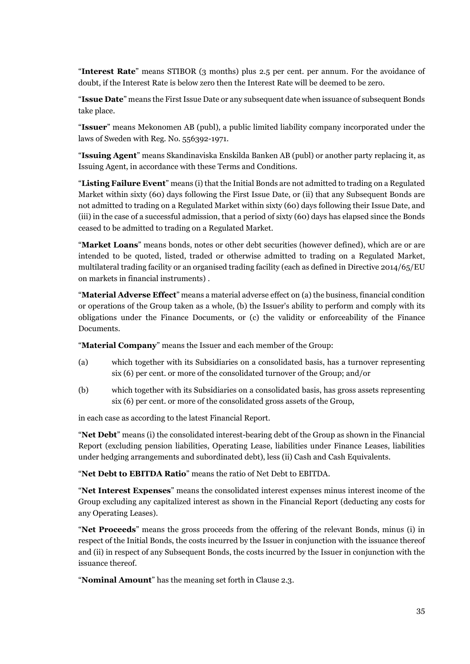"**Interest Rate**" means STIBOR (3 months) plus 2.5 per cent. per annum. For the avoidance of doubt, if the Interest Rate is below zero then the Interest Rate will be deemed to be zero.

"**Issue Date**" means the First Issue Date or any subsequent date when issuance of subsequent Bonds take place.

"**Issuer**" means Mekonomen AB (publ), a public limited liability company incorporated under the laws of Sweden with Reg. No. 556392-1971.

"**Issuing Agent**" means Skandinaviska Enskilda Banken AB (publ) or another party replacing it, as Issuing Agent, in accordance with these Terms and Conditions.

"**Listing Failure Event**" means (i) that the Initial Bonds are not admitted to trading on a Regulated Market within sixty (60) days following the First Issue Date, or (ii) that any Subsequent Bonds are not admitted to trading on a Regulated Market within sixty (60) days following their Issue Date, and (iii) in the case of a successful admission, that a period of sixty (60) days has elapsed since the Bonds ceased to be admitted to trading on a Regulated Market.

"**Market Loans**" means bonds, notes or other debt securities (however defined), which are or are intended to be quoted, listed, traded or otherwise admitted to trading on a Regulated Market, multilateral trading facility or an organised trading facility (each as defined in Directive 2014/65/EU on markets in financial instruments) .

"**Material Adverse Effect**" means a material adverse effect on (a) the business, financial condition or operations of the Group taken as a whole, (b) the Issuer's ability to perform and comply with its obligations under the Finance Documents, or (c) the validity or enforceability of the Finance Documents.

"**Material Company**" means the Issuer and each member of the Group:

- (a) which together with its Subsidiaries on a consolidated basis, has a turnover representing six (6) per cent. or more of the consolidated turnover of the Group; and/or
- (b) which together with its Subsidiaries on a consolidated basis, has gross assets representing six (6) per cent. or more of the consolidated gross assets of the Group,

in each case as according to the latest Financial Report.

"**Net Debt**" means (i) the consolidated interest-bearing debt of the Group as shown in the Financial Report (excluding pension liabilities, Operating Lease, liabilities under Finance Leases, liabilities under hedging arrangements and subordinated debt), less (ii) Cash and Cash Equivalents.

"**Net Debt to EBITDA Ratio**" means the ratio of Net Debt to EBITDA.

"**Net Interest Expenses**" means the consolidated interest expenses minus interest income of the Group excluding any capitalized interest as shown in the Financial Report (deducting any costs for any Operating Leases).

"**Net Proceeds**" means the gross proceeds from the offering of the relevant Bonds, minus (i) in respect of the Initial Bonds, the costs incurred by the Issuer in conjunction with the issuance thereof and (ii) in respect of any Subsequent Bonds, the costs incurred by the Issuer in conjunction with the issuance thereof.

"**Nominal Amount**" has the meaning set forth in Clause [2.3.](#page-42-0)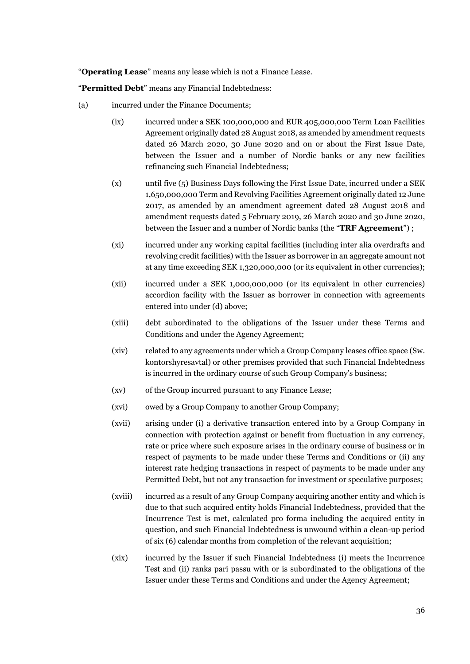"**Operating Lease**" means any lease which is not a Finance Lease.

"**Permitted Debt**" means any Financial Indebtedness:

- (a) incurred under the Finance Documents;
	- (ix) incurred under a SEK 100,000,000 and EUR 405,000,000 Term Loan Facilities Agreement originally dated 28 August 2018, as amended by amendment requests dated 26 March 2020, 30 June 2020 and on or about the First Issue Date, between the Issuer and a number of Nordic banks or any new facilities refinancing such Financial Indebtedness;
	- (x) until five (5) Business Days following the First Issue Date, incurred under a SEK 1,650,000,000 Term and Revolving Facilities Agreement originally dated 12 June 2017, as amended by an amendment agreement dated 28 August 2018 and amendment requests dated 5 February 2019, 26 March 2020 and 30 June 2020, between the Issuer and a number of Nordic banks (the "**TRF Agreement**") ;
	- (xi) incurred under any working capital facilities (including inter alia overdrafts and revolving credit facilities) with the Issuer as borrower in an aggregate amount not at any time exceeding SEK 1,320,000,000 (or its equivalent in other currencies);
	- (xii) incurred under a SEK 1,000,000,000 (or its equivalent in other currencies) accordion facility with the Issuer as borrower in connection with agreements entered into under (d) above;
	- (xiii) debt subordinated to the obligations of the Issuer under these Terms and Conditions and under the Agency Agreement;
	- (xiv) related to any agreements under which a Group Company leases office space (Sw. kontorshyresavtal) or other premises provided that such Financial Indebtedness is incurred in the ordinary course of such Group Company's business;
	- (xv) of the Group incurred pursuant to any Finance Lease;
	- (xvi) owed by a Group Company to another Group Company;
	- (xvii) arising under (i) a derivative transaction entered into by a Group Company in connection with protection against or benefit from fluctuation in any currency, rate or price where such exposure arises in the ordinary course of business or in respect of payments to be made under these Terms and Conditions or (ii) any interest rate hedging transactions in respect of payments to be made under any Permitted Debt, but not any transaction for investment or speculative purposes;
	- (xviii) incurred as a result of any Group Company acquiring another entity and which is due to that such acquired entity holds Financial Indebtedness, provided that the Incurrence Test is met, calculated pro forma including the acquired entity in question, and such Financial Indebtedness is unwound within a clean-up period of six (6) calendar months from completion of the relevant acquisition;
	- (xix) incurred by the Issuer if such Financial Indebtedness (i) meets the Incurrence Test and (ii) ranks pari passu with or is subordinated to the obligations of the Issuer under these Terms and Conditions and under the Agency Agreement;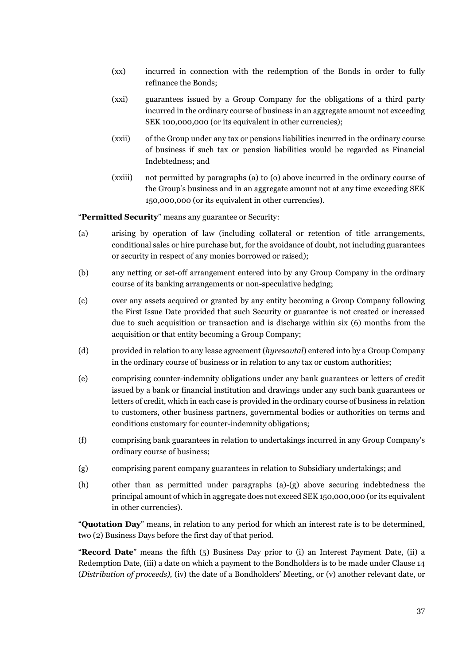- (xx) incurred in connection with the redemption of the Bonds in order to fully refinance the Bonds;
- (xxi) guarantees issued by a Group Company for the obligations of a third party incurred in the ordinary course of business in an aggregate amount not exceeding SEK 100,000,000 (or its equivalent in other currencies);
- (xxii) of the Group under any tax or pensions liabilities incurred in the ordinary course of business if such tax or pension liabilities would be regarded as Financial Indebtedness; and
- (xxiii) not permitted by paragraphs (a) to (o) above incurred in the ordinary course of the Group's business and in an aggregate amount not at any time exceeding SEK 150,000,000 (or its equivalent in other currencies).

"**Permitted Security**" means any guarantee or Security:

- (a) arising by operation of law (including collateral or retention of title arrangements, conditional sales or hire purchase but, for the avoidance of doubt, not including guarantees or security in respect of any monies borrowed or raised);
- (b) any netting or set-off arrangement entered into by any Group Company in the ordinary course of its banking arrangements or non-speculative hedging;
- (c) over any assets acquired or granted by any entity becoming a Group Company following the First Issue Date provided that such Security or guarantee is not created or increased due to such acquisition or transaction and is discharge within six (6) months from the acquisition or that entity becoming a Group Company;
- (d) provided in relation to any lease agreement (*hyresavtal*) entered into by a Group Company in the ordinary course of business or in relation to any tax or custom authorities;
- (e) comprising counter-indemnity obligations under any bank guarantees or letters of credit issued by a bank or financial institution and drawings under any such bank guarantees or letters of credit, which in each case is provided in the ordinary course of business in relation to customers, other business partners, governmental bodies or authorities on terms and conditions customary for counter-indemnity obligations;
- (f) comprising bank guarantees in relation to undertakings incurred in any Group Company's ordinary course of business;
- (g) comprising parent company guarantees in relation to Subsidiary undertakings; and
- (h) other than as permitted under paragraphs (a)-(g) above securing indebtedness the principal amount of which in aggregate does not exceed SEK 150,000,000 (or its equivalent in other currencies).

"**Quotation Day**" means, in relation to any period for which an interest rate is to be determined, two (2) Business Days before the first day of that period.

"**Record Date**" means the fifth (5) Business Day prior to (i) an Interest Payment Date, (ii) a Redemption Date, (iii) a date on which a payment to the Bondholders is to be made under Claus[e 14](#page-52-0) (*Distribution of proceeds),* (iv) the date of a Bondholders' Meeting, or (v) another relevant date, or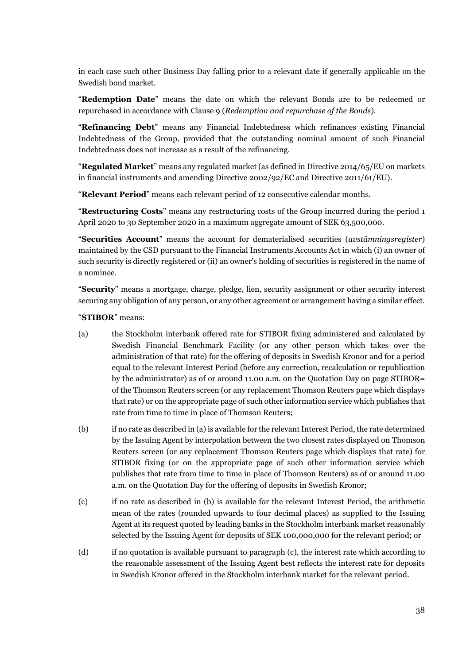in each case such other Business Day falling prior to a relevant date if generally applicable on the Swedish bond market.

"**Redemption Date**" means the date on which the relevant Bonds are to be redeemed or repurchased in accordance with Clause [9](#page-45-1) (*Redemption and repurchase of the Bonds*).

"**Refinancing Debt**" means any Financial Indebtedness which refinances existing Financial Indebtedness of the Group, provided that the outstanding nominal amount of such Financial Indebtedness does not increase as a result of the refinancing.

"**Regulated Market**" means any regulated market (as defined in Directive 2014/65/EU on markets in financial instruments and amending Directive 2002/92/EC and Directive 2011/61/EU).

"**Relevant Period**" means each relevant period of 12 consecutive calendar months.

"**Restructuring Costs**" means any restructuring costs of the Group incurred during the period 1 April 2020 to 30 September 2020 in a maximum aggregate amount of SEK 63,500,000.

"**Securities Account**" means the account for dematerialised securities (*avstämningsregister*) maintained by the CSD pursuant to the Financial Instruments Accounts Act in which (i) an owner of such security is directly registered or (ii) an owner's holding of securities is registered in the name of a nominee.

"**Security**" means a mortgage, charge, pledge, lien, security assignment or other security interest securing any obligation of any person, or any other agreement or arrangement having a similar effect.

"**STIBOR**" means:

- (a) the Stockholm interbank offered rate for STIBOR fixing administered and calculated by Swedish Financial Benchmark Facility (or any other person which takes over the administration of that rate) for the offering of deposits in Swedish Kronor and for a period equal to the relevant Interest Period (before any correction, recalculation or republication by the administrator) as of or around 11.00 a.m. on the Quotation Day on page STIBOR= of the Thomson Reuters screen (or any replacement Thomson Reuters page which displays that rate) or on the appropriate page of such other information service which publishes that rate from time to time in place of Thomson Reuters;
- (b) if no rate as described in (a) is available for the relevant Interest Period, the rate determined by the Issuing Agent by interpolation between the two closest rates displayed on Thomson Reuters screen (or any replacement Thomson Reuters page which displays that rate) for STIBOR fixing (or on the appropriate page of such other information service which publishes that rate from time to time in place of Thomson Reuters) as of or around 11.00 a.m. on the Quotation Day for the offering of deposits in Swedish Kronor;
- (c) if no rate as described in (b) is available for the relevant Interest Period, the arithmetic mean of the rates (rounded upwards to four decimal places) as supplied to the Issuing Agent at its request quoted by leading banks in the Stockholm interbank market reasonably selected by the Issuing Agent for deposits of SEK 100,000,000 for the relevant period; or
- (d) if no quotation is available pursuant to paragraph (c), the interest rate which according to the reasonable assessment of the Issuing Agent best reflects the interest rate for deposits in Swedish Kronor offered in the Stockholm interbank market for the relevant period.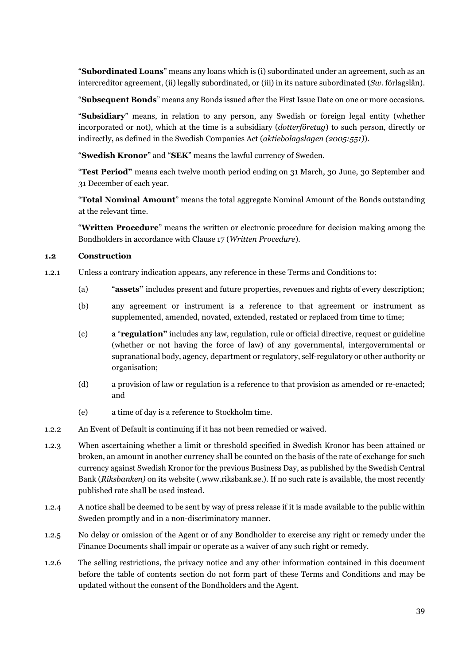"**Subordinated Loans**" means any loans which is (i) subordinated under an agreement, such as an intercreditor agreement, (ii) legally subordinated, or (iii) in its nature subordinated (*Sw.* förlagslån).

"**Subsequent Bonds**" means any Bonds issued after the First Issue Date on one or more occasions.

"**Subsidiary**" means, in relation to any person, any Swedish or foreign legal entity (whether incorporated or not), which at the time is a subsidiary (*dotterföretag*) to such person, directly or indirectly, as defined in the Swedish Companies Act (*aktiebolagslagen (2005:551)*).

"**Swedish Kronor**" and "**SEK**" means the lawful currency of Sweden.

"**Test Period"** means each twelve month period ending on 31 March, 30 June, 30 September and 31 December of each year.

"**Total Nominal Amount**" means the total aggregate Nominal Amount of the Bonds outstanding at the relevant time.

"**Written Procedure**" means the written or electronic procedure for decision making among the Bondholders in accordance with Clause [17 \(](#page-57-0)*Written Procedure*).

# **1.2 Construction**

- 1.2.1 Unless a contrary indication appears, any reference in these Terms and Conditions to:
	- (a) "**assets"** includes present and future properties, revenues and rights of every description;
	- (b) any agreement or instrument is a reference to that agreement or instrument as supplemented, amended, novated, extended, restated or replaced from time to time;
	- (c) a "**regulation"** includes any law, regulation, rule or official directive, request or guideline (whether or not having the force of law) of any governmental, intergovernmental or supranational body, agency, department or regulatory, self-regulatory or other authority or organisation;
	- (d) a provision of law or regulation is a reference to that provision as amended or re-enacted; and
	- (e) a time of day is a reference to Stockholm time.
- 1.2.2 An Event of Default is continuing if it has not been remedied or waived.
- 1.2.3 When ascertaining whether a limit or threshold specified in Swedish Kronor has been attained or broken, an amount in another currency shall be counted on the basis of the rate of exchange for such currency against Swedish Kronor for the previous Business Day, as published by the Swedish Central Bank (*Riksbanken)* on its website (.www.riksbank.se.). If no such rate is available, the most recently published rate shall be used instead.
- 1.2.4 A notice shall be deemed to be sent by way of press release if it is made available to the public within Sweden promptly and in a non-discriminatory manner.
- 1.2.5 No delay or omission of the Agent or of any Bondholder to exercise any right or remedy under the Finance Documents shall impair or operate as a waiver of any such right or remedy.
- 1.2.6 The selling restrictions, the privacy notice and any other information contained in this document before the table of contents section do not form part of these Terms and Conditions and may be updated without the consent of the Bondholders and the Agent.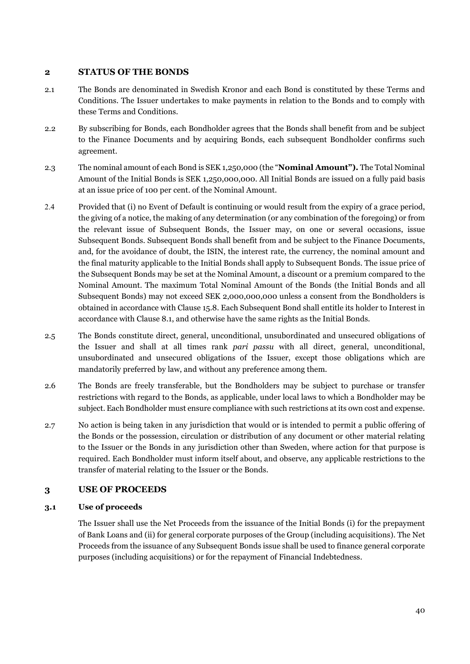# **2 STATUS OF THE BONDS**

- <span id="page-42-1"></span>2.1 The Bonds are denominated in Swedish Kronor and each Bond is constituted by these Terms and Conditions. The Issuer undertakes to make payments in relation to the Bonds and to comply with these Terms and Conditions.
- 2.2 By subscribing for Bonds, each Bondholder agrees that the Bonds shall benefit from and be subject to the Finance Documents and by acquiring Bonds, each subsequent Bondholder confirms such agreement.
- <span id="page-42-0"></span>2.3 The nominal amount of each Bond is SEK 1,250,000 (the "**Nominal Amount").** The Total Nominal Amount of the Initial Bonds is SEK 1,250,000,000. All Initial Bonds are issued on a fully paid basis at an issue price of 100 per cent. of the Nominal Amount.
- <span id="page-42-2"></span>2.4 Provided that (i) no Event of Default is continuing or would result from the expiry of a grace period, the giving of a notice, the making of any determination (or any combination of the foregoing) or from the relevant issue of Subsequent Bonds, the Issuer may, on one or several occasions, issue Subsequent Bonds. Subsequent Bonds shall benefit from and be subject to the Finance Documents, and, for the avoidance of doubt, the ISIN, the interest rate, the currency, the nominal amount and the final maturity applicable to the Initial Bonds shall apply to Subsequent Bonds. The issue price of the Subsequent Bonds may be set at the Nominal Amount, a discount or a premium compared to the Nominal Amount. The maximum Total Nominal Amount of the Bonds (the Initial Bonds and all Subsequent Bonds) may not exceed SEK 2,000,000,000 unless a consent from the Bondholders is obtained in accordance with Clause [15.8.](#page-54-0) Each Subsequent Bond shall entitle its holder to Interest in accordance with Clause [8.1,](#page-45-0) and otherwise have the same rights as the Initial Bonds.
- <span id="page-42-3"></span>2.5 The Bonds constitute direct, general, unconditional, unsubordinated and unsecured obligations of the Issuer and shall at all times rank *pari passu* with all direct, general, unconditional, unsubordinated and unsecured obligations of the Issuer, except those obligations which are mandatorily preferred by law, and without any preference among them.
- 2.6 The Bonds are freely transferable, but the Bondholders may be subject to purchase or transfer restrictions with regard to the Bonds, as applicable, under local laws to which a Bondholder may be subject. Each Bondholder must ensure compliance with such restrictions at its own cost and expense.
- <span id="page-42-4"></span>2.7 No action is being taken in any jurisdiction that would or is intended to permit a public offering of the Bonds or the possession, circulation or distribution of any document or other material relating to the Issuer or the Bonds in any jurisdiction other than Sweden, where action for that purpose is required. Each Bondholder must inform itself about, and observe, any applicable restrictions to the transfer of material relating to the Issuer or the Bonds.

# **3 USE OF PROCEEDS**

#### **3.1 Use of proceeds**

The Issuer shall use the Net Proceeds from the issuance of the Initial Bonds (i) for the prepayment of Bank Loans and (ii) for general corporate purposes of the Group (including acquisitions). The Net Proceeds from the issuance of any Subsequent Bonds issue shall be used to finance general corporate purposes (including acquisitions) or for the repayment of Financial Indebtedness.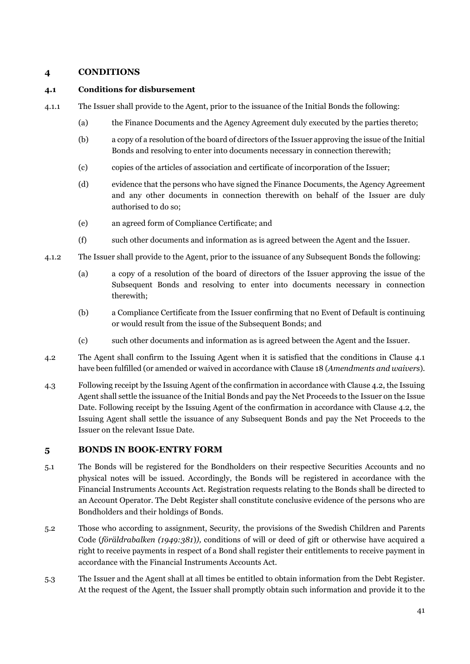# **4 CONDITIONS**

#### <span id="page-43-0"></span>**4.1 Conditions for disbursement**

- 4.1.1 The Issuer shall provide to the Agent, prior to the issuance of the Initial Bonds the following:
	- (a) the Finance Documents and the Agency Agreement duly executed by the parties thereto;
	- (b) a copy of a resolution of the board of directors of the Issuer approving the issue of the Initial Bonds and resolving to enter into documents necessary in connection therewith;
	- (c) copies of the articles of association and certificate of incorporation of the Issuer;
	- (d) evidence that the persons who have signed the Finance Documents, the Agency Agreement and any other documents in connection therewith on behalf of the Issuer are duly authorised to do so;
	- (e) an agreed form of Compliance Certificate; and
	- (f) such other documents and information as is agreed between the Agent and the Issuer.
- 4.1.2 The Issuer shall provide to the Agent, prior to the issuance of any Subsequent Bonds the following:
	- (a) a copy of a resolution of the board of directors of the Issuer approving the issue of the Subsequent Bonds and resolving to enter into documents necessary in connection therewith;
	- (b) a Compliance Certificate from the Issuer confirming that no Event of Default is continuing or would result from the issue of the Subsequent Bonds; and
	- (c) such other documents and information as is agreed between the Agent and the Issuer.
- <span id="page-43-1"></span>4.2 The Agent shall confirm to the Issuing Agent when it is satisfied that the conditions in Clause [4.1](#page-43-0) have been fulfilled (or amended or waived in accordance with Claus[e 18 \(](#page-57-1)*Amendments and waivers*).
- 4.3 Following receipt by the Issuing Agent of the confirmation in accordance with Claus[e 4.2,](#page-43-1) the Issuing Agent shall settle the issuance of the Initial Bonds and pay the Net Proceeds to the Issuer on the Issue Date. Following receipt by the Issuing Agent of the confirmation in accordance with Clause [4.2,](#page-43-1) the Issuing Agent shall settle the issuance of any Subsequent Bonds and pay the Net Proceeds to the Issuer on the relevant Issue Date.

# **5 BONDS IN BOOK-ENTRY FORM**

- 5.1 The Bonds will be registered for the Bondholders on their respective Securities Accounts and no physical notes will be issued. Accordingly, the Bonds will be registered in accordance with the Financial Instruments Accounts Act. Registration requests relating to the Bonds shall be directed to an Account Operator. The Debt Register shall constitute conclusive evidence of the persons who are Bondholders and their holdings of Bonds.
- 5.2 Those who according to assignment, Security, the provisions of the Swedish Children and Parents Code (*föräldrabalken (1949:381*)*),* conditions of will or deed of gift or otherwise have acquired a right to receive payments in respect of a Bond shall register their entitlements to receive payment in accordance with the Financial Instruments Accounts Act.
- <span id="page-43-2"></span>5.3 The Issuer and the Agent shall at all times be entitled to obtain information from the Debt Register. At the request of the Agent, the Issuer shall promptly obtain such information and provide it to the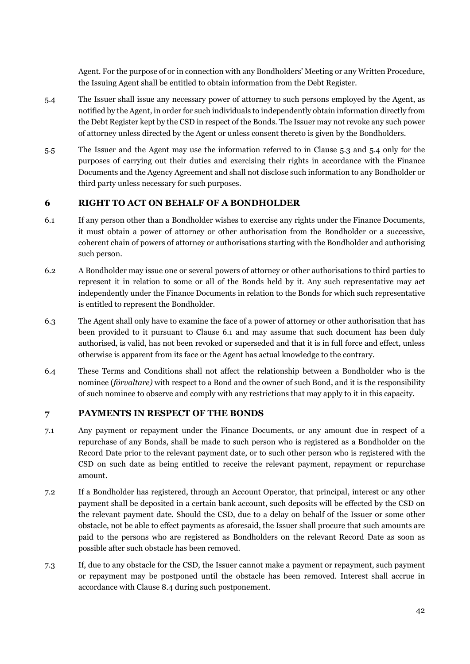Agent. For the purpose of or in connection with any Bondholders' Meeting or any Written Procedure, the Issuing Agent shall be entitled to obtain information from the Debt Register.

- <span id="page-44-0"></span>5.4 The Issuer shall issue any necessary power of attorney to such persons employed by the Agent, as notified by the Agent, in order for such individuals to independently obtain information directly from the Debt Register kept by the CSD in respect of the Bonds. The Issuer may not revoke any such power of attorney unless directed by the Agent or unless consent thereto is given by the Bondholders.
- 5.5 The Issuer and the Agent may use the information referred to in Clause [5.3](#page-43-2) and [5.4](#page-44-0) only for the purposes of carrying out their duties and exercising their rights in accordance with the Finance Documents and the Agency Agreement and shall not disclose such information to any Bondholder or third party unless necessary for such purposes.

# <span id="page-44-3"></span>**6 RIGHT TO ACT ON BEHALF OF A BONDHOLDER**

- <span id="page-44-1"></span>6.1 If any person other than a Bondholder wishes to exercise any rights under the Finance Documents, it must obtain a power of attorney or other authorisation from the Bondholder or a successive, coherent chain of powers of attorney or authorisations starting with the Bondholder and authorising such person.
- 6.2 A Bondholder may issue one or several powers of attorney or other authorisations to third parties to represent it in relation to some or all of the Bonds held by it. Any such representative may act independently under the Finance Documents in relation to the Bonds for which such representative is entitled to represent the Bondholder.
- 6.3 The Agent shall only have to examine the face of a power of attorney or other authorisation that has been provided to it pursuant to Clause [6.1](#page-44-1) and may assume that such document has been duly authorised, is valid, has not been revoked or superseded and that it is in full force and effect, unless otherwise is apparent from its face or the Agent has actual knowledge to the contrary.
- 6.4 These Terms and Conditions shall not affect the relationship between a Bondholder who is the nominee (*förvaltare)* with respect to a Bond and the owner of such Bond, and it is the responsibility of such nominee to observe and comply with any restrictions that may apply to it in this capacity.

# **7 PAYMENTS IN RESPECT OF THE BONDS**

- <span id="page-44-2"></span>7.1 Any payment or repayment under the Finance Documents, or any amount due in respect of a repurchase of any Bonds, shall be made to such person who is registered as a Bondholder on the Record Date prior to the relevant payment date, or to such other person who is registered with the CSD on such date as being entitled to receive the relevant payment, repayment or repurchase amount.
- 7.2 If a Bondholder has registered, through an Account Operator, that principal, interest or any other payment shall be deposited in a certain bank account, such deposits will be effected by the CSD on the relevant payment date. Should the CSD, due to a delay on behalf of the Issuer or some other obstacle, not be able to effect payments as aforesaid, the Issuer shall procure that such amounts are paid to the persons who are registered as Bondholders on the relevant Record Date as soon as possible after such obstacle has been removed.
- 7.3 If, due to any obstacle for the CSD, the Issuer cannot make a payment or repayment, such payment or repayment may be postponed until the obstacle has been removed. Interest shall accrue in accordance with Clause [8.4 d](#page-45-2)uring such postponement.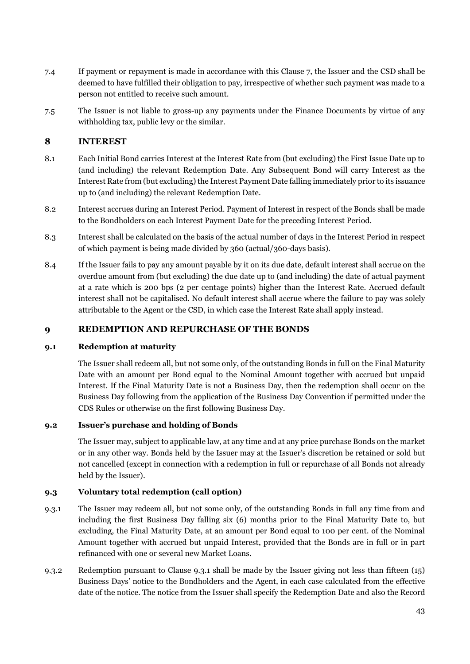- 7.4 If payment or repayment is made in accordance with this Clause 7, the Issuer and the CSD shall be deemed to have fulfilled their obligation to pay, irrespective of whether such payment was made to a person not entitled to receive such amount.
- 7.5 The Issuer is not liable to gross-up any payments under the Finance Documents by virtue of any withholding tax, public levy or the similar.

# **8 INTEREST**

- <span id="page-45-0"></span>8.1 Each Initial Bond carries Interest at the Interest Rate from (but excluding) the First Issue Date up to (and including) the relevant Redemption Date. Any Subsequent Bond will carry Interest as the Interest Rate from (but excluding) the Interest Payment Date falling immediately prior to its issuance up to (and including) the relevant Redemption Date.
- 8.2 Interest accrues during an Interest Period. Payment of Interest in respect of the Bonds shall be made to the Bondholders on each Interest Payment Date for the preceding Interest Period.
- 8.3 Interest shall be calculated on the basis of the actual number of days in the Interest Period in respect of which payment is being made divided by 360 (actual/360-days basis).
- <span id="page-45-2"></span>8.4 If the Issuer fails to pay any amount payable by it on its due date, default interest shall accrue on the overdue amount from (but excluding) the due date up to (and including) the date of actual payment at a rate which is 200 bps (2 per centage points) higher than the Interest Rate. Accrued default interest shall not be capitalised. No default interest shall accrue where the failure to pay was solely attributable to the Agent or the CSD, in which case the Interest Rate shall apply instead.

# <span id="page-45-1"></span>**9 REDEMPTION AND REPURCHASE OF THE BONDS**

#### **9.1 Redemption at maturity**

The Issuer shall redeem all, but not some only, of the outstanding Bonds in full on the Final Maturity Date with an amount per Bond equal to the Nominal Amount together with accrued but unpaid Interest. If the Final Maturity Date is not a Business Day, then the redemption shall occur on the Business Day following from the application of the Business Day Convention if permitted under the CDS Rules or otherwise on the first following Business Day.

# **9.2 Issuer's purchase and holding of Bonds**

The Issuer may, subject to applicable law, at any time and at any price purchase Bonds on the market or in any other way. Bonds held by the Issuer may at the Issuer's discretion be retained or sold but not cancelled (except in connection with a redemption in full or repurchase of all Bonds not already held by the Issuer).

# **9.3 Voluntary total redemption (call option)**

- <span id="page-45-3"></span>9.3.1 The Issuer may redeem all, but not some only, of the outstanding Bonds in full any time from and including the first Business Day falling six (6) months prior to the Final Maturity Date to, but excluding, the Final Maturity Date, at an amount per Bond equal to 100 per cent. of the Nominal Amount together with accrued but unpaid Interest, provided that the Bonds are in full or in part refinanced with one or several new Market Loans.
- 9.3.2 Redemption pursuant to Clause [9.3.1](#page-45-3) shall be made by the Issuer giving not less than fifteen (15) Business Days' notice to the Bondholders and the Agent, in each case calculated from the effective date of the notice. The notice from the Issuer shall specify the Redemption Date and also the Record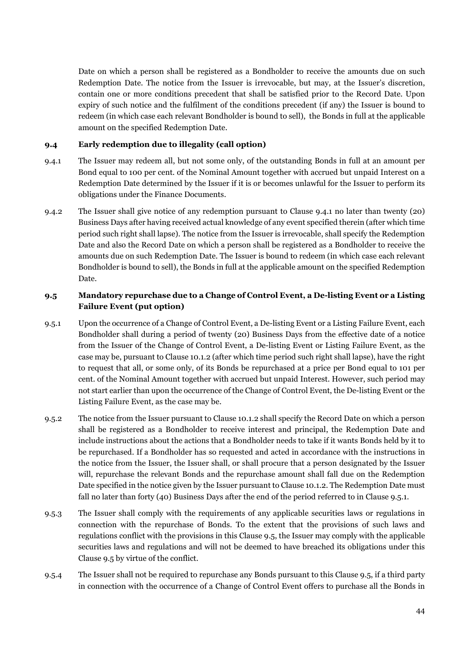Date on which a person shall be registered as a Bondholder to receive the amounts due on such Redemption Date. The notice from the Issuer is irrevocable, but may, at the Issuer's discretion, contain one or more conditions precedent that shall be satisfied prior to the Record Date. Upon expiry of such notice and the fulfilment of the conditions precedent (if any) the Issuer is bound to redeem (in which case each relevant Bondholder is bound to sell), the Bonds in full at the applicable amount on the specified Redemption Date.

# <span id="page-46-2"></span>**9.4 Early redemption due to illegality (call option)**

- <span id="page-46-0"></span>9.4.1 The Issuer may redeem all, but not some only, of the outstanding Bonds in full at an amount per Bond equal to 100 per cent. of the Nominal Amount together with accrued but unpaid Interest on a Redemption Date determined by the Issuer if it is or becomes unlawful for the Issuer to perform its obligations under the Finance Documents.
- 9.4.2 The Issuer shall give notice of any redemption pursuant to Clause [9.4.1](#page-46-0) no later than twenty (20) Business Days after having received actual knowledge of any event specified therein (after which time period such right shall lapse). The notice from the Issuer is irrevocable, shall specify the Redemption Date and also the Record Date on which a person shall be registered as a Bondholder to receive the amounts due on such Redemption Date. The Issuer is bound to redeem (in which case each relevant Bondholder is bound to sell), the Bonds in full at the applicable amount on the specified Redemption Date.

# <span id="page-46-3"></span>**9.5 Mandatory repurchase due to a Change of Control Event, a De-listing Event or a Listing Failure Event (put option)**

- <span id="page-46-1"></span>9.5.1 Upon the occurrence of a Change of Control Event, a De-listing Event or a Listing Failure Event, each Bondholder shall during a period of twenty (20) Business Days from the effective date of a notice from the Issuer of the Change of Control Event, a De-listing Event or Listing Failure Event, as the case may be, pursuant to Clause [10.1.2 \(](#page-47-0)after which time period such right shall lapse), have the right to request that all, or some only, of its Bonds be repurchased at a price per Bond equal to 101 per cent. of the Nominal Amount together with accrued but unpaid Interest. However, such period may not start earlier than upon the occurrence of the Change of Control Event, the De-listing Event or the Listing Failure Event, as the case may be.
- 9.5.2 The notice from the Issuer pursuant to Clause [10.1.2 s](#page-47-0)hall specify the Record Date on which a person shall be registered as a Bondholder to receive interest and principal, the Redemption Date and include instructions about the actions that a Bondholder needs to take if it wants Bonds held by it to be repurchased. If a Bondholder has so requested and acted in accordance with the instructions in the notice from the Issuer, the Issuer shall, or shall procure that a person designated by the Issuer will, repurchase the relevant Bonds and the repurchase amount shall fall due on the Redemption Date specified in the notice given by the Issuer pursuant to Claus[e 10.1.2.](#page-47-0) The Redemption Date must fall no later than forty (40) Business Days after the end of the period referred to in Clause [9.5.1.](#page-46-1)
- 9.5.3 The Issuer shall comply with the requirements of any applicable securities laws or regulations in connection with the repurchase of Bonds. To the extent that the provisions of such laws and regulations conflict with the provisions in this Clause 9.5, the Issuer may comply with the applicable securities laws and regulations and will not be deemed to have breached its obligations under this Clause 9.5 by virtue of the conflict.
- 9.5.4 The Issuer shall not be required to repurchase any Bonds pursuant to this Clause 9.5, if a third party in connection with the occurrence of a Change of Control Event offers to purchase all the Bonds in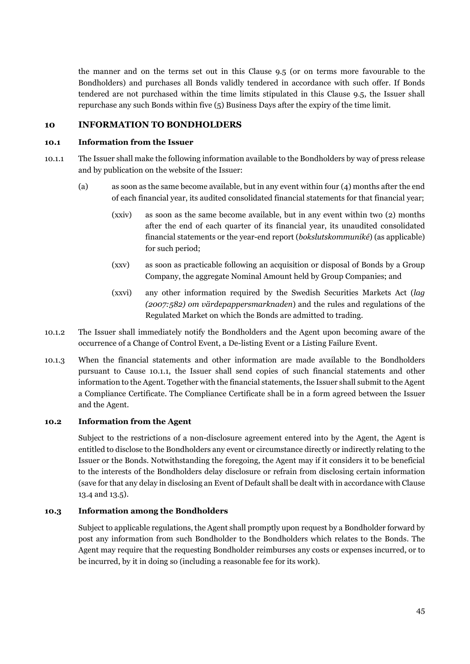the manner and on the terms set out in this Clause 9.5 (or on terms more favourable to the Bondholders) and purchases all Bonds validly tendered in accordance with such offer. If Bonds tendered are not purchased within the time limits stipulated in this Clause 9.5, the Issuer shall repurchase any such Bonds within five (5) Business Days after the expiry of the time limit.

# **10 INFORMATION TO BONDHOLDERS**

#### **10.1 Information from the Issuer**

- 10.1.1 The Issuer shall make the following information available to the Bondholders by way of press release and by publication on the website of the Issuer:
	- (a) as soon as the same become available, but in any event within four (4) months after the end of each financial year, its audited consolidated financial statements for that financial year;
		- (xxiv) as soon as the same become available, but in any event within two (2) months after the end of each quarter of its financial year, its unaudited consolidated financial statements or the year-end report (*bokslutskommuniké*) (as applicable) for such period;
		- (xxv) as soon as practicable following an acquisition or disposal of Bonds by a Group Company, the aggregate Nominal Amount held by Group Companies; and
		- (xxvi) any other information required by the Swedish Securities Markets Act (*lag (2007:582) om värdepappersmarknaden*) and the rules and regulations of the Regulated Market on which the Bonds are admitted to trading.
- <span id="page-47-0"></span>10.1.2 The Issuer shall immediately notify the Bondholders and the Agent upon becoming aware of the occurrence of a Change of Control Event, a De-listing Event or a Listing Failure Event.
- 10.1.3 When the financial statements and other information are made available to the Bondholders pursuant to Cause 10.1.1, the Issuer shall send copies of such financial statements and other information to the Agent. Together with the financial statements, the Issuer shall submit to the Agent a Compliance Certificate. The Compliance Certificate shall be in a form agreed between the Issuer and the Agent.

#### **10.2 Information from the Agent**

Subject to the restrictions of a non-disclosure agreement entered into by the Agent, the Agent is entitled to disclose to the Bondholders any event or circumstance directly or indirectly relating to the Issuer or the Bonds. Notwithstanding the foregoing, the Agent may if it considers it to be beneficial to the interests of the Bondholders delay disclosure or refrain from disclosing certain information (save for that any delay in disclosing an Event of Default shall be dealt with in accordance with Clause [13.4 a](#page-52-1)nd [13.5\)](#page-52-2).

#### **10.3 Information among the Bondholders**

Subject to applicable regulations, the Agent shall promptly upon request by a Bondholder forward by post any information from such Bondholder to the Bondholders which relates to the Bonds. The Agent may require that the requesting Bondholder reimburses any costs or expenses incurred, or to be incurred, by it in doing so (including a reasonable fee for its work).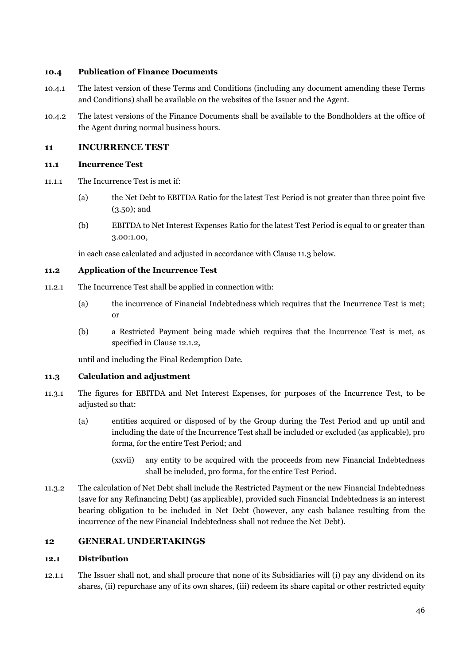#### <span id="page-48-2"></span>**10.4 Publication of Finance Documents**

- 10.4.1 The latest version of these Terms and Conditions (including any document amending these Terms and Conditions) shall be available on the websites of the Issuer and the Agent.
- 10.4.2 The latest versions of the Finance Documents shall be available to the Bondholders at the office of the Agent during normal business hours.

# **11 INCURRENCE TEST**

# **11.1 Incurrence Test**

- 11.1.1 The Incurrence Test is met if:
	- (a) the Net Debt to EBITDA Ratio for the latest Test Period is not greater than three point five (3.50); and
	- (b) EBITDA to Net Interest Expenses Ratio for the latest Test Period is equal to or greater than 3.00:1.00,

in each case calculated and adjusted in accordance with Claus[e 11.3 b](#page-48-0)elow.

# **11.2 Application of the Incurrence Test**

- 11.2.1 The Incurrence Test shall be applied in connection with:
	- (a) the incurrence of Financial Indebtedness which requires that the Incurrence Test is met; or
	- (b) a Restricted Payment being made which requires that the Incurrence Test is met, as specified in Clause [12.1.2,](#page-49-0)

until and including the Final Redemption Date.

# <span id="page-48-0"></span>**11.3 Calculation and adjustment**

- 11.3.1 The figures for EBITDA and Net Interest Expenses, for purposes of the Incurrence Test, to be adjusted so that:
	- (a) entities acquired or disposed of by the Group during the Test Period and up until and including the date of the Incurrence Test shall be included or excluded (as applicable), pro forma, for the entire Test Period; and
		- (xxvii) any entity to be acquired with the proceeds from new Financial Indebtedness shall be included, pro forma, for the entire Test Period.
- 11.3.2 The calculation of Net Debt shall include the Restricted Payment or the new Financial Indebtedness (save for any Refinancing Debt) (as applicable), provided such Financial Indebtedness is an interest bearing obligation to be included in Net Debt (however, any cash balance resulting from the incurrence of the new Financial Indebtedness shall not reduce the Net Debt).

# **12 GENERAL UNDERTAKINGS**

#### **12.1 Distribution**

<span id="page-48-1"></span>12.1.1 The Issuer shall not, and shall procure that none of its Subsidiaries will (i) pay any dividend on its shares, (ii) repurchase any of its own shares, (iii) redeem its share capital or other restricted equity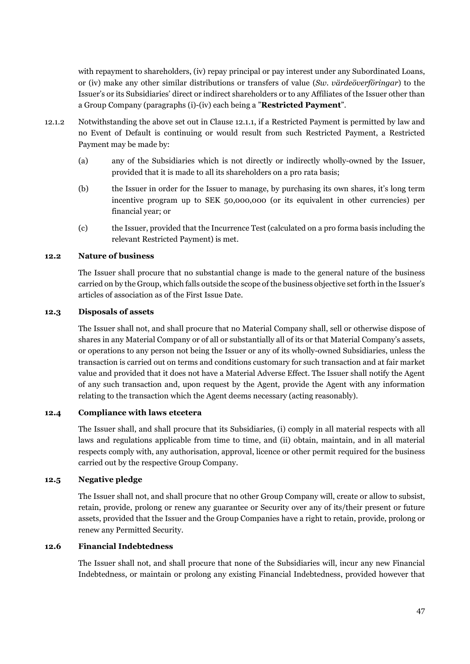with repayment to shareholders, (iv) repay principal or pay interest under any Subordinated Loans, or (iv) make any other similar distributions or transfers of value (*Sw. värdeöverföringar*) to the Issuer's or its Subsidiaries' direct or indirect shareholders or to any Affiliates of the Issuer other than a Group Company (paragraphs (i)-(iv) each being a "**Restricted Payment**".

- <span id="page-49-0"></span>12.1.2 Notwithstanding the above set out in Clause [12.1.1,](#page-48-1) if a Restricted Payment is permitted by law and no Event of Default is continuing or would result from such Restricted Payment, a Restricted Payment may be made by:
	- (a) any of the Subsidiaries which is not directly or indirectly wholly-owned by the Issuer, provided that it is made to all its shareholders on a pro rata basis;
	- (b) the Issuer in order for the Issuer to manage, by purchasing its own shares, it's long term incentive program up to SEK 50,000,000 (or its equivalent in other currencies) per financial year; or
	- (c) the Issuer, provided that the Incurrence Test (calculated on a pro forma basis including the relevant Restricted Payment) is met.

# **12.2 Nature of business**

The Issuer shall procure that no substantial change is made to the general nature of the business carried on by the Group, which falls outside the scope of the business objective set forth in the Issuer's articles of association as of the First Issue Date.

#### **12.3 Disposals of assets**

The Issuer shall not, and shall procure that no Material Company shall, sell or otherwise dispose of shares in any Material Company or of all or substantially all of its or that Material Company's assets, or operations to any person not being the Issuer or any of its wholly-owned Subsidiaries, unless the transaction is carried out on terms and conditions customary for such transaction and at fair market value and provided that it does not have a Material Adverse Effect. The Issuer shall notify the Agent of any such transaction and, upon request by the Agent, provide the Agent with any information relating to the transaction which the Agent deems necessary (acting reasonably).

#### **12.4 Compliance with laws etcetera**

The Issuer shall, and shall procure that its Subsidiaries, (i) comply in all material respects with all laws and regulations applicable from time to time, and (ii) obtain, maintain, and in all material respects comply with, any authorisation, approval, licence or other permit required for the business carried out by the respective Group Company.

#### **12.5 Negative pledge**

The Issuer shall not, and shall procure that no other Group Company will, create or allow to subsist, retain, provide, prolong or renew any guarantee or Security over any of its/their present or future assets, provided that the Issuer and the Group Companies have a right to retain, provide, prolong or renew any Permitted Security.

#### **12.6 Financial Indebtedness**

The Issuer shall not, and shall procure that none of the Subsidiaries will, incur any new Financial Indebtedness, or maintain or prolong any existing Financial Indebtedness, provided however that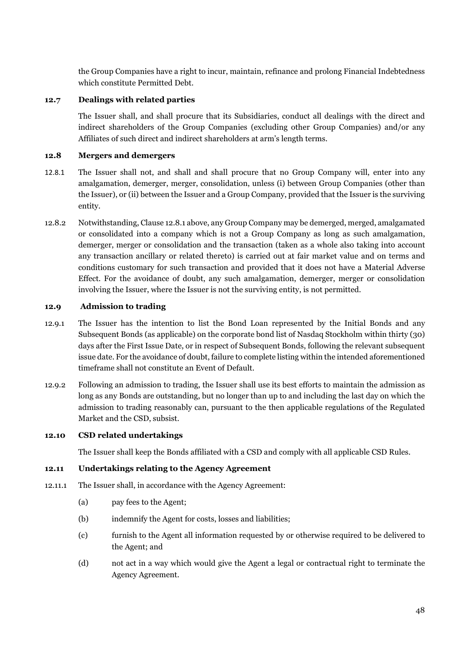the Group Companies have a right to incur, maintain, refinance and prolong Financial Indebtedness which constitute Permitted Debt.

#### **12.7 Dealings with related parties**

The Issuer shall, and shall procure that its Subsidiaries, conduct all dealings with the direct and indirect shareholders of the Group Companies (excluding other Group Companies) and/or any Affiliates of such direct and indirect shareholders at arm's length terms.

# **12.8 Mergers and demergers**

- 12.8.1 The Issuer shall not, and shall and shall procure that no Group Company will, enter into any amalgamation, demerger, merger, consolidation, unless (i) between Group Companies (other than the Issuer), or (ii) between the Issuer and a Group Company, provided that the Issuer is the surviving entity.
- 12.8.2 Notwithstanding, Clause 12.8.1 above, any Group Company may be demerged, merged, amalgamated or consolidated into a company which is not a Group Company as long as such amalgamation, demerger, merger or consolidation and the transaction (taken as a whole also taking into account any transaction ancillary or related thereto) is carried out at fair market value and on terms and conditions customary for such transaction and provided that it does not have a Material Adverse Effect. For the avoidance of doubt, any such amalgamation, demerger, merger or consolidation involving the Issuer, where the Issuer is not the surviving entity, is not permitted.

# **12.9 Admission to trading**

- 12.9.1 The Issuer has the intention to list the Bond Loan represented by the Initial Bonds and any Subsequent Bonds (as applicable) on the corporate bond list of Nasdaq Stockholm within thirty (30) days after the First Issue Date, or in respect of Subsequent Bonds, following the relevant subsequent issue date. For the avoidance of doubt, failure to complete listing within the intended aforementioned timeframe shall not constitute an Event of Default.
- 12.9.2 Following an admission to trading, the Issuer shall use its best efforts to maintain the admission as long as any Bonds are outstanding, but no longer than up to and including the last day on which the admission to trading reasonably can, pursuant to the then applicable regulations of the Regulated Market and the CSD, subsist.

#### **12.10 CSD related undertakings**

The Issuer shall keep the Bonds affiliated with a CSD and comply with all applicable CSD Rules.

#### **12.11 Undertakings relating to the Agency Agreement**

- 12.11.1 The Issuer shall, in accordance with the Agency Agreement:
	- (a) pay fees to the Agent;
	- (b) indemnify the Agent for costs, losses and liabilities;
	- (c) furnish to the Agent all information requested by or otherwise required to be delivered to the Agent; and
	- (d) not act in a way which would give the Agent a legal or contractual right to terminate the Agency Agreement.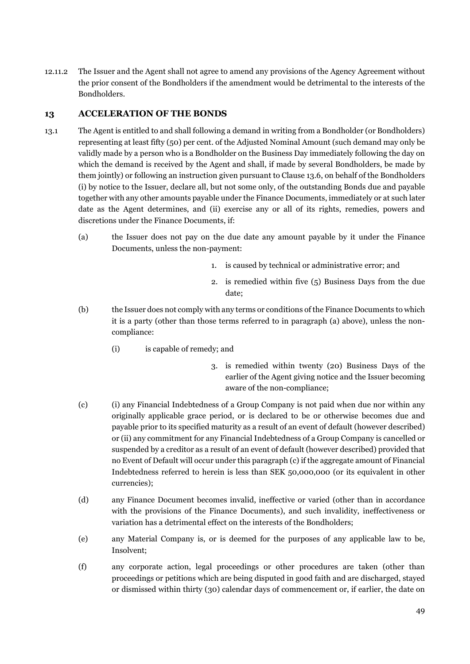12.11.2 The Issuer and the Agent shall not agree to amend any provisions of the Agency Agreement without the prior consent of the Bondholders if the amendment would be detrimental to the interests of the Bondholders.

# <span id="page-51-1"></span>**13 ACCELERATION OF THE BONDS**

- <span id="page-51-0"></span>13.1 The Agent is entitled to and shall following a demand in writing from a Bondholder (or Bondholders) representing at least fifty (50) per cent. of the Adjusted Nominal Amount (such demand may only be validly made by a person who is a Bondholder on the Business Day immediately following the day on which the demand is received by the Agent and shall, if made by several Bondholders, be made by them jointly) or following an instruction given pursuant to Claus[e 13.6,](#page-52-3) on behalf of the Bondholders (i) by notice to the Issuer, declare all, but not some only, of the outstanding Bonds due and payable together with any other amounts payable under the Finance Documents, immediately or at such later date as the Agent determines, and (ii) exercise any or all of its rights, remedies, powers and discretions under the Finance Documents, if:
	- (a) the Issuer does not pay on the due date any amount payable by it under the Finance Documents, unless the non-payment:
		- 1. is caused by technical or administrative error; and
		- 2. is remedied within five (5) Business Days from the due date;
	- (b) the Issuer does not comply with any terms or conditions of the Finance Documents to which it is a party (other than those terms referred to in paragraph (a) above), unless the noncompliance:
		- (i) is capable of remedy; and
			- 3. is remedied within twenty (20) Business Days of the earlier of the Agent giving notice and the Issuer becoming aware of the non-compliance;
	- (c) (i) any Financial Indebtedness of a Group Company is not paid when due nor within any originally applicable grace period, or is declared to be or otherwise becomes due and payable prior to its specified maturity as a result of an event of default (however described) or (ii) any commitment for any Financial Indebtedness of a Group Company is cancelled or suspended by a creditor as a result of an event of default (however described) provided that no Event of Default will occur under this paragraph (c) if the aggregate amount of Financial Indebtedness referred to herein is less than SEK 50,000,000 (or its equivalent in other currencies);
	- (d) any Finance Document becomes invalid, ineffective or varied (other than in accordance with the provisions of the Finance Documents), and such invalidity, ineffectiveness or variation has a detrimental effect on the interests of the Bondholders;
	- (e) any Material Company is, or is deemed for the purposes of any applicable law to be, Insolvent;
	- (f) any corporate action, legal proceedings or other procedures are taken (other than proceedings or petitions which are being disputed in good faith and are discharged, stayed or dismissed within thirty (30) calendar days of commencement or, if earlier, the date on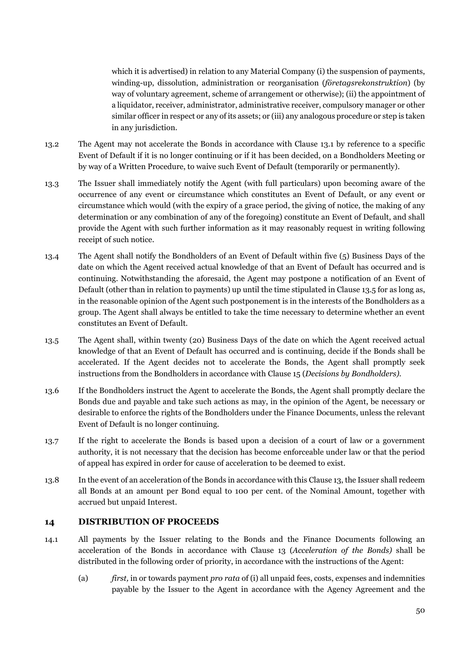which it is advertised) in relation to any Material Company (i) the suspension of payments, winding-up, dissolution, administration or reorganisation (*företagsrekonstruktion*) (by way of voluntary agreement, scheme of arrangement or otherwise); (ii) the appointment of a liquidator, receiver, administrator, administrative receiver, compulsory manager or other similar officer in respect or any of its assets; or (iii) any analogous procedure or step is taken in any jurisdiction.

- 13.2 The Agent may not accelerate the Bonds in accordance with Clause [13.1](#page-51-0) by reference to a specific Event of Default if it is no longer continuing or if it has been decided, on a Bondholders Meeting or by way of a Written Procedure, to waive such Event of Default (temporarily or permanently).
- 13.3 The Issuer shall immediately notify the Agent (with full particulars) upon becoming aware of the occurrence of any event or circumstance which constitutes an Event of Default, or any event or circumstance which would (with the expiry of a grace period, the giving of notice, the making of any determination or any combination of any of the foregoing) constitute an Event of Default, and shall provide the Agent with such further information as it may reasonably request in writing following receipt of such notice.
- <span id="page-52-1"></span>13.4 The Agent shall notify the Bondholders of an Event of Default within five (5) Business Days of the date on which the Agent received actual knowledge of that an Event of Default has occurred and is continuing. Notwithstanding the aforesaid, the Agent may postpone a notification of an Event of Default (other than in relation to payments) up until the time stipulated in Claus[e 13.5](#page-52-2) for as long as, in the reasonable opinion of the Agent such postponement is in the interests of the Bondholders as a group. The Agent shall always be entitled to take the time necessary to determine whether an event constitutes an Event of Default.
- <span id="page-52-2"></span>13.5 The Agent shall, within twenty (20) Business Days of the date on which the Agent received actual knowledge of that an Event of Default has occurred and is continuing, decide if the Bonds shall be accelerated. If the Agent decides not to accelerate the Bonds, the Agent shall promptly seek instructions from the Bondholders in accordance with Clause [15](#page-53-0) (*Decisions by Bondholders).*
- <span id="page-52-3"></span>13.6 If the Bondholders instruct the Agent to accelerate the Bonds, the Agent shall promptly declare the Bonds due and payable and take such actions as may, in the opinion of the Agent, be necessary or desirable to enforce the rights of the Bondholders under the Finance Documents, unless the relevant Event of Default is no longer continuing.
- 13.7 If the right to accelerate the Bonds is based upon a decision of a court of law or a government authority, it is not necessary that the decision has become enforceable under law or that the period of appeal has expired in order for cause of acceleration to be deemed to exist.
- 13.8 In the event of an acceleration of the Bonds in accordance with this Clause 13, the Issuer shall redeem all Bonds at an amount per Bond equal to 100 per cent. of the Nominal Amount, together with accrued but unpaid Interest.

# <span id="page-52-0"></span>**14 DISTRIBUTION OF PROCEEDS**

- <span id="page-52-5"></span><span id="page-52-4"></span>14.1 All payments by the Issuer relating to the Bonds and the Finance Documents following an acceleration of the Bonds in accordance with Clause [13](#page-51-1) (*Acceleration of the Bonds)* shall be distributed in the following order of priority, in accordance with the instructions of the Agent:
	- (a) *first,* in or towards payment *pro rata* of (i) all unpaid fees, costs, expenses and indemnities payable by the Issuer to the Agent in accordance with the Agency Agreement and the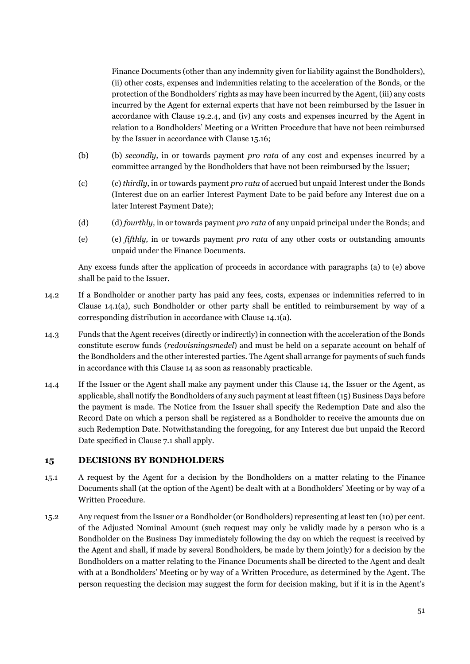Finance Documents (other than any indemnity given for liability against the Bondholders), (ii) other costs, expenses and indemnities relating to the acceleration of the Bonds, or the protection of the Bondholders' rights as may have been incurred by the Agent, (iii) any costs incurred by the Agent for external experts that have not been reimbursed by the Issuer in accordance with Clause [19.2.4,](#page-58-0) and (iv) any costs and expenses incurred by the Agent in relation to a Bondholders' Meeting or a Written Procedure that have not been reimbursed by the Issuer in accordance with Clause [15.16;](#page-56-1)

- (b) (b) *secondly,* in or towards payment *pro rata* of any cost and expenses incurred by a committee arranged by the Bondholders that have not been reimbursed by the Issuer;
- (c) (c) *thirdly,* in or towards payment *pro rata* of accrued but unpaid Interest under the Bonds (Interest due on an earlier Interest Payment Date to be paid before any Interest due on a later Interest Payment Date);
- (d) (d) *fourthly,* in or towards payment *pro rata* of any unpaid principal under the Bonds; and
- (e) (e) *fifthly,* in or towards payment *pro rata* of any other costs or outstanding amounts unpaid under the Finance Documents.

Any excess funds after the application of proceeds in accordance with paragraphs (a) to (e) above shall be paid to the Issuer.

- 14.2 If a Bondholder or another party has paid any fees, costs, expenses or indemnities referred to in Clause [14.1](#page-52-4)[\(a\),](#page-52-5) such Bondholder or other party shall be entitled to reimbursement by way of a corresponding distribution in accordance with Claus[e 14.1](#page-52-4)[\(a\).](#page-52-5)
- <span id="page-53-1"></span>14.3 Funds that the Agent receives (directly or indirectly) in connection with the acceleration of the Bonds constitute escrow funds (*redovisningsmedel*) and must be held on a separate account on behalf of the Bondholders and the other interested parties. The Agent shall arrange for payments of such funds in accordance with this Clause 14 as soon as reasonably practicable.
- 14.4 If the Issuer or the Agent shall make any payment under this Clause 14, the Issuer or the Agent, as applicable, shall notify the Bondholders of any such payment at least fifteen (15) Business Days before the payment is made. The Notice from the Issuer shall specify the Redemption Date and also the Record Date on which a person shall be registered as a Bondholder to receive the amounts due on such Redemption Date. Notwithstanding the foregoing, for any Interest due but unpaid the Record Date specified in Clause [7.1](#page-44-2) shall apply.

# <span id="page-53-0"></span>**15 DECISIONS BY BONDHOLDERS**

- 15.1 A request by the Agent for a decision by the Bondholders on a matter relating to the Finance Documents shall (at the option of the Agent) be dealt with at a Bondholders' Meeting or by way of a Written Procedure.
- 15.2 Any request from the Issuer or a Bondholder (or Bondholders) representing at least ten (10) per cent. of the Adjusted Nominal Amount (such request may only be validly made by a person who is a Bondholder on the Business Day immediately following the day on which the request is received by the Agent and shall, if made by several Bondholders, be made by them jointly) for a decision by the Bondholders on a matter relating to the Finance Documents shall be directed to the Agent and dealt with at a Bondholders' Meeting or by way of a Written Procedure, as determined by the Agent. The person requesting the decision may suggest the form for decision making, but if it is in the Agent's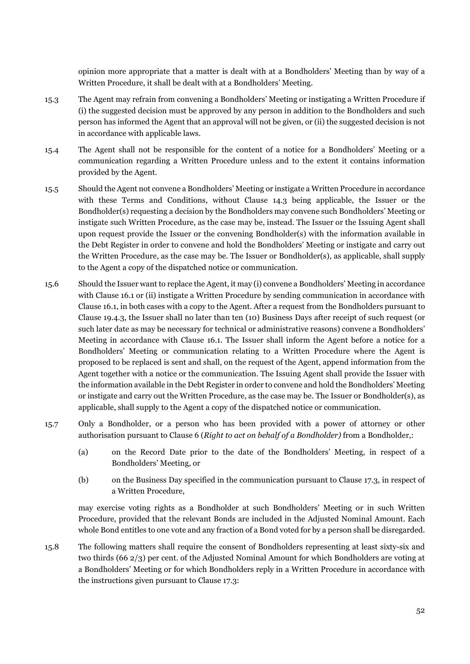opinion more appropriate that a matter is dealt with at a Bondholders' Meeting than by way of a Written Procedure, it shall be dealt with at a Bondholders' Meeting.

- 15.3 The Agent may refrain from convening a Bondholders' Meeting or instigating a Written Procedure if (i) the suggested decision must be approved by any person in addition to the Bondholders and such person has informed the Agent that an approval will not be given, or (ii) the suggested decision is not in accordance with applicable laws.
- 15.4 The Agent shall not be responsible for the content of a notice for a Bondholders' Meeting or a communication regarding a Written Procedure unless and to the extent it contains information provided by the Agent.
- 15.5 Should the Agent not convene a Bondholders' Meeting or instigate a Written Procedure in accordance with these Terms and Conditions, without Clause [14.3](#page-53-1) being applicable, the Issuer or the Bondholder(s) requesting a decision by the Bondholders may convene such Bondholders' Meeting or instigate such Written Procedure, as the case may be, instead. The Issuer or the Issuing Agent shall upon request provide the Issuer or the convening Bondholder(s) with the information available in the Debt Register in order to convene and hold the Bondholders' Meeting or instigate and carry out the Written Procedure, as the case may be. The Issuer or Bondholder(s), as applicable, shall supply to the Agent a copy of the dispatched notice or communication.
- 15.6 Should the Issuer want to replace the Agent, it may (i) convene a Bondholders' Meeting in accordance with Clause [16.1](#page-56-2) or (ii) instigate a Written Procedure by sending communication in accordance with Claus[e 16.1,](#page-56-2) in both cases with a copy to the Agent. After a request from the Bondholders pursuant to Clause [19.4.3,](#page-60-0) the Issuer shall no later than ten (10) Business Days after receipt of such request (or such later date as may be necessary for technical or administrative reasons) convene a Bondholders' Meeting in accordance with Clause [16.1.](#page-56-2) The Issuer shall inform the Agent before a notice for a Bondholders' Meeting or communication relating to a Written Procedure where the Agent is proposed to be replaced is sent and shall, on the request of the Agent, append information from the Agent together with a notice or the communication. The Issuing Agent shall provide the Issuer with the information available in the Debt Register in order to convene and hold the Bondholders' Meeting or instigate and carry out the Written Procedure, as the case may be. The Issuer or Bondholder(s), as applicable, shall supply to the Agent a copy of the dispatched notice or communication.
- 15.7 Only a Bondholder, or a person who has been provided with a power of attorney or other authorisation pursuant to Claus[e 6](#page-44-3) (*Right to act on behalf of a Bondholder)* from a Bondholder,:
	- (a) on the Record Date prior to the date of the Bondholders' Meeting, in respect of a Bondholders' Meeting, or
	- (b) on the Business Day specified in the communication pursuant to Clause [17.3,](#page-57-2) in respect of a Written Procedure,

may exercise voting rights as a Bondholder at such Bondholders' Meeting or in such Written Procedure, provided that the relevant Bonds are included in the Adjusted Nominal Amount. Each whole Bond entitles to one vote and any fraction of a Bond voted for by a person shall be disregarded.

<span id="page-54-0"></span>15.8 The following matters shall require the consent of Bondholders representing at least sixty-six and two thirds (66 2/3) per cent. of the Adjusted Nominal Amount for which Bondholders are voting at a Bondholders' Meeting or for which Bondholders reply in a Written Procedure in accordance with the instructions given pursuant to Claus[e 17.3:](#page-57-2)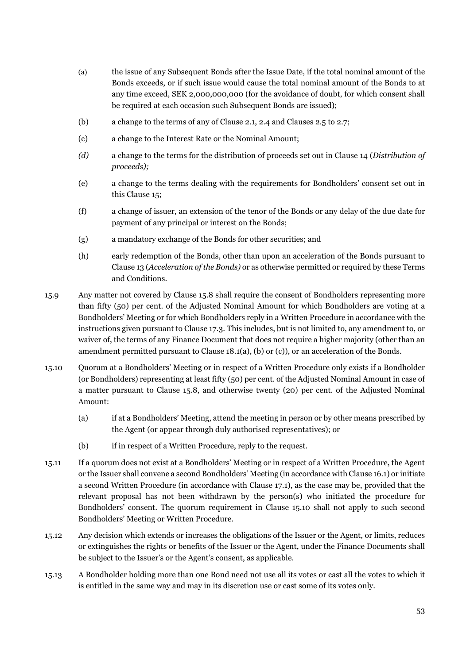- (a) the issue of any Subsequent Bonds after the Issue Date, if the total nominal amount of the Bonds exceeds, or if such issue would cause the total nominal amount of the Bonds to at any time exceed, SEK 2,000,000,000 (for the avoidance of doubt, for which consent shall be required at each occasion such Subsequent Bonds are issued);
- (b) a change to the terms of any of Claus[e 2.1,](#page-42-1) [2.4](#page-42-2) and Clause[s 2.5](#page-42-3) to [2.7;](#page-42-4)
- (c) a change to the Interest Rate or the Nominal Amount;
- *(d)* a change to the terms for the distribution of proceeds set out in Clause [14](#page-52-0) (*Distribution of proceeds);*
- (e) a change to the terms dealing with the requirements for Bondholders' consent set out in this Clause 15;
- (f) a change of issuer, an extension of the tenor of the Bonds or any delay of the due date for payment of any principal or interest on the Bonds;
- (g) a mandatory exchange of the Bonds for other securities; and
- (h) early redemption of the Bonds, other than upon an acceleration of the Bonds pursuant to Clause [13 \(](#page-51-1)*Acceleration of the Bonds)* or as otherwise permitted or required by these Terms and Conditions.
- 15.9 Any matter not covered by Clause [15.8 s](#page-54-0)hall require the consent of Bondholders representing more than fifty (50) per cent. of the Adjusted Nominal Amount for which Bondholders are voting at a Bondholders' Meeting or for which Bondholders reply in a Written Procedure in accordance with the instructions given pursuant to Clause [17.3.](#page-57-2) This includes, but is not limited to, any amendment to, or waiver of, the terms of any Finance Document that does not require a higher majority (other than an amendment permitted pursuant to Claus[e 18.1](#page-57-3)[\(a\),](#page-57-4) [\(b\) o](#page-57-5)r [\(c\)\)](#page-57-6), or an acceleration of the Bonds.
- <span id="page-55-0"></span>15.10 Quorum at a Bondholders' Meeting or in respect of a Written Procedure only exists if a Bondholder (or Bondholders) representing at least fifty (50) per cent. of the Adjusted Nominal Amount in case of a matter pursuant to Clause [15.8,](#page-54-0) and otherwise twenty (20) per cent. of the Adjusted Nominal Amount:
	- (a) if at a Bondholders' Meeting, attend the meeting in person or by other means prescribed by the Agent (or appear through duly authorised representatives); or
	- (b) if in respect of a Written Procedure, reply to the request.
- 15.11 If a quorum does not exist at a Bondholders' Meeting or in respect of a Written Procedure, the Agent or the Issuer shall convene a second Bondholders' Meeting (in accordance with Claus[e 16.1\)](#page-56-2) or initiate a second Written Procedure (in accordance with Clause [17.1\)](#page-57-7), as the case may be, provided that the relevant proposal has not been withdrawn by the person(s) who initiated the procedure for Bondholders' consent. The quorum requirement in Clause [15.10](#page-55-0) shall not apply to such second Bondholders' Meeting or Written Procedure.
- 15.12 Any decision which extends or increases the obligations of the Issuer or the Agent, or limits, reduces or extinguishes the rights or benefits of the Issuer or the Agent, under the Finance Documents shall be subject to the Issuer's or the Agent's consent, as applicable.
- 15.13 A Bondholder holding more than one Bond need not use all its votes or cast all the votes to which it is entitled in the same way and may in its discretion use or cast some of its votes only.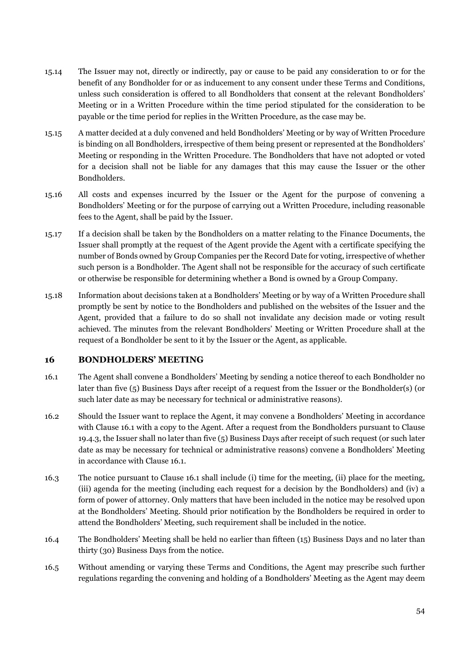- 15.14 The Issuer may not, directly or indirectly, pay or cause to be paid any consideration to or for the benefit of any Bondholder for or as inducement to any consent under these Terms and Conditions, unless such consideration is offered to all Bondholders that consent at the relevant Bondholders' Meeting or in a Written Procedure within the time period stipulated for the consideration to be payable or the time period for replies in the Written Procedure, as the case may be.
- 15.15 A matter decided at a duly convened and held Bondholders' Meeting or by way of Written Procedure is binding on all Bondholders, irrespective of them being present or represented at the Bondholders' Meeting or responding in the Written Procedure. The Bondholders that have not adopted or voted for a decision shall not be liable for any damages that this may cause the Issuer or the other Bondholders.
- <span id="page-56-1"></span>15.16 All costs and expenses incurred by the Issuer or the Agent for the purpose of convening a Bondholders' Meeting or for the purpose of carrying out a Written Procedure, including reasonable fees to the Agent, shall be paid by the Issuer.
- 15.17 If a decision shall be taken by the Bondholders on a matter relating to the Finance Documents, the Issuer shall promptly at the request of the Agent provide the Agent with a certificate specifying the number of Bonds owned by Group Companies per the Record Date for voting, irrespective of whether such person is a Bondholder. The Agent shall not be responsible for the accuracy of such certificate or otherwise be responsible for determining whether a Bond is owned by a Group Company.
- <span id="page-56-3"></span>15.18 Information about decisions taken at a Bondholders' Meeting or by way of a Written Procedure shall promptly be sent by notice to the Bondholders and published on the websites of the Issuer and the Agent, provided that a failure to do so shall not invalidate any decision made or voting result achieved. The minutes from the relevant Bondholders' Meeting or Written Procedure shall at the request of a Bondholder be sent to it by the Issuer or the Agent, as applicable.

# <span id="page-56-0"></span>**16 BONDHOLDERS' MEETING**

- <span id="page-56-2"></span>16.1 The Agent shall convene a Bondholders' Meeting by sending a notice thereof to each Bondholder no later than five (5) Business Days after receipt of a request from the Issuer or the Bondholder(s) (or such later date as may be necessary for technical or administrative reasons).
- 16.2 Should the Issuer want to replace the Agent, it may convene a Bondholders' Meeting in accordance with Clause [16.1](#page-56-2) with a copy to the Agent. After a request from the Bondholders pursuant to Clause [19.4.3,](#page-60-0) the Issuer shall no later than five (5) Business Days after receipt of such request (or such later date as may be necessary for technical or administrative reasons) convene a Bondholders' Meeting in accordance with Clause [16.1.](#page-56-2)
- 16.3 The notice pursuant to Clause [16.1](#page-56-2) shall include (i) time for the meeting, (ii) place for the meeting, (iii) agenda for the meeting (including each request for a decision by the Bondholders) and (iv) a form of power of attorney. Only matters that have been included in the notice may be resolved upon at the Bondholders' Meeting. Should prior notification by the Bondholders be required in order to attend the Bondholders' Meeting, such requirement shall be included in the notice.
- 16.4 The Bondholders' Meeting shall be held no earlier than fifteen (15) Business Days and no later than thirty (30) Business Days from the notice.
- 16.5 Without amending or varying these Terms and Conditions, the Agent may prescribe such further regulations regarding the convening and holding of a Bondholders' Meeting as the Agent may deem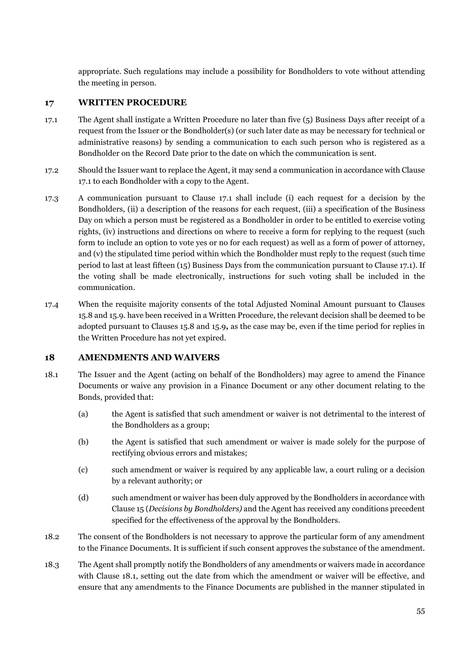appropriate. Such regulations may include a possibility for Bondholders to vote without attending the meeting in person.

# <span id="page-57-0"></span>**17 WRITTEN PROCEDURE**

- <span id="page-57-7"></span>17.1 The Agent shall instigate a Written Procedure no later than five (5) Business Days after receipt of a request from the Issuer or the Bondholder(s) (or such later date as may be necessary for technical or administrative reasons) by sending a communication to each such person who is registered as a Bondholder on the Record Date prior to the date on which the communication is sent.
- 17.2 Should the Issuer want to replace the Agent, it may send a communication in accordance with Clause [17.1 t](#page-57-7)o each Bondholder with a copy to the Agent.
- <span id="page-57-2"></span>17.3 A communication pursuant to Clause [17.1](#page-57-7) shall include (i) each request for a decision by the Bondholders, (ii) a description of the reasons for each request, (iii) a specification of the Business Day on which a person must be registered as a Bondholder in order to be entitled to exercise voting rights, (iv) instructions and directions on where to receive a form for replying to the request (such form to include an option to vote yes or no for each request) as well as a form of power of attorney, and (v) the stipulated time period within which the Bondholder must reply to the request (such time period to last at least fifteen (15) Business Days from the communication pursuant to Clause [17.1\)](#page-57-7). If the voting shall be made electronically, instructions for such voting shall be included in the communication.
- 17.4 When the requisite majority consents of the total Adjusted Nominal Amount pursuant to Clauses 15.8 and 15.9. have been received in a Written Procedure, the relevant decision shall be deemed to be adopted pursuant to Clauses 15.8 and 15.9**,** as the case may be, even if the time period for replies in the Written Procedure has not yet expired.

# <span id="page-57-1"></span>**18 AMENDMENTS AND WAIVERS**

- <span id="page-57-5"></span><span id="page-57-4"></span><span id="page-57-3"></span>18.1 The Issuer and the Agent (acting on behalf of the Bondholders) may agree to amend the Finance Documents or waive any provision in a Finance Document or any other document relating to the Bonds, provided that:
	- (a) the Agent is satisfied that such amendment or waiver is not detrimental to the interest of the Bondholders as a group;
	- (b) the Agent is satisfied that such amendment or waiver is made solely for the purpose of rectifying obvious errors and mistakes;
	- (c) such amendment or waiver is required by any applicable law, a court ruling or a decision by a relevant authority; or
	- (d) such amendment or waiver has been duly approved by the Bondholders in accordance with Clause [15 \(](#page-53-0)*Decisions by Bondholders)* and the Agent has received any conditions precedent specified for the effectiveness of the approval by the Bondholders.
- <span id="page-57-6"></span>18.2 The consent of the Bondholders is not necessary to approve the particular form of any amendment to the Finance Documents. It is sufficient if such consent approves the substance of the amendment.
- 18.3 The Agent shall promptly notify the Bondholders of any amendments or waivers made in accordance with Clause [18.1,](#page-57-3) setting out the date from which the amendment or waiver will be effective, and ensure that any amendments to the Finance Documents are published in the manner stipulated in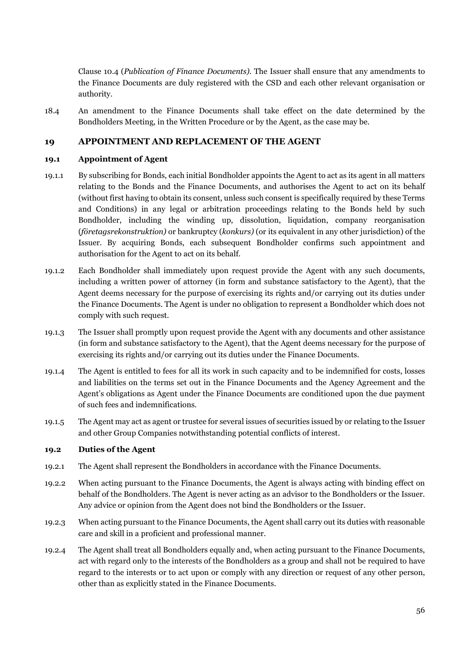Clause [10.4](#page-48-2) (*Publication of Finance Documents).* The Issuer shall ensure that any amendments to the Finance Documents are duly registered with the CSD and each other relevant organisation or authority.

18.4 An amendment to the Finance Documents shall take effect on the date determined by the Bondholders Meeting, in the Written Procedure or by the Agent, as the case may be.

# **19 APPOINTMENT AND REPLACEMENT OF THE AGENT**

#### **19.1 Appointment of Agent**

- 19.1.1 By subscribing for Bonds, each initial Bondholder appoints the Agent to act as its agent in all matters relating to the Bonds and the Finance Documents, and authorises the Agent to act on its behalf (without first having to obtain its consent, unless such consent is specifically required by these Terms and Conditions) in any legal or arbitration proceedings relating to the Bonds held by such Bondholder, including the winding up, dissolution, liquidation, company reorganisation (*företagsrekonstruktion)* or bankruptcy (*konkurs)* (or its equivalent in any other jurisdiction) of the Issuer. By acquiring Bonds, each subsequent Bondholder confirms such appointment and authorisation for the Agent to act on its behalf.
- <span id="page-58-1"></span>19.1.2 Each Bondholder shall immediately upon request provide the Agent with any such documents, including a written power of attorney (in form and substance satisfactory to the Agent), that the Agent deems necessary for the purpose of exercising its rights and/or carrying out its duties under the Finance Documents. The Agent is under no obligation to represent a Bondholder which does not comply with such request.
- 19.1.3 The Issuer shall promptly upon request provide the Agent with any documents and other assistance (in form and substance satisfactory to the Agent), that the Agent deems necessary for the purpose of exercising its rights and/or carrying out its duties under the Finance Documents.
- 19.1.4 The Agent is entitled to fees for all its work in such capacity and to be indemnified for costs, losses and liabilities on the terms set out in the Finance Documents and the Agency Agreement and the Agent's obligations as Agent under the Finance Documents are conditioned upon the due payment of such fees and indemnifications.
- 19.1.5 The Agent may act as agent or trustee for several issues of securities issued by or relating to the Issuer and other Group Companies notwithstanding potential conflicts of interest.

#### **19.2 Duties of the Agent**

- 19.2.1 The Agent shall represent the Bondholders in accordance with the Finance Documents.
- 19.2.2 When acting pursuant to the Finance Documents, the Agent is always acting with binding effect on behalf of the Bondholders. The Agent is never acting as an advisor to the Bondholders or the Issuer. Any advice or opinion from the Agent does not bind the Bondholders or the Issuer.
- 19.2.3 When acting pursuant to the Finance Documents, the Agent shall carry out its duties with reasonable care and skill in a proficient and professional manner.
- <span id="page-58-0"></span>19.2.4 The Agent shall treat all Bondholders equally and, when acting pursuant to the Finance Documents, act with regard only to the interests of the Bondholders as a group and shall not be required to have regard to the interests or to act upon or comply with any direction or request of any other person, other than as explicitly stated in the Finance Documents.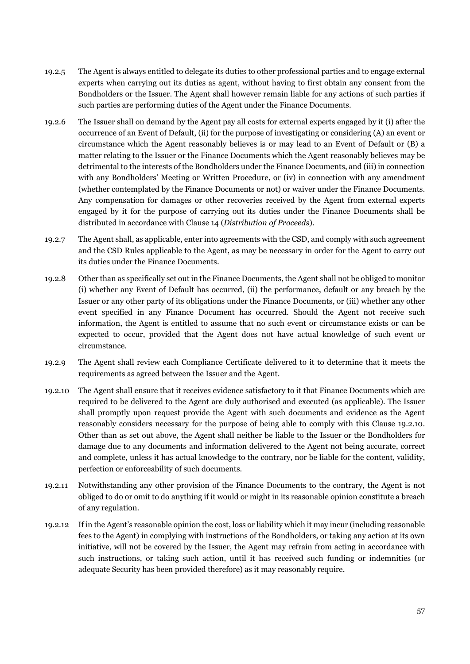- 19.2.5 The Agent is always entitled to delegate its duties to other professional parties and to engage external experts when carrying out its duties as agent, without having to first obtain any consent from the Bondholders or the Issuer. The Agent shall however remain liable for any actions of such parties if such parties are performing duties of the Agent under the Finance Documents.
- 19.2.6 The Issuer shall on demand by the Agent pay all costs for external experts engaged by it (i) after the occurrence of an Event of Default, (ii) for the purpose of investigating or considering (A) an event or circumstance which the Agent reasonably believes is or may lead to an Event of Default or (B) a matter relating to the Issuer or the Finance Documents which the Agent reasonably believes may be detrimental to the interests of the Bondholders under the Finance Documents, and (iii) in connection with any Bondholders' Meeting or Written Procedure, or (iv) in connection with any amendment (whether contemplated by the Finance Documents or not) or waiver under the Finance Documents. Any compensation for damages or other recoveries received by the Agent from external experts engaged by it for the purpose of carrying out its duties under the Finance Documents shall be distributed in accordance with Clause [14 \(](#page-52-0)*Distribution of Proceeds*).
- 19.2.7 The Agent shall, as applicable, enter into agreements with the CSD, and comply with such agreement and the CSD Rules applicable to the Agent, as may be necessary in order for the Agent to carry out its duties under the Finance Documents.
- 19.2.8 Other than as specifically set out in the Finance Documents, the Agent shall not be obliged to monitor (i) whether any Event of Default has occurred, (ii) the performance, default or any breach by the Issuer or any other party of its obligations under the Finance Documents, or (iii) whether any other event specified in any Finance Document has occurred. Should the Agent not receive such information, the Agent is entitled to assume that no such event or circumstance exists or can be expected to occur, provided that the Agent does not have actual knowledge of such event or circumstance.
- 19.2.9 The Agent shall review each Compliance Certificate delivered to it to determine that it meets the requirements as agreed between the Issuer and the Agent.
- 19.2.10 The Agent shall ensure that it receives evidence satisfactory to it that Finance Documents which are required to be delivered to the Agent are duly authorised and executed (as applicable). The Issuer shall promptly upon request provide the Agent with such documents and evidence as the Agent reasonably considers necessary for the purpose of being able to comply with this Clause 19.2.10. Other than as set out above, the Agent shall neither be liable to the Issuer or the Bondholders for damage due to any documents and information delivered to the Agent not being accurate, correct and complete, unless it has actual knowledge to the contrary, nor be liable for the content, validity, perfection or enforceability of such documents.
- <span id="page-59-1"></span>19.2.11 Notwithstanding any other provision of the Finance Documents to the contrary, the Agent is not obliged to do or omit to do anything if it would or might in its reasonable opinion constitute a breach of any regulation.
- <span id="page-59-0"></span>19.2.12 If in the Agent's reasonable opinion the cost, loss or liability which it may incur (including reasonable fees to the Agent) in complying with instructions of the Bondholders, or taking any action at its own initiative, will not be covered by the Issuer, the Agent may refrain from acting in accordance with such instructions, or taking such action, until it has received such funding or indemnities (or adequate Security has been provided therefore) as it may reasonably require.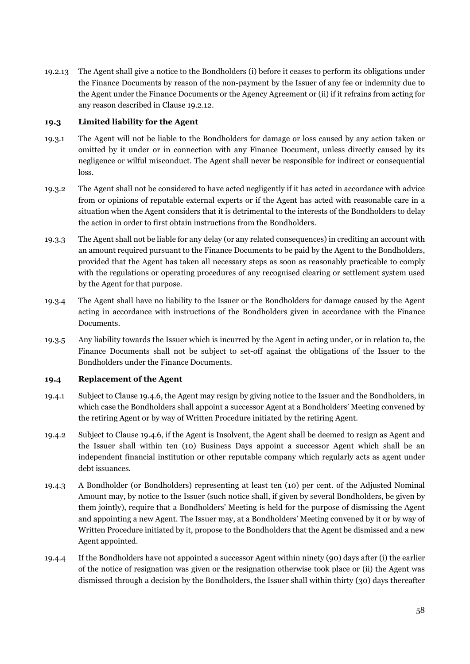19.2.13 The Agent shall give a notice to the Bondholders (i) before it ceases to perform its obligations under the Finance Documents by reason of the non-payment by the Issuer of any fee or indemnity due to the Agent under the Finance Documents or the Agency Agreement or (ii) if it refrains from acting for any reason described in Claus[e 19.2.12.](#page-59-0)

#### **19.3 Limited liability for the Agent**

- 19.3.1 The Agent will not be liable to the Bondholders for damage or loss caused by any action taken or omitted by it under or in connection with any Finance Document, unless directly caused by its negligence or wilful misconduct. The Agent shall never be responsible for indirect or consequential loss.
- 19.3.2 The Agent shall not be considered to have acted negligently if it has acted in accordance with advice from or opinions of reputable external experts or if the Agent has acted with reasonable care in a situation when the Agent considers that it is detrimental to the interests of the Bondholders to delay the action in order to first obtain instructions from the Bondholders.
- 19.3.3 The Agent shall not be liable for any delay (or any related consequences) in crediting an account with an amount required pursuant to the Finance Documents to be paid by the Agent to the Bondholders, provided that the Agent has taken all necessary steps as soon as reasonably practicable to comply with the regulations or operating procedures of any recognised clearing or settlement system used by the Agent for that purpose.
- 19.3.4 The Agent shall have no liability to the Issuer or the Bondholders for damage caused by the Agent acting in accordance with instructions of the Bondholders given in accordance with the Finance Documents.
- 19.3.5 Any liability towards the Issuer which is incurred by the Agent in acting under, or in relation to, the Finance Documents shall not be subject to set-off against the obligations of the Issuer to the Bondholders under the Finance Documents.

# **19.4 Replacement of the Agent**

- 19.4.1 Subject to Clause [19.4.6,](#page-61-0) the Agent may resign by giving notice to the Issuer and the Bondholders, in which case the Bondholders shall appoint a successor Agent at a Bondholders' Meeting convened by the retiring Agent or by way of Written Procedure initiated by the retiring Agent.
- 19.4.2 Subject to Clause [19.4.6,](#page-61-0) if the Agent is Insolvent, the Agent shall be deemed to resign as Agent and the Issuer shall within ten (10) Business Days appoint a successor Agent which shall be an independent financial institution or other reputable company which regularly acts as agent under debt issuances.
- <span id="page-60-0"></span>19.4.3 A Bondholder (or Bondholders) representing at least ten (10) per cent. of the Adjusted Nominal Amount may, by notice to the Issuer (such notice shall, if given by several Bondholders, be given by them jointly), require that a Bondholders' Meeting is held for the purpose of dismissing the Agent and appointing a new Agent. The Issuer may, at a Bondholders' Meeting convened by it or by way of Written Procedure initiated by it, propose to the Bondholders that the Agent be dismissed and a new Agent appointed.
- <span id="page-60-1"></span>19.4.4 If the Bondholders have not appointed a successor Agent within ninety (90) days after (i) the earlier of the notice of resignation was given or the resignation otherwise took place or (ii) the Agent was dismissed through a decision by the Bondholders, the Issuer shall within thirty (30) days thereafter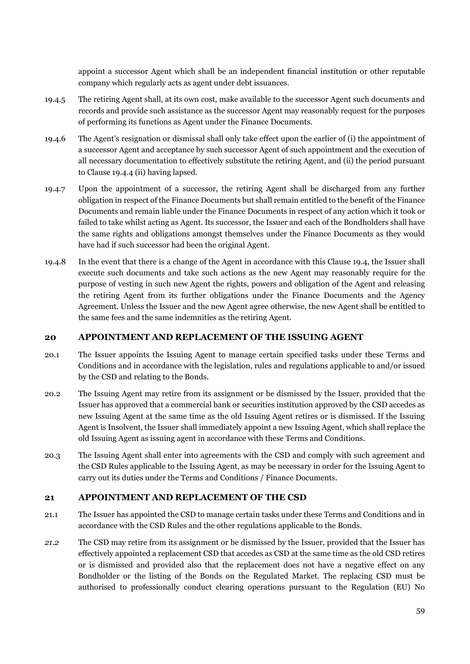appoint a successor Agent which shall be an independent financial institution or other reputable company which regularly acts as agent under debt issuances.

- 19.4.5 The retiring Agent shall, at its own cost, make available to the successor Agent such documents and records and provide such assistance as the successor Agent may reasonably request for the purposes of performing its functions as Agent under the Finance Documents.
- <span id="page-61-0"></span>19.4.6 The Agent's resignation or dismissal shall only take effect upon the earlier of (i) the appointment of a successor Agent and acceptance by such successor Agent of such appointment and the execution of all necessary documentation to effectively substitute the retiring Agent, and (ii) the period pursuant to Clause [19.4.4](#page-60-1) (ii) having lapsed.
- 19.4.7 Upon the appointment of a successor, the retiring Agent shall be discharged from any further obligation in respect of the Finance Documents but shall remain entitled to the benefit of the Finance Documents and remain liable under the Finance Documents in respect of any action which it took or failed to take whilst acting as Agent. Its successor, the Issuer and each of the Bondholders shall have the same rights and obligations amongst themselves under the Finance Documents as they would have had if such successor had been the original Agent.
- 19.4.8 In the event that there is a change of the Agent in accordance with this Clause 19.4, the Issuer shall execute such documents and take such actions as the new Agent may reasonably require for the purpose of vesting in such new Agent the rights, powers and obligation of the Agent and releasing the retiring Agent from its further obligations under the Finance Documents and the Agency Agreement. Unless the Issuer and the new Agent agree otherwise, the new Agent shall be entitled to the same fees and the same indemnities as the retiring Agent.

#### **20 APPOINTMENT AND REPLACEMENT OF THE ISSUING AGENT**

- 20.1 The Issuer appoints the Issuing Agent to manage certain specified tasks under these Terms and Conditions and in accordance with the legislation, rules and regulations applicable to and/or issued by the CSD and relating to the Bonds.
- 20.2 The Issuing Agent may retire from its assignment or be dismissed by the Issuer, provided that the Issuer has approved that a commercial bank or securities institution approved by the CSD accedes as new Issuing Agent at the same time as the old Issuing Agent retires or is dismissed. If the Issuing Agent is Insolvent, the Issuer shall immediately appoint a new Issuing Agent, which shall replace the old Issuing Agent as issuing agent in accordance with these Terms and Conditions.
- 20.3 The Issuing Agent shall enter into agreements with the CSD and comply with such agreement and the CSD Rules applicable to the Issuing Agent, as may be necessary in order for the Issuing Agent to carry out its duties under the Terms and Conditions / Finance Documents.

#### **21 APPOINTMENT AND REPLACEMENT OF THE CSD**

- 21.1 The Issuer has appointed the CSD to manage certain tasks under these Terms and Conditions and in accordance with the CSD Rules and the other regulations applicable to the Bonds.
- *21.2* The CSD may retire from its assignment or be dismissed by the Issuer, provided that the Issuer has effectively appointed a replacement CSD that accedes as CSD at the same time as the old CSD retires or is dismissed and provided also that the replacement does not have a negative effect on any Bondholder or the listing of the Bonds on the Regulated Market. The replacing CSD must be authorised to professionally conduct clearing operations pursuant to the Regulation (EU) No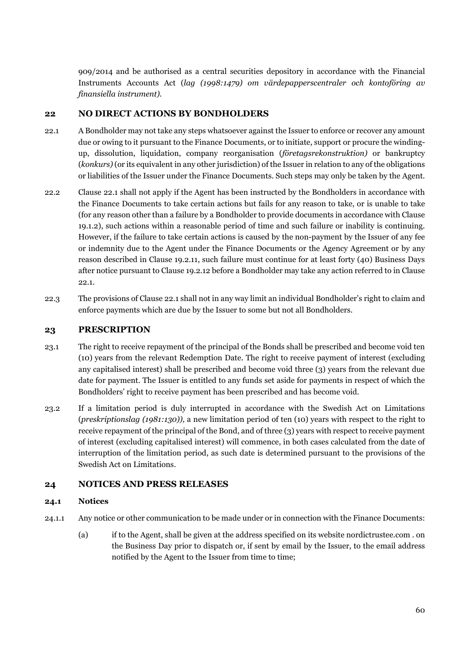909/2014 and be authorised as a central securities depository in accordance with the Financial Instruments Accounts Act (*lag (1998:1479) om värdepapperscentraler och kontoföring av finansiella instrument).* 

# **22 NO DIRECT ACTIONS BY BONDHOLDERS**

- <span id="page-62-0"></span>22.1 A Bondholder may not take any steps whatsoever against the Issuer to enforce or recover any amount due or owing to it pursuant to the Finance Documents, or to initiate, support or procure the windingup, dissolution, liquidation, company reorganisation (*företagsrekonstruktion)* or bankruptcy (*konkurs)* (or its equivalent in any other jurisdiction) of the Issuer in relation to any of the obligations or liabilities of the Issuer under the Finance Documents. Such steps may only be taken by the Agent.
- 22.2 Clause [22.1](#page-62-0) shall not apply if the Agent has been instructed by the Bondholders in accordance with the Finance Documents to take certain actions but fails for any reason to take, or is unable to take (for any reason other than a failure by a Bondholder to provide documents in accordance with Clause [19.1.2\)](#page-58-1), such actions within a reasonable period of time and such failure or inability is continuing. However, if the failure to take certain actions is caused by the non-payment by the Issuer of any fee or indemnity due to the Agent under the Finance Documents or the Agency Agreement or by any reason described in Clause [19.2.11,](#page-59-1) such failure must continue for at least forty (40) Business Days after notice pursuant to Claus[e 19.2.12 b](#page-59-0)efore a Bondholder may take any action referred to in Clause [22.1.](#page-62-0)
- 22.3 The provisions of Claus[e 22.1 s](#page-62-0)hall not in any way limit an individual Bondholder's right to claim and enforce payments which are due by the Issuer to some but not all Bondholders.

# **23 PRESCRIPTION**

- 23.1 The right to receive repayment of the principal of the Bonds shall be prescribed and become void ten (10) years from the relevant Redemption Date. The right to receive payment of interest (excluding any capitalised interest) shall be prescribed and become void three (3) years from the relevant due date for payment. The Issuer is entitled to any funds set aside for payments in respect of which the Bondholders' right to receive payment has been prescribed and has become void.
- 23.2 If a limitation period is duly interrupted in accordance with the Swedish Act on Limitations (*preskriptionslag (1981:130)),* a new limitation period of ten (10) years with respect to the right to receive repayment of the principal of the Bond, and of three (3) years with respect to receive payment of interest (excluding capitalised interest) will commence, in both cases calculated from the date of interruption of the limitation period, as such date is determined pursuant to the provisions of the Swedish Act on Limitations.

#### **24 NOTICES AND PRESS RELEASES**

#### **24.1 Notices**

- <span id="page-62-1"></span>24.1.1 Any notice or other communication to be made under or in connection with the Finance Documents:
	- (a) if to the Agent, shall be given at the address specified on its website nordictrustee.com . on the Business Day prior to dispatch or, if sent by email by the Issuer, to the email address notified by the Agent to the Issuer from time to time;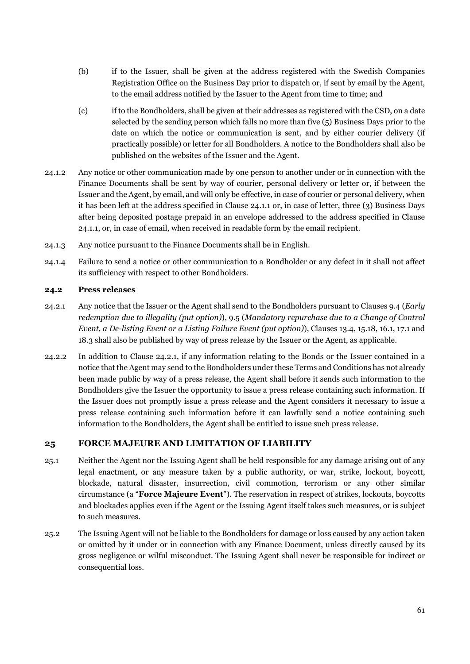- (b) if to the Issuer, shall be given at the address registered with the Swedish Companies Registration Office on the Business Day prior to dispatch or, if sent by email by the Agent, to the email address notified by the Issuer to the Agent from time to time; and
- (c) if to the Bondholders, shall be given at their addresses as registered with the CSD, on a date selected by the sending person which falls no more than five (5) Business Days prior to the date on which the notice or communication is sent, and by either courier delivery (if practically possible) or letter for all Bondholders. A notice to the Bondholders shall also be published on the websites of the Issuer and the Agent.
- 24.1.2 Any notice or other communication made by one person to another under or in connection with the Finance Documents shall be sent by way of courier, personal delivery or letter or, if between the Issuer and the Agent, by email, and will only be effective, in case of courier or personal delivery, when it has been left at the address specified in Clause [24.1.1](#page-62-1) or, in case of letter, three (3) Business Days after being deposited postage prepaid in an envelope addressed to the address specified in Clause [24.1.1,](#page-62-1) or, in case of email, when received in readable form by the email recipient.
- 24.1.3 Any notice pursuant to the Finance Documents shall be in English.
- 24.1.4 Failure to send a notice or other communication to a Bondholder or any defect in it shall not affect its sufficiency with respect to other Bondholders.

#### **24.2 Press releases**

- <span id="page-63-1"></span>24.2.1 Any notice that the Issuer or the Agent shall send to the Bondholders pursuant to Clauses [9.4](#page-46-2) (*Early redemption due to illegality (put option)*), [9.5](#page-46-3) (*Mandatory repurchase due to a Change of Control Event, a De-listing Event or a Listing Failure Event (put option)*), Clauses [13.4,](#page-52-1) [15.18,](#page-56-3) [16.1,](#page-56-2) [17.1 a](#page-57-7)nd 18.3 shall also be published by way of press release by the Issuer or the Agent, as applicable.
- 24.2.2 In addition to Clause [24.2.1,](#page-63-1) if any information relating to the Bonds or the Issuer contained in a notice that the Agent may send to the Bondholders under these Terms and Conditions has not already been made public by way of a press release, the Agent shall before it sends such information to the Bondholders give the Issuer the opportunity to issue a press release containing such information. If the Issuer does not promptly issue a press release and the Agent considers it necessary to issue a press release containing such information before it can lawfully send a notice containing such information to the Bondholders, the Agent shall be entitled to issue such press release.

# **25 FORCE MAJEURE AND LIMITATION OF LIABILITY**

- <span id="page-63-0"></span>25.1 Neither the Agent nor the Issuing Agent shall be held responsible for any damage arising out of any legal enactment, or any measure taken by a public authority, or war, strike, lockout, boycott, blockade, natural disaster, insurrection, civil commotion, terrorism or any other similar circumstance (a "**Force Majeure Event**"). The reservation in respect of strikes, lockouts, boycotts and blockades applies even if the Agent or the Issuing Agent itself takes such measures, or is subject to such measures.
- 25.2 The Issuing Agent will not be liable to the Bondholders for damage or loss caused by any action taken or omitted by it under or in connection with any Finance Document, unless directly caused by its gross negligence or wilful misconduct. The Issuing Agent shall never be responsible for indirect or consequential loss.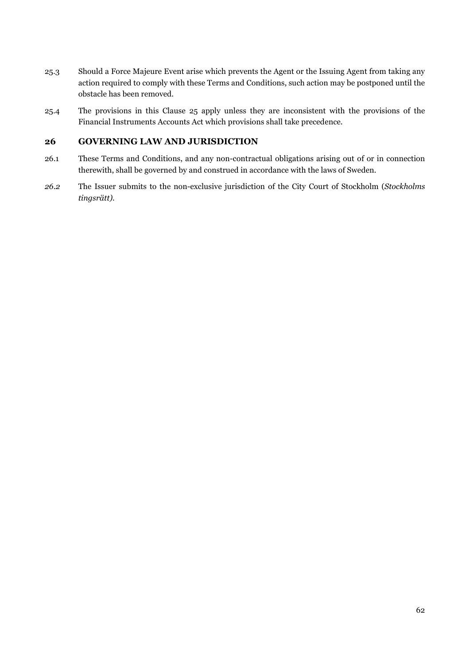- 25.3 Should a Force Majeure Event arise which prevents the Agent or the Issuing Agent from taking any action required to comply with these Terms and Conditions, such action may be postponed until the obstacle has been removed.
- 25.4 The provisions in this Clause 25 apply unless they are inconsistent with the provisions of the Financial Instruments Accounts Act which provisions shall take precedence.

# **26 GOVERNING LAW AND JURISDICTION**

- 26.1 These Terms and Conditions, and any non-contractual obligations arising out of or in connection therewith, shall be governed by and construed in accordance with the laws of Sweden.
- *26.2* The Issuer submits to the non-exclusive jurisdiction of the City Court of Stockholm (*Stockholms tingsrätt).*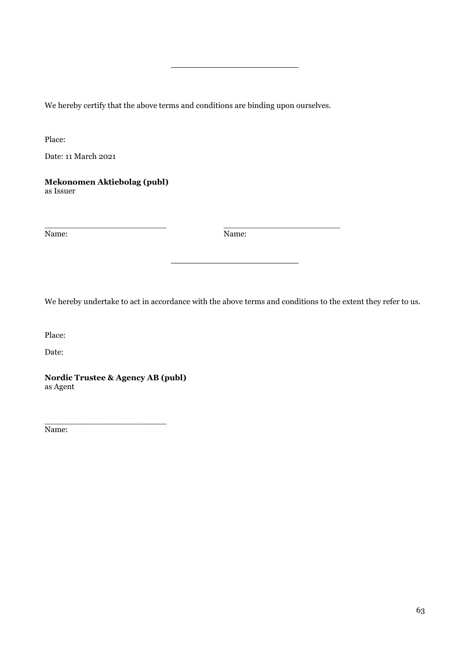We hereby certify that the above terms and conditions are binding upon ourselves.

Place:

Date: 11 March 2021

**Mekonomen Aktiebolag (publ)** as Issuer

Name: Name:

\_\_\_\_\_\_\_\_\_\_\_\_\_\_\_\_\_\_\_\_\_\_\_\_ \_\_\_\_\_\_\_\_\_\_\_\_\_\_\_\_\_\_\_\_\_\_\_

We hereby undertake to act in accordance with the above terms and conditions to the extent they refer to us.

Place:

Date:

**Nordic Trustee & Agency AB (publ)** as Agent

\_\_\_\_\_\_\_\_\_\_\_\_\_\_\_\_\_\_\_\_\_\_\_\_

Name: